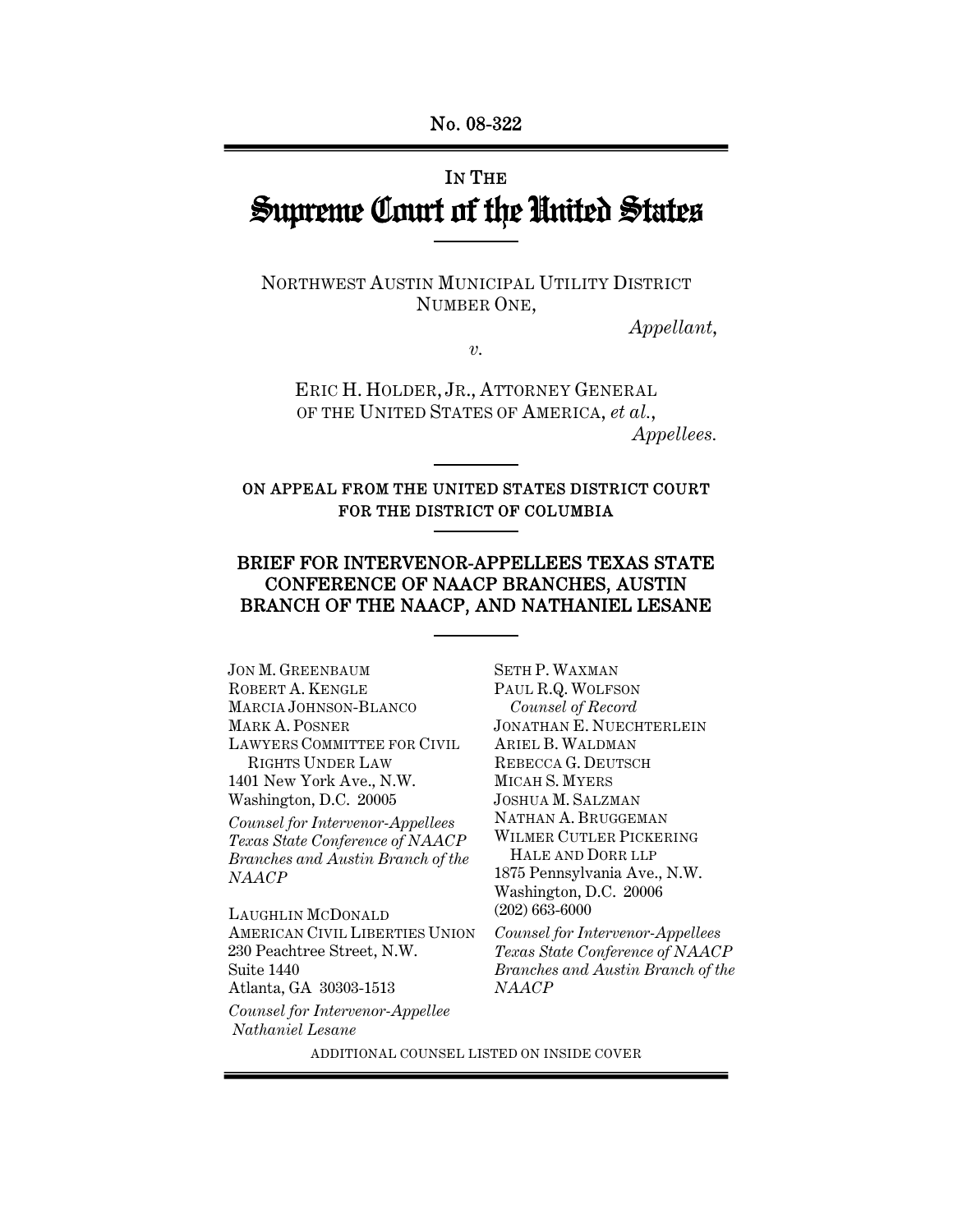# IN THE Supreme Court of the United States

NORTHWEST AUSTIN MUNICIPAL UTILITY DISTRICT NUMBER ONE,

*Appellant*,

*v.* 

ERIC H. HOLDER, JR., ATTORNEY GENERAL OF THE UNITED STATES OF AMERICA, *et al.*, *Appellees.* 

ON APPEAL FROM THE UNITED STATES DISTRICT COURT FOR THE DISTRICT OF COLUMBIA

## BRIEF FOR INTERVENOR-APPELLEES TEXAS STATE CONFERENCE OF NAACP BRANCHES, AUSTIN BRANCH OF THE NAACP, AND NATHANIEL LESANE

JON M. GREENBAUM ROBERT A. KENGLE MARCIA JOHNSON-BLANCO MARK A. POSNER LAWYERS COMMITTEE FOR CIVIL RIGHTS UNDER LAW 1401 New York Ave., N.W. Washington, D.C. 20005

*Counsel for Intervenor-Appellees Texas State Conference of NAACP Branches and Austin Branch of the NAACP*

LAUGHLIN MCDONALD AMERICAN CIVIL LIBERTIES UNION 230 Peachtree Street, N.W. Suite 1440 Atlanta, GA 30303-1513

*Counsel for Intervenor-Appellee Nathaniel Lesane*

SETH P. WAXMAN PAUL R.Q. WOLFSON *Counsel of Record* JONATHAN E. NUECHTERLEIN ARIEL B. WALDMAN REBECCA G. DEUTSCH MICAH S. MYERS JOSHUA M. SALZMAN NATHAN A. BRUGGEMAN WILMER CUTLER PICKERING HALE AND DORR LLP 1875 Pennsylvania Ave., N.W. Washington, D.C. 20006 (202) 663-6000

*Counsel for Intervenor-Appellees Texas State Conference of NAACP Branches and Austin Branch of the NAACP*

ADDITIONAL COUNSEL LISTED ON INSIDE COVER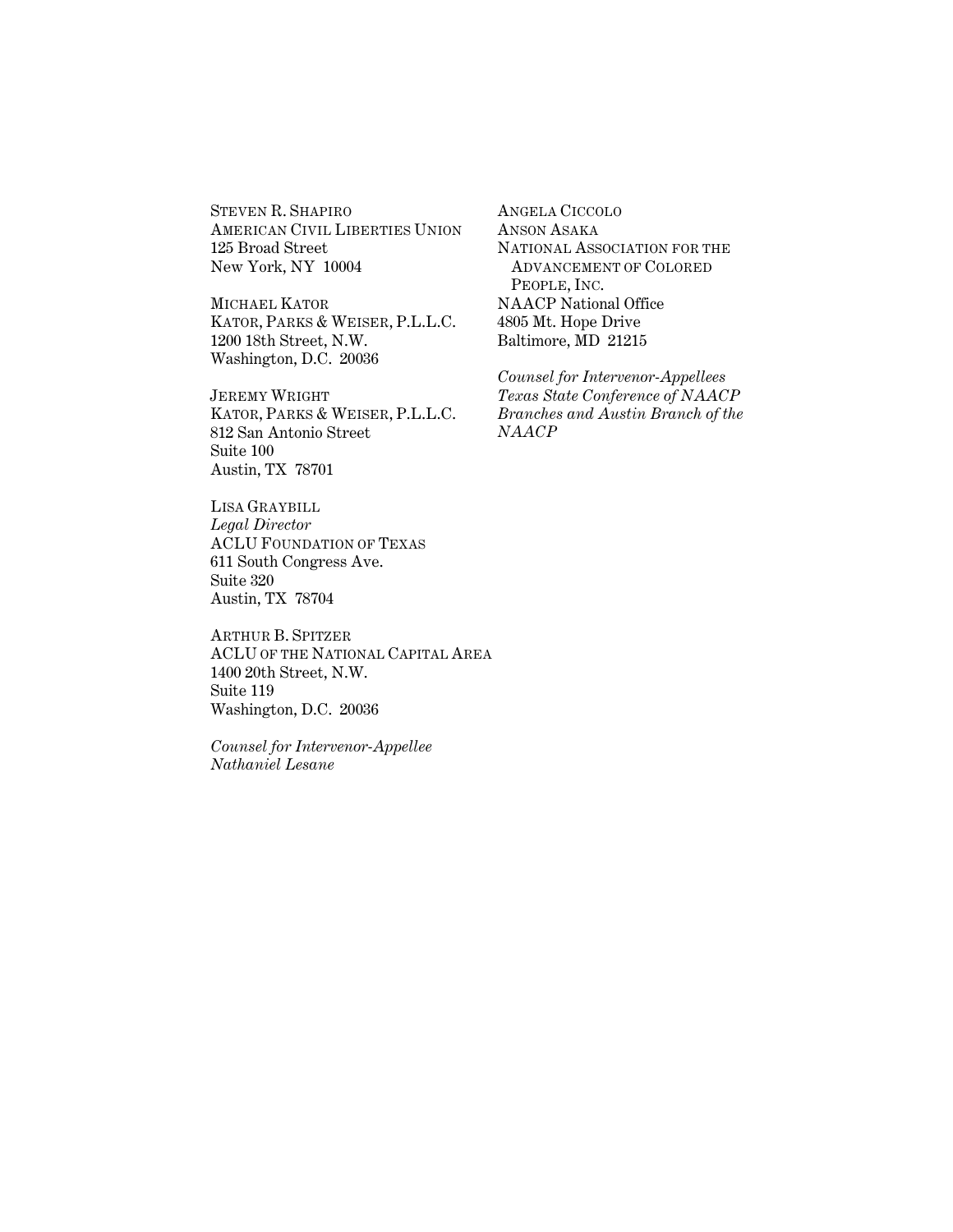STEVEN R. SHAPIRO AMERICAN CIVIL LIBERTIES UNION 125 Broad Street New York, NY 10004

MICHAEL KATOR KATOR, PARKS & WEISER, P.L.L.C. 1200 18th Street, N.W. Washington, D.C. 20036

JEREMY WRIGHT KATOR, PARKS & WEISER, P.L.L.C. 812 San Antonio Street Suite 100 Austin, TX 78701

LISA GRAYBILL *Legal Director* ACLU FOUNDATION OF TEXAS 611 South Congress Ave. Suite 320 Austin, TX 78704

ARTHUR B. SPITZER ACLU OF THE NATIONAL CAPITAL AREA 1400 20th Street, N.W. Suite 119 Washington, D.C. 20036

*Counsel for Intervenor-Appellee Nathaniel Lesane*

ANGELA CICCOLO ANSON ASAKA NATIONAL ASSOCIATION FOR THE ADVANCEMENT OF COLORED PEOPLE, INC. NAACP National Office 4805 Mt. Hope Drive Baltimore, MD 21215

*Counsel for Intervenor-Appellees Texas State Conference of NAACP Branches and Austin Branch of the NAACP*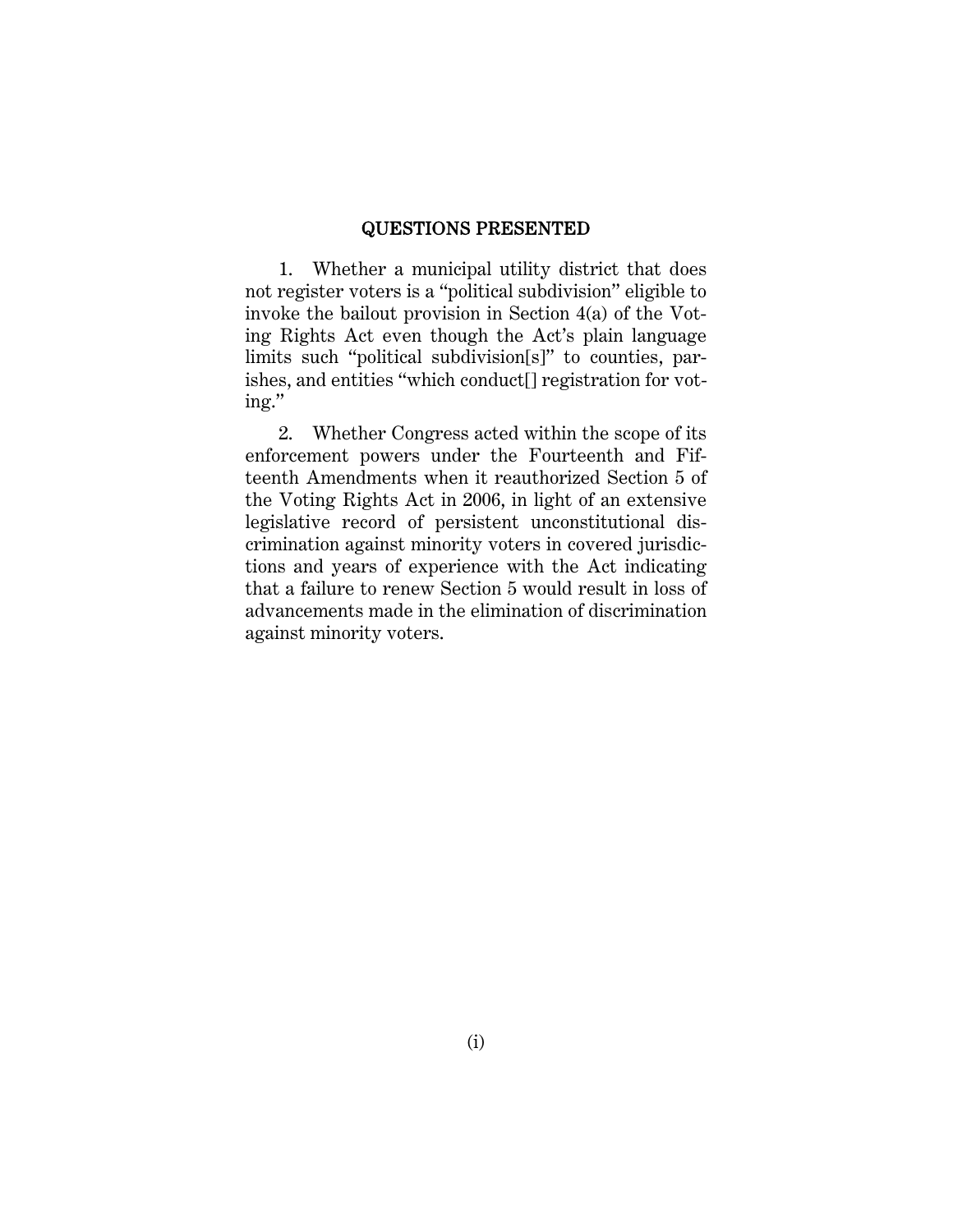#### QUESTIONS PRESENTED

1. Whether a municipal utility district that does not register voters is a "political subdivision" eligible to invoke the bailout provision in Section 4(a) of the Voting Rights Act even though the Act's plain language limits such "political subdivision[s]" to counties, parishes, and entities "which conduct[] registration for voting."

2. Whether Congress acted within the scope of its enforcement powers under the Fourteenth and Fifteenth Amendments when it reauthorized Section 5 of the Voting Rights Act in 2006, in light of an extensive legislative record of persistent unconstitutional discrimination against minority voters in covered jurisdictions and years of experience with the Act indicating that a failure to renew Section 5 would result in loss of advancements made in the elimination of discrimination against minority voters.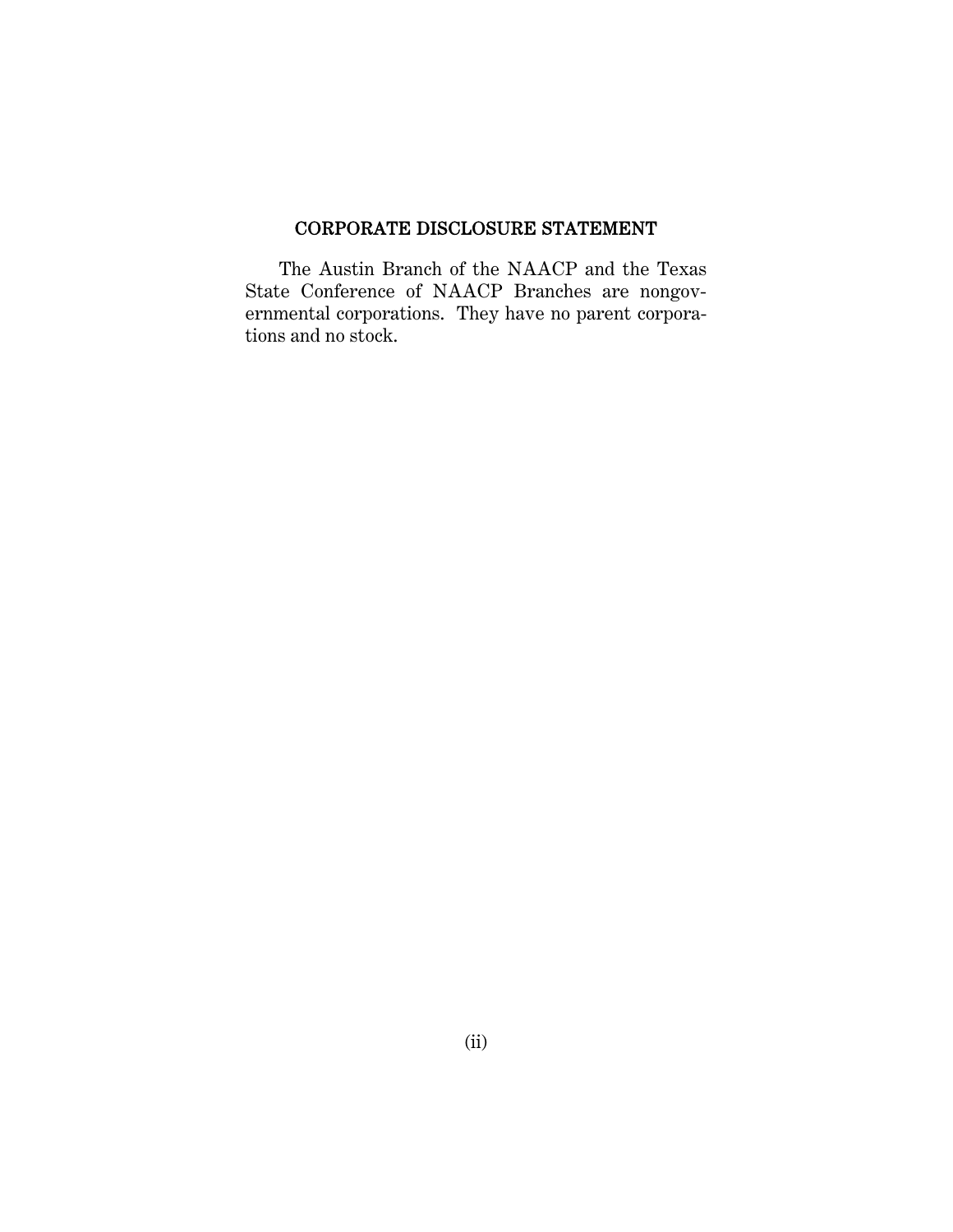## CORPORATE DISCLOSURE STATEMENT

The Austin Branch of the NAACP and the Texas State Conference of NAACP Branches are nongovernmental corporations. They have no parent corporations and no stock.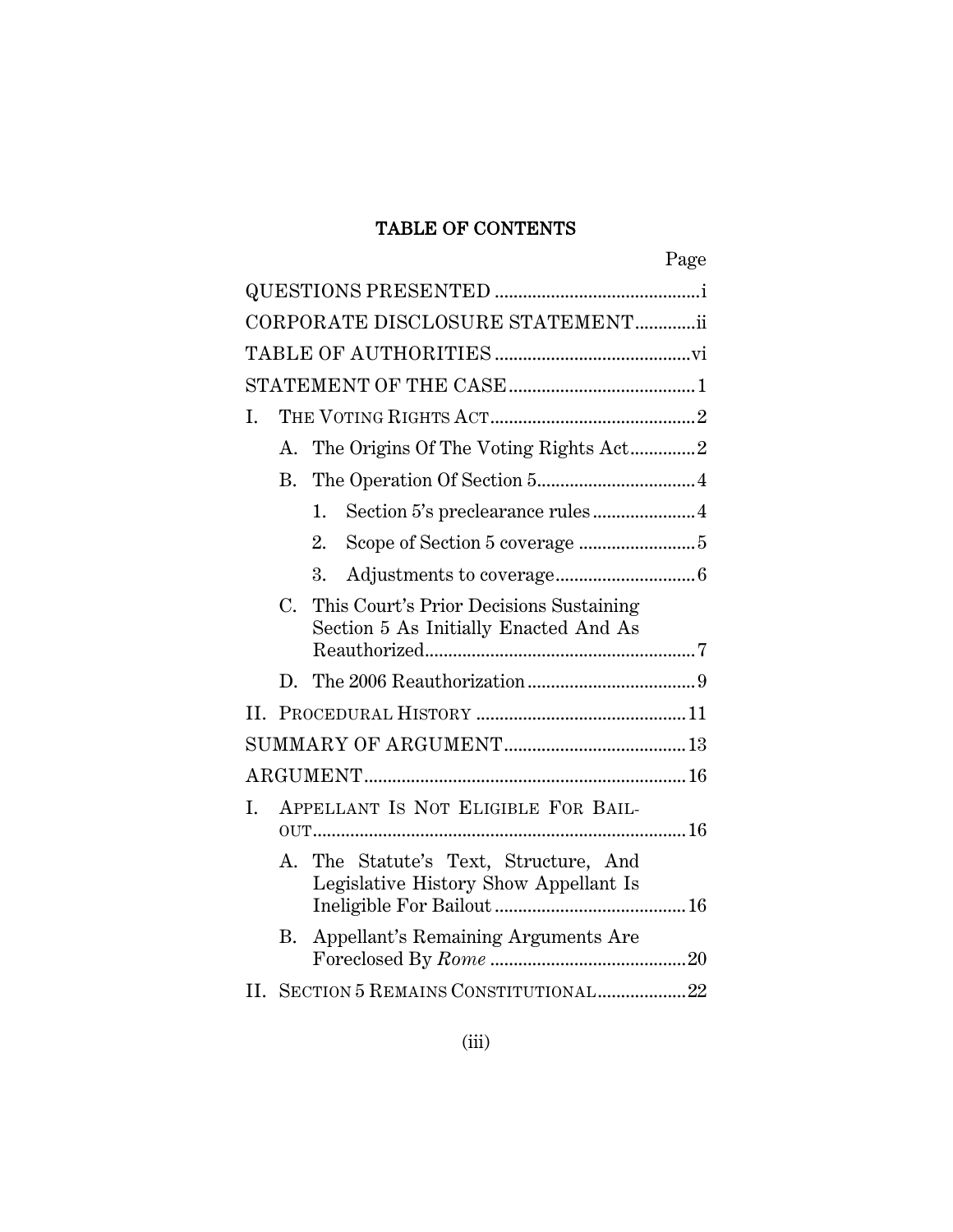## TABLE OF CONTENTS

|    |    |                                                                                                                             | Page |
|----|----|-----------------------------------------------------------------------------------------------------------------------------|------|
|    |    |                                                                                                                             |      |
|    |    | CORPORATE DISCLOSURE STATEMENTii                                                                                            |      |
|    |    |                                                                                                                             |      |
|    |    |                                                                                                                             |      |
| I. |    |                                                                                                                             |      |
|    | A. | The Origins Of The Voting Rights Act2                                                                                       |      |
|    | В. |                                                                                                                             |      |
|    |    | 1.                                                                                                                          |      |
|    |    | Scope of Section 5 coverage 5<br>2.                                                                                         |      |
|    |    | 3.                                                                                                                          |      |
|    | С. | This Court's Prior Decisions Sustaining<br>Section 5 As Initially Enacted And As<br>${\bf Reauthorized}.\textcolor{red}{}}$ |      |
|    |    |                                                                                                                             |      |
|    |    |                                                                                                                             |      |
|    |    |                                                                                                                             |      |
|    |    |                                                                                                                             |      |
| I. |    | APPELLANT IS NOT ELIGIBLE FOR BAIL-                                                                                         |      |
|    |    | A. The Statute's Text, Structure, And<br>Legislative History Show Appellant Is                                              |      |
|    | В. | Appellant's Remaining Arguments Are                                                                                         |      |
|    |    | II. SECTION 5 REMAINS CONSTITUTIONAL22                                                                                      |      |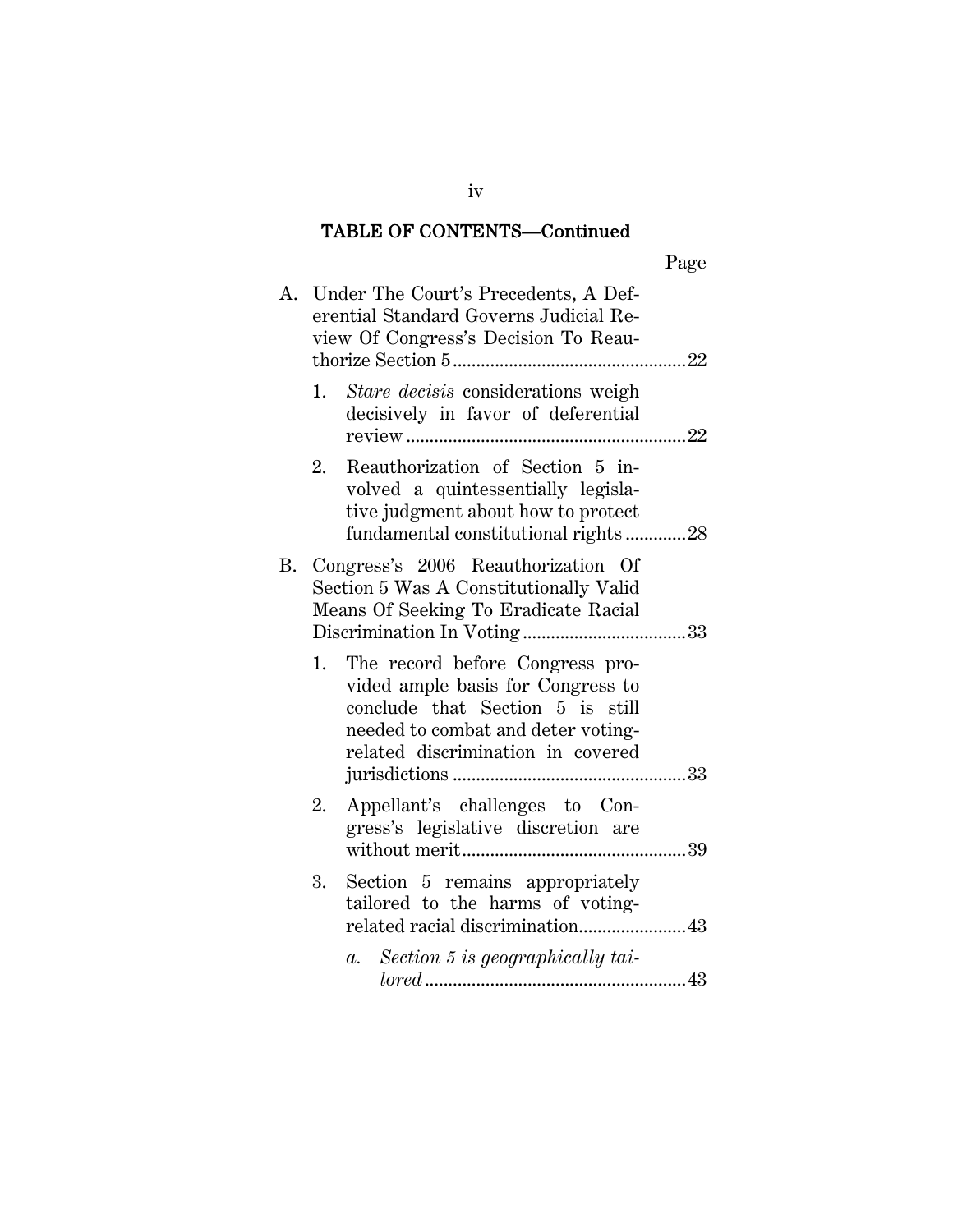## TABLE OF CONTENTS—Continued

|--|

|    |    | A. Under The Court's Precedents, A Def-<br>erential Standard Governs Judicial Re-<br>view Of Congress's Decision To Reau-                                                              |
|----|----|----------------------------------------------------------------------------------------------------------------------------------------------------------------------------------------|
|    | 1. | Stare decisis considerations weigh<br>decisively in favor of deferential                                                                                                               |
|    | 2. | Reauthorization of Section 5 in-<br>volved a quintessentially legisla-<br>tive judgment about how to protect<br>fundamental constitutional rights28                                    |
| В. |    | Congress's 2006 Reauthorization Of<br>Section 5 Was A Constitutionally Valid<br>Means Of Seeking To Eradicate Racial                                                                   |
|    |    | 1. The record before Congress pro-<br>vided ample basis for Congress to<br>conclude that Section 5 is still<br>needed to combat and deter voting-<br>related discrimination in covered |
|    | 2. | Appellant's challenges to Con-<br>gress's legislative discretion are                                                                                                                   |
|    | 3. | Section 5 remains appropriately<br>tailored to the harms of voting-<br>related racial discrimination 43                                                                                |
|    |    | a. Section 5 is geographically tai-                                                                                                                                                    |

iv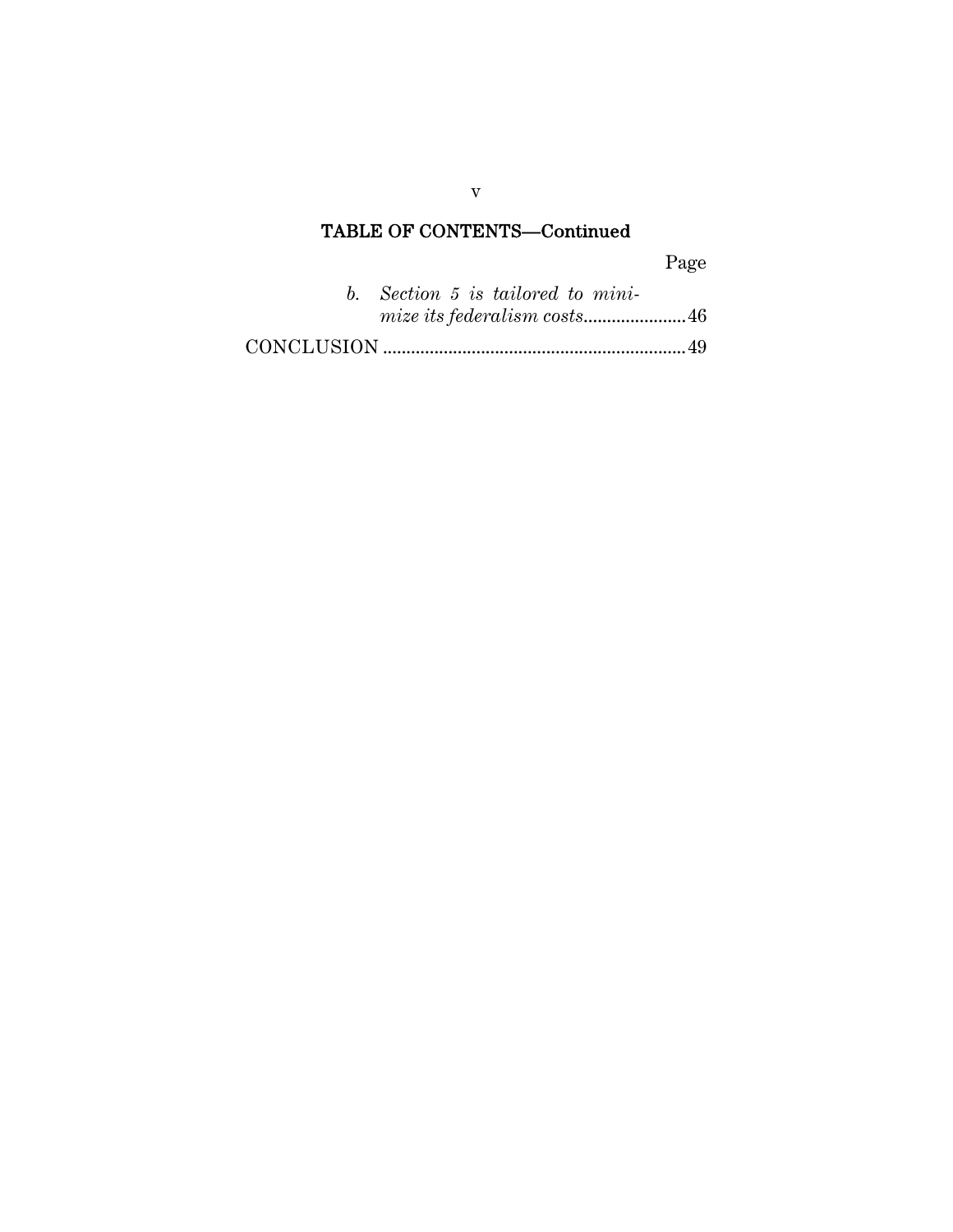## TABLE OF CONTENTS—Continued

Page

| b. Section 5 is tailored to mini- |  |  |  |
|-----------------------------------|--|--|--|
|                                   |  |  |  |
|                                   |  |  |  |

v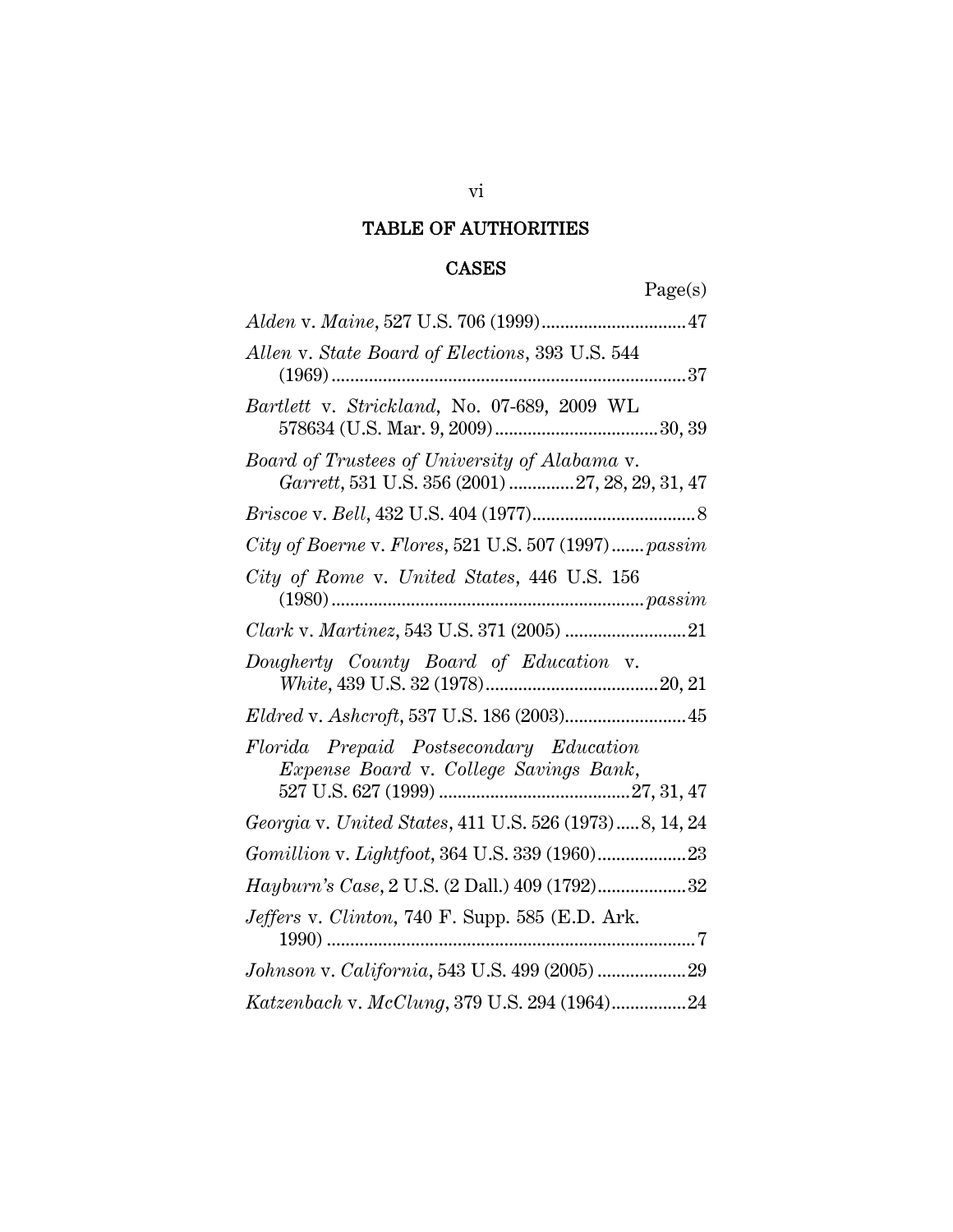## TABLE OF AUTHORITIES

## CASES

| Allen v. State Board of Elections, 393 U.S. 544<br>37<br>$(1969)$                                |
|--------------------------------------------------------------------------------------------------|
| Bartlett v. Strickland, No. 07-689, 2009 WL                                                      |
| Board of Trustees of University of Alabama v.<br>Garrett, 531 U.S. 356 (2001) 27, 28, 29, 31, 47 |
|                                                                                                  |
| City of Boerne v. Flores, 521 U.S. 507 (1997) passim                                             |
| City of Rome v. United States, 446 U.S. 156                                                      |
|                                                                                                  |
| Dougherty County Board of Education v.                                                           |
| Eldred v. Ashcroft, 537 U.S. 186 (2003) 45                                                       |
| Florida Prepaid Postsecondary Education<br>Expense Board v. College Savings Bank,                |
| Georgia v. United States, 411 U.S. 526 (1973)8, 14, 24                                           |
|                                                                                                  |
| Hayburn's Case, 2 U.S. (2 Dall.) 409 (1792)32                                                    |
| Jeffers v. Clinton, 740 F. Supp. 585 (E.D. Ark.                                                  |
| Johnson v. California, 543 U.S. 499 (2005)  29                                                   |
| Katzenbach v. McClung, 379 U.S. 294 (1964)24                                                     |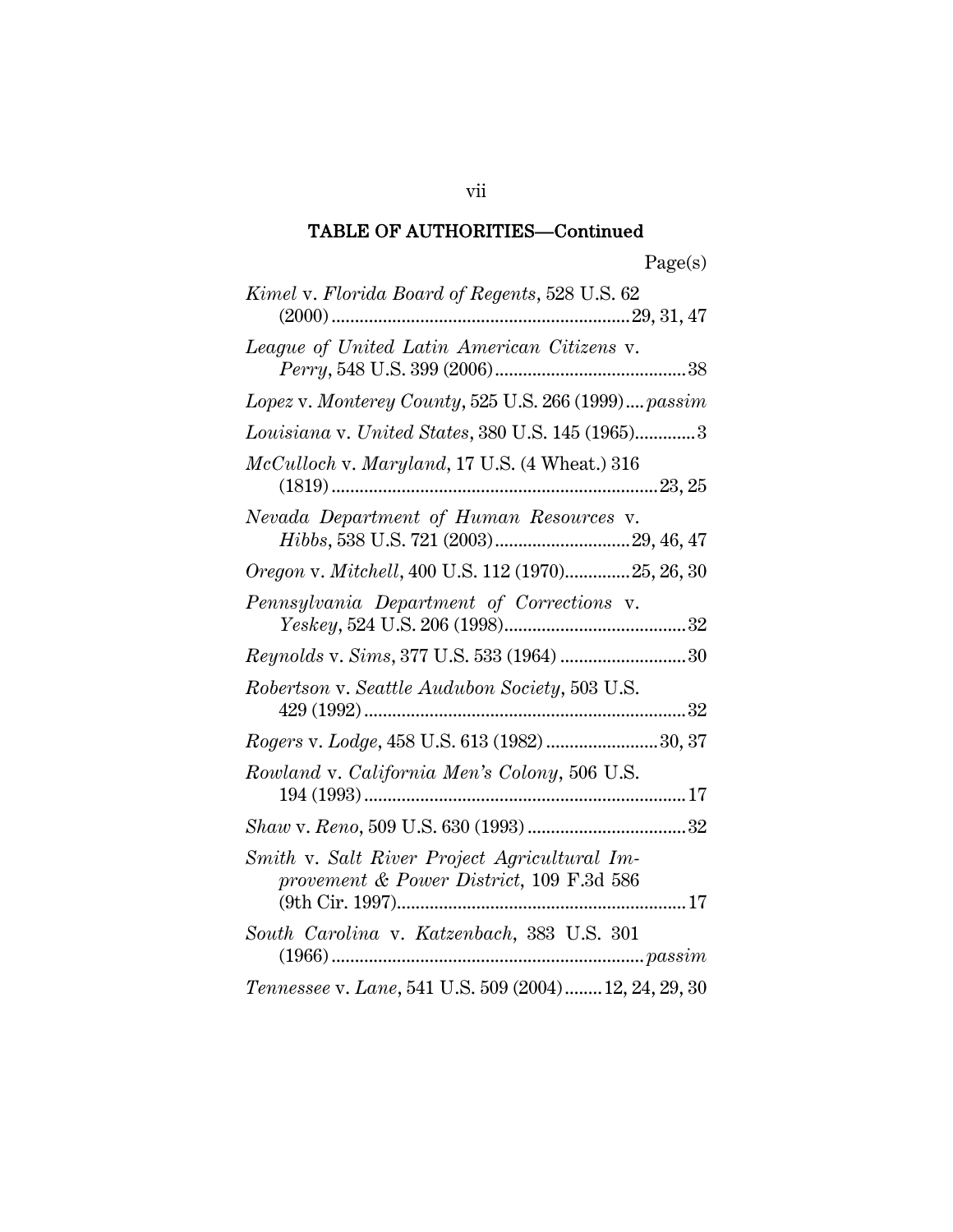| Kimel v. Florida Board of Regents, 528 U.S. 62                                           |
|------------------------------------------------------------------------------------------|
| League of United Latin American Citizens v.                                              |
| Lopez v. Monterey County, 525 U.S. 266 (1999) passim                                     |
| Louisiana v. United States, 380 U.S. 145 (1965)3                                         |
| $McCulloch$ v. Maryland, 17 U.S. (4 Wheat.) 316                                          |
| Nevada Department of Human Resources v.                                                  |
| Oregon v. Mitchell, 400 U.S. 112 (1970)25, 26, 30                                        |
| Pennsylvania Department of Corrections v.                                                |
| Reynolds v. Sims, 377 U.S. 533 (1964) 30                                                 |
| Robertson v. Seattle Audubon Society, 503 U.S.                                           |
| Rogers v. Lodge, 458 U.S. 613 (1982) 30, 37                                              |
| Rowland v. California Men's Colony, 506 U.S.                                             |
|                                                                                          |
| Smith v. Salt River Project Agricultural Im-<br>provement & Power District, 109 F.3d 586 |
| South Carolina v. Katzenbach, 383 U.S. 301                                               |
| Tennessee v. Lane, 541 U.S. 509 (2004) 12, 24, 29, 30                                    |

vii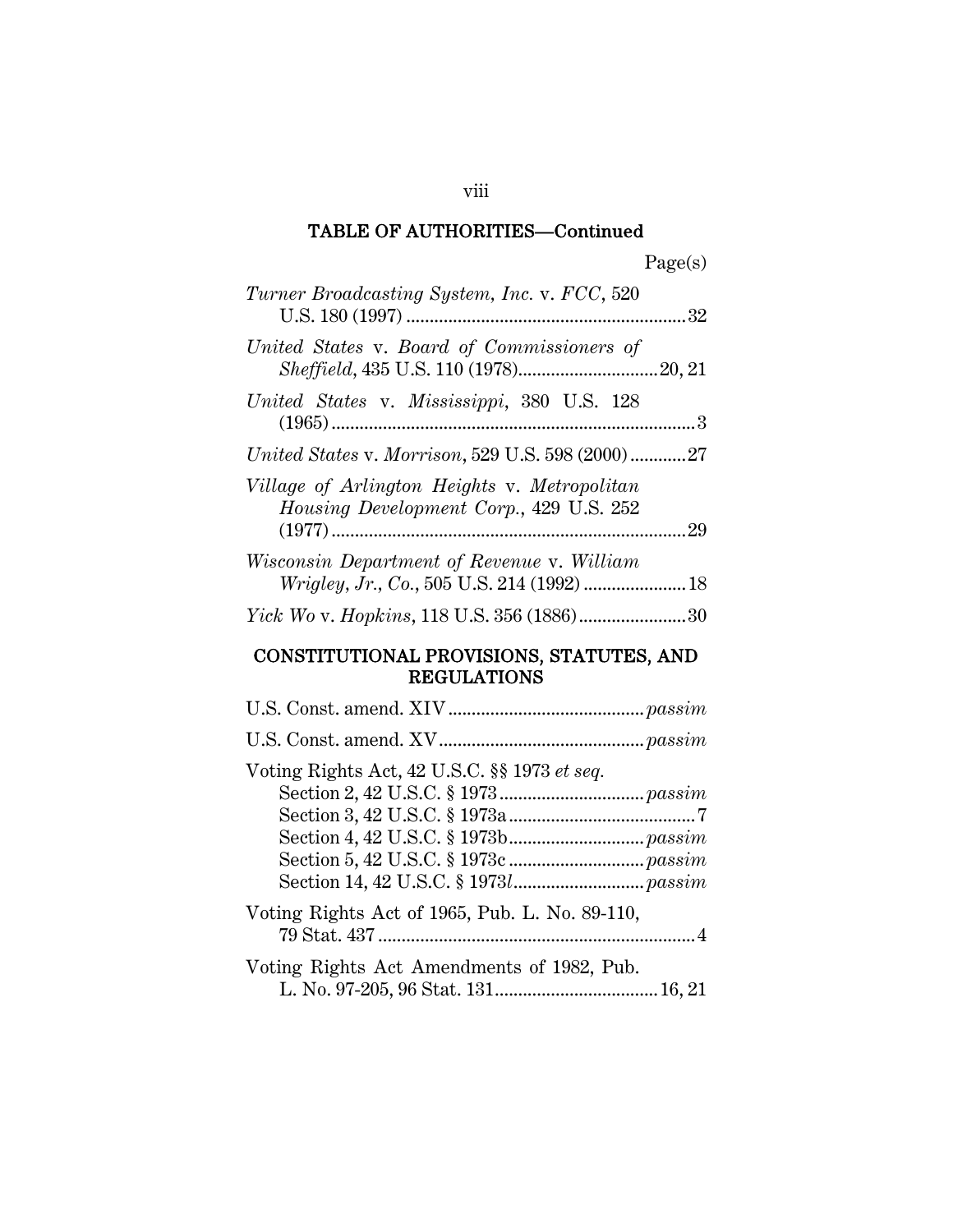| Turner Broadcasting System, Inc. v. FCC, 520                                            |     |
|-----------------------------------------------------------------------------------------|-----|
| United States v. Board of Commissioners of                                              |     |
| United States v. Mississippi, 380 U.S. 128                                              |     |
| United States v. Morrison, 529 U.S. 598 (2000)27                                        |     |
| Village of Arlington Heights v. Metropolitan<br>Housing Development Corp., 429 U.S. 252 |     |
| Wisconsin Department of Revenue v. William                                              |     |
|                                                                                         | .30 |

## CONSTITUTIONAL PROVISIONS, STATUTES, AND REGULATIONS

| Voting Rights Act, 42 U.S.C. §§ 1973 et seq.   |
|------------------------------------------------|
| Voting Rights Act of 1965, Pub. L. No. 89-110, |
| Voting Rights Act Amendments of 1982, Pub.     |

viii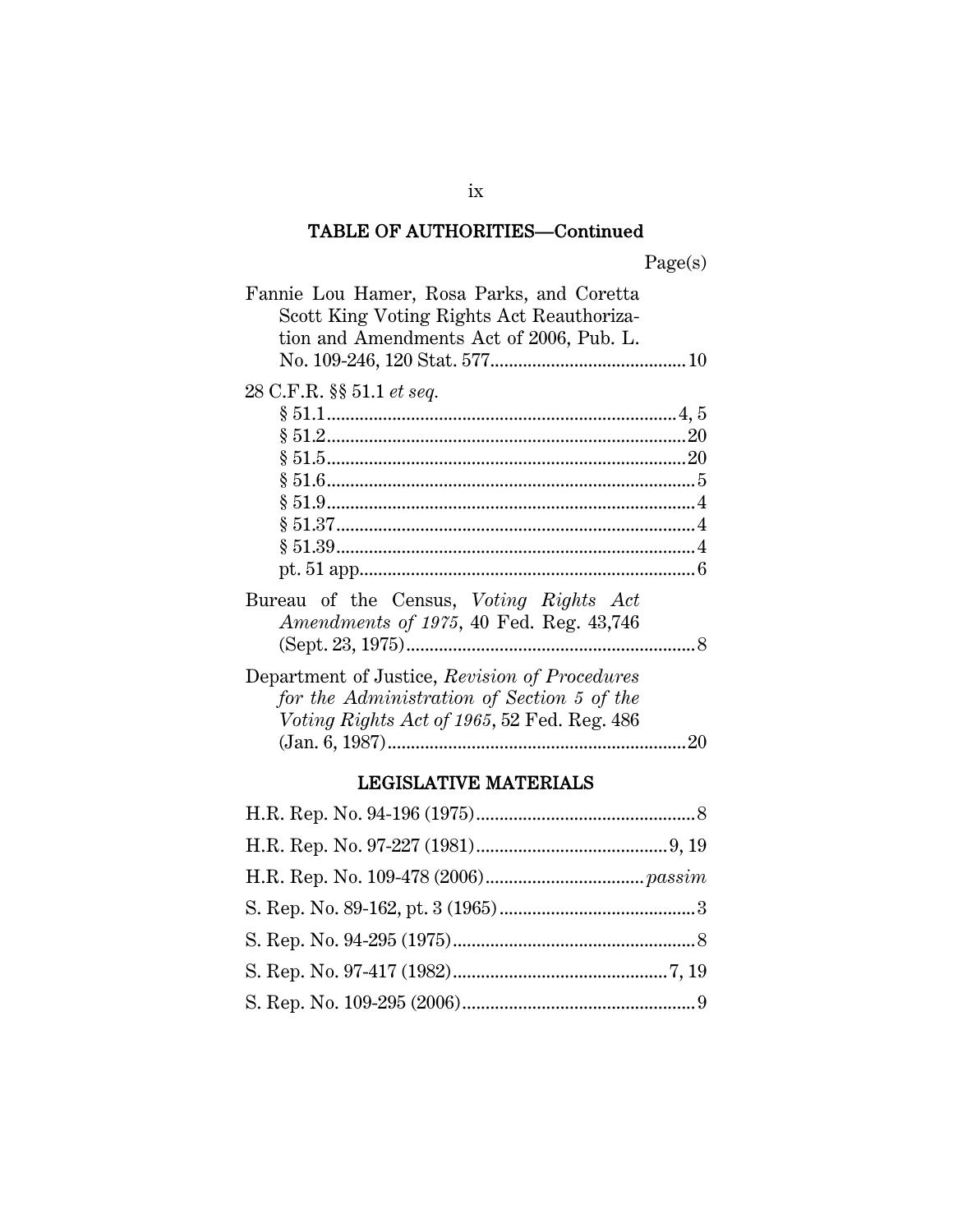Page(s)

| Fannie Lou Hamer, Rosa Parks, and Coretta<br>Scott King Voting Rights Act Reauthoriza-<br>tion and Amendments Act of 2006, Pub. L.         |    |
|--------------------------------------------------------------------------------------------------------------------------------------------|----|
| 28 C.F.R. §§ 51.1 et seq.                                                                                                                  |    |
|                                                                                                                                            |    |
|                                                                                                                                            |    |
|                                                                                                                                            |    |
| Bureau of the Census, Voting Rights Act<br><i>Amendments of 1975</i> , 40 Fed. Reg. 43,746                                                 |    |
| Department of Justice, Revision of Procedures<br>for the Administration of Section 5 of the<br>Voting Rights Act of 1965, 52 Fed. Reg. 486 | 20 |

## LEGISLATIVE MATERIALS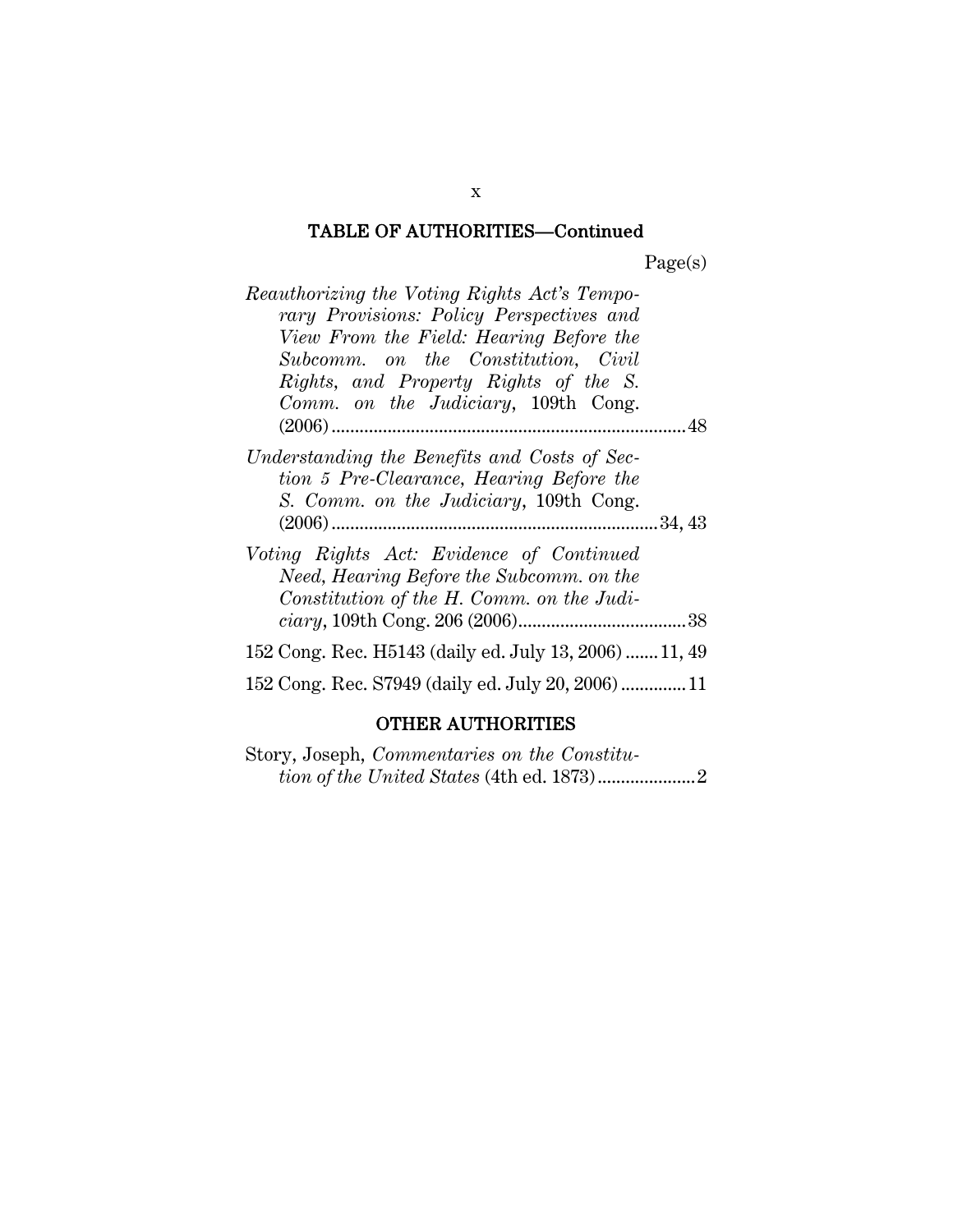Page(s)

| Reauthorizing the Voting Rights Act's Tempo-                                   |  |
|--------------------------------------------------------------------------------|--|
| rary Provisions: Policy Perspectives and                                       |  |
| View From the Field: Hearing Before the<br>Subcomm. on the Constitution, Civil |  |
| Rights, and Property Rights of the S.                                          |  |
| Comm. on the Judiciary, 109th Cong.                                            |  |
|                                                                                |  |
| Understanding the Benefits and Costs of Sec-                                   |  |
| tion 5 Pre-Clearance, Hearing Before the                                       |  |
| S. Comm. on the Judiciary, 109th Cong.                                         |  |
|                                                                                |  |
| Voting Rights Act: Evidence of Continued                                       |  |
| Need, Hearing Before the Subcomm. on the                                       |  |
| Constitution of the H. Comm. on the Judi-                                      |  |
|                                                                                |  |
| 152 Cong. Rec. H5143 (daily ed. July 13, 2006)  11, 49                         |  |
| 152 Cong. Rec. S7949 (daily ed. July 20, 2006)  11                             |  |

## OTHER AUTHORITIES

Story, Joseph, *Commentaries on the Constitution of the United States* (4th ed. 1873).....................2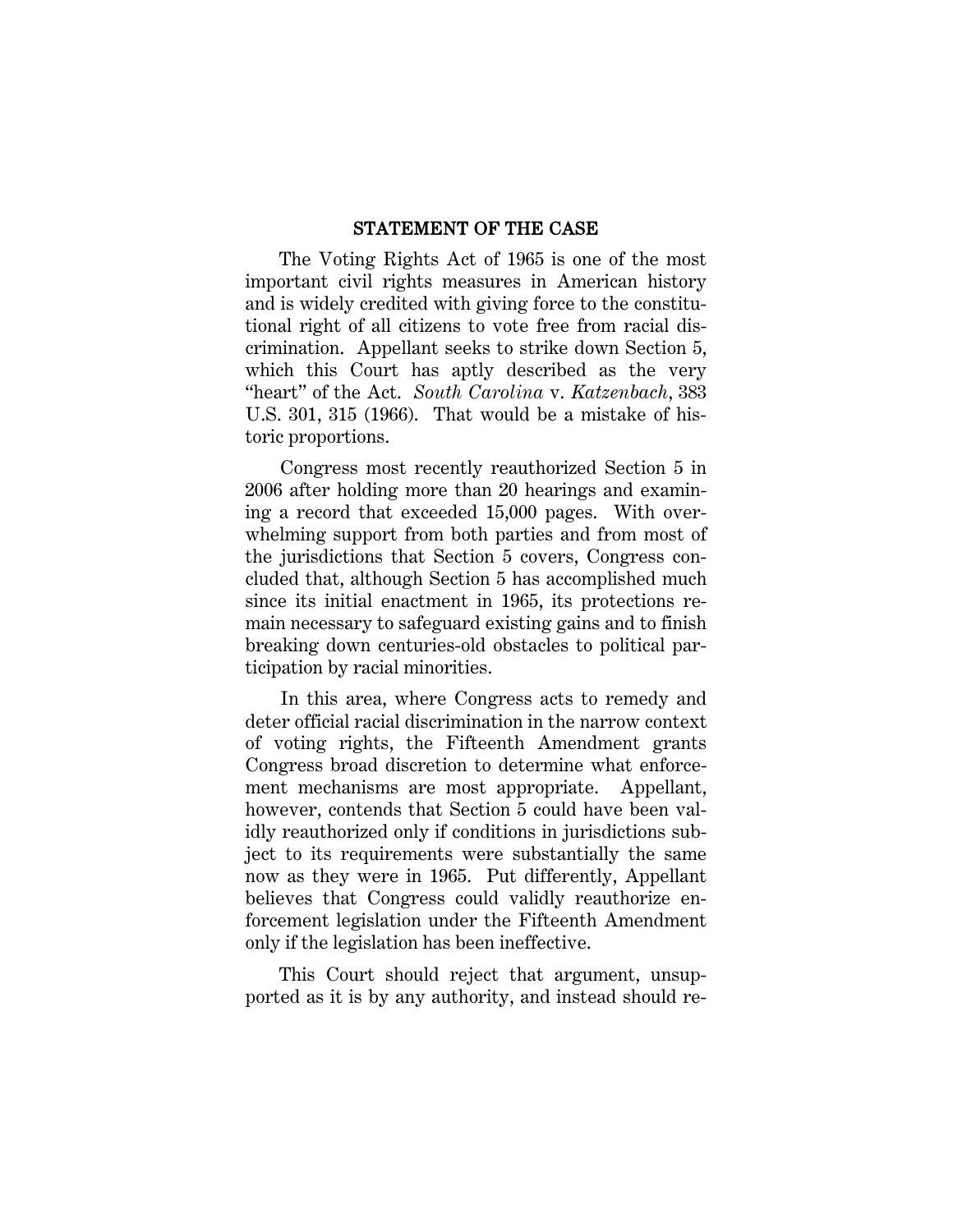#### STATEMENT OF THE CASE

The Voting Rights Act of 1965 is one of the most important civil rights measures in American history and is widely credited with giving force to the constitutional right of all citizens to vote free from racial discrimination. Appellant seeks to strike down Section 5, which this Court has aptly described as the very "heart" of the Act. *South Carolina* v. *Katzenbach*, 383 U.S. 301, 315 (1966). That would be a mistake of historic proportions.

Congress most recently reauthorized Section 5 in 2006 after holding more than 20 hearings and examining a record that exceeded 15,000 pages. With overwhelming support from both parties and from most of the jurisdictions that Section 5 covers, Congress concluded that, although Section 5 has accomplished much since its initial enactment in 1965, its protections remain necessary to safeguard existing gains and to finish breaking down centuries-old obstacles to political participation by racial minorities.

In this area, where Congress acts to remedy and deter official racial discrimination in the narrow context of voting rights, the Fifteenth Amendment grants Congress broad discretion to determine what enforcement mechanisms are most appropriate. Appellant, however, contends that Section 5 could have been validly reauthorized only if conditions in jurisdictions subject to its requirements were substantially the same now as they were in 1965. Put differently, Appellant believes that Congress could validly reauthorize enforcement legislation under the Fifteenth Amendment only if the legislation has been ineffective.

This Court should reject that argument, unsupported as it is by any authority, and instead should re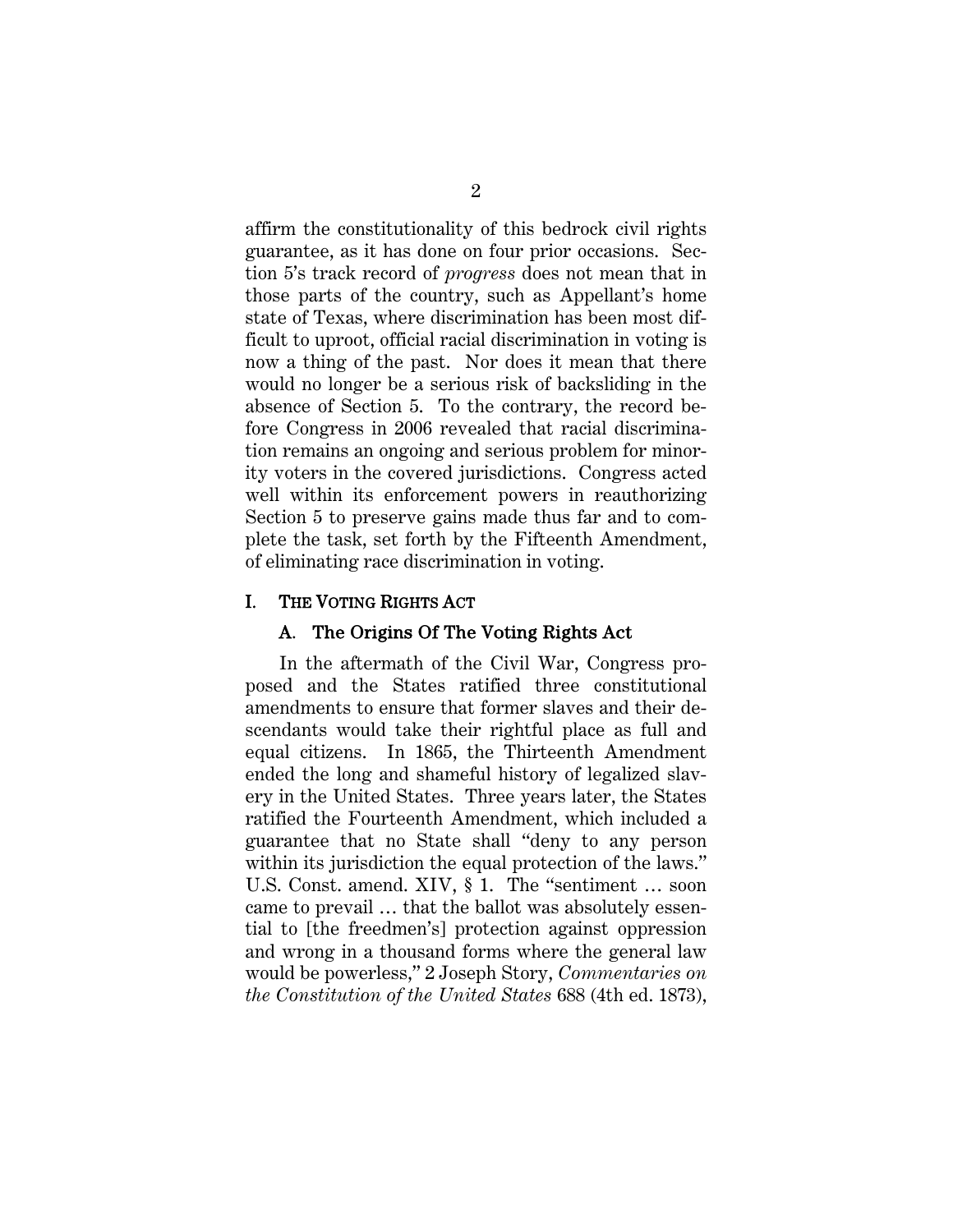affirm the constitutionality of this bedrock civil rights guarantee, as it has done on four prior occasions. Section 5's track record of *progress* does not mean that in those parts of the country, such as Appellant's home state of Texas, where discrimination has been most difficult to uproot, official racial discrimination in voting is now a thing of the past. Nor does it mean that there would no longer be a serious risk of backsliding in the absence of Section 5. To the contrary, the record before Congress in 2006 revealed that racial discrimination remains an ongoing and serious problem for minority voters in the covered jurisdictions. Congress acted well within its enforcement powers in reauthorizing Section 5 to preserve gains made thus far and to complete the task, set forth by the Fifteenth Amendment, of eliminating race discrimination in voting.

## I. THE VOTING RIGHTS ACT

#### A. The Origins Of The Voting Rights Act

In the aftermath of the Civil War, Congress proposed and the States ratified three constitutional amendments to ensure that former slaves and their descendants would take their rightful place as full and equal citizens. In 1865, the Thirteenth Amendment ended the long and shameful history of legalized slavery in the United States. Three years later, the States ratified the Fourteenth Amendment, which included a guarantee that no State shall "deny to any person within its jurisdiction the equal protection of the laws." U.S. Const. amend. XIV, § 1. The "sentiment … soon came to prevail … that the ballot was absolutely essential to [the freedmen's] protection against oppression and wrong in a thousand forms where the general law would be powerless," 2 Joseph Story, *Commentaries on the Constitution of the United States* 688 (4th ed. 1873),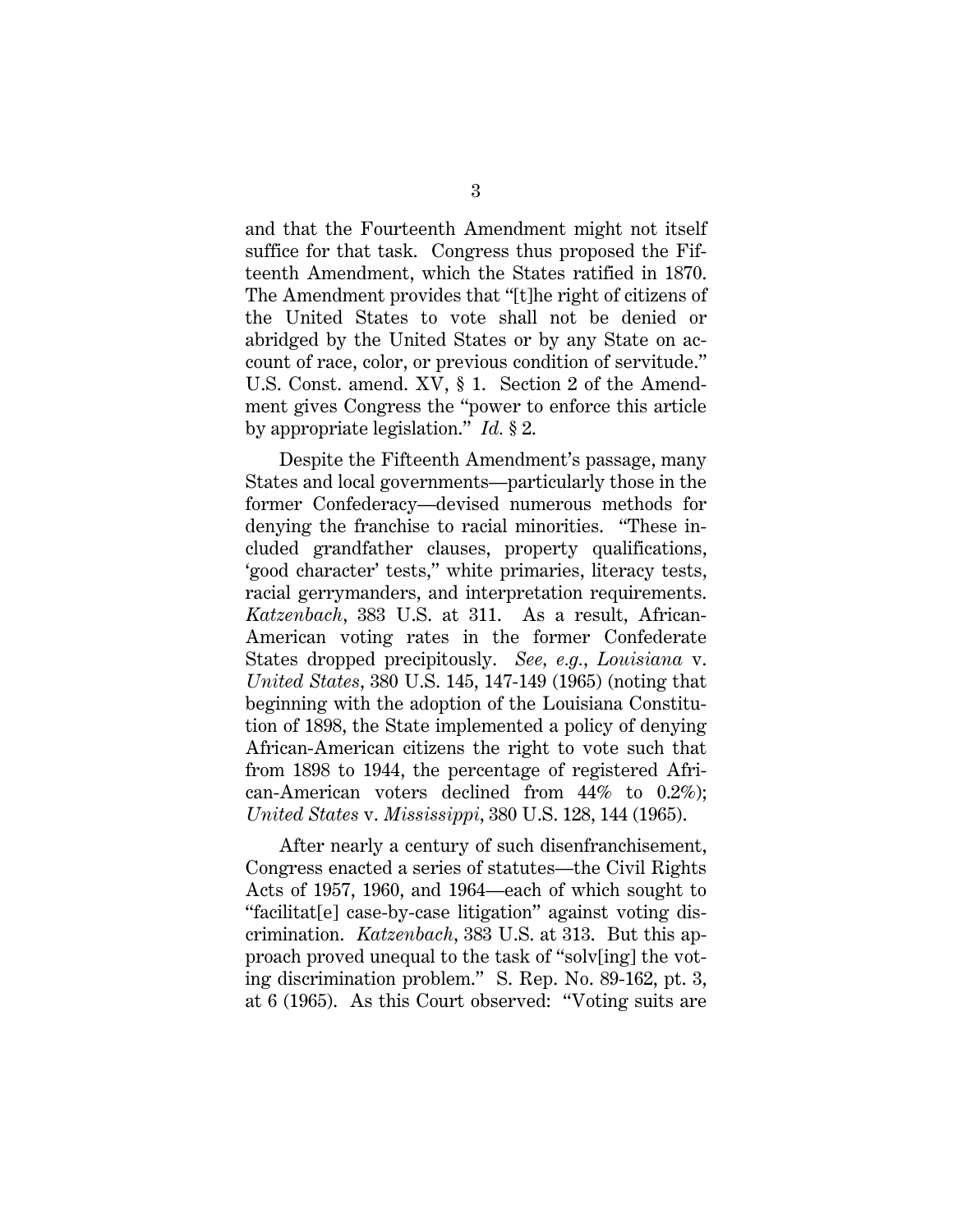and that the Fourteenth Amendment might not itself suffice for that task. Congress thus proposed the Fifteenth Amendment, which the States ratified in 1870. The Amendment provides that "[t]he right of citizens of the United States to vote shall not be denied or abridged by the United States or by any State on account of race, color, or previous condition of servitude." U.S. Const. amend. XV, § 1. Section 2 of the Amendment gives Congress the "power to enforce this article by appropriate legislation." *Id.* § 2.

Despite the Fifteenth Amendment's passage, many States and local governments—particularly those in the former Confederacy—devised numerous methods for denying the franchise to racial minorities. "These included grandfather clauses, property qualifications, 'good character' tests," white primaries, literacy tests, racial gerrymanders, and interpretation requirements. *Katzenbach*, 383 U.S. at 311. As a result, African-American voting rates in the former Confederate States dropped precipitously. *See, e.g.*, *Louisiana* v. *United States*, 380 U.S. 145, 147-149 (1965) (noting that beginning with the adoption of the Louisiana Constitution of 1898, the State implemented a policy of denying African-American citizens the right to vote such that from 1898 to 1944, the percentage of registered African-American voters declined from 44% to 0.2%); *United States* v. *Mississippi*, 380 U.S. 128, 144 (1965).

After nearly a century of such disenfranchisement, Congress enacted a series of statutes—the Civil Rights Acts of 1957, 1960, and 1964—each of which sought to "facilitat[e] case-by-case litigation" against voting discrimination. *Katzenbach*, 383 U.S. at 313. But this approach proved unequal to the task of "solv[ing] the voting discrimination problem." S. Rep. No. 89-162, pt. 3, at 6 (1965). As this Court observed: "Voting suits are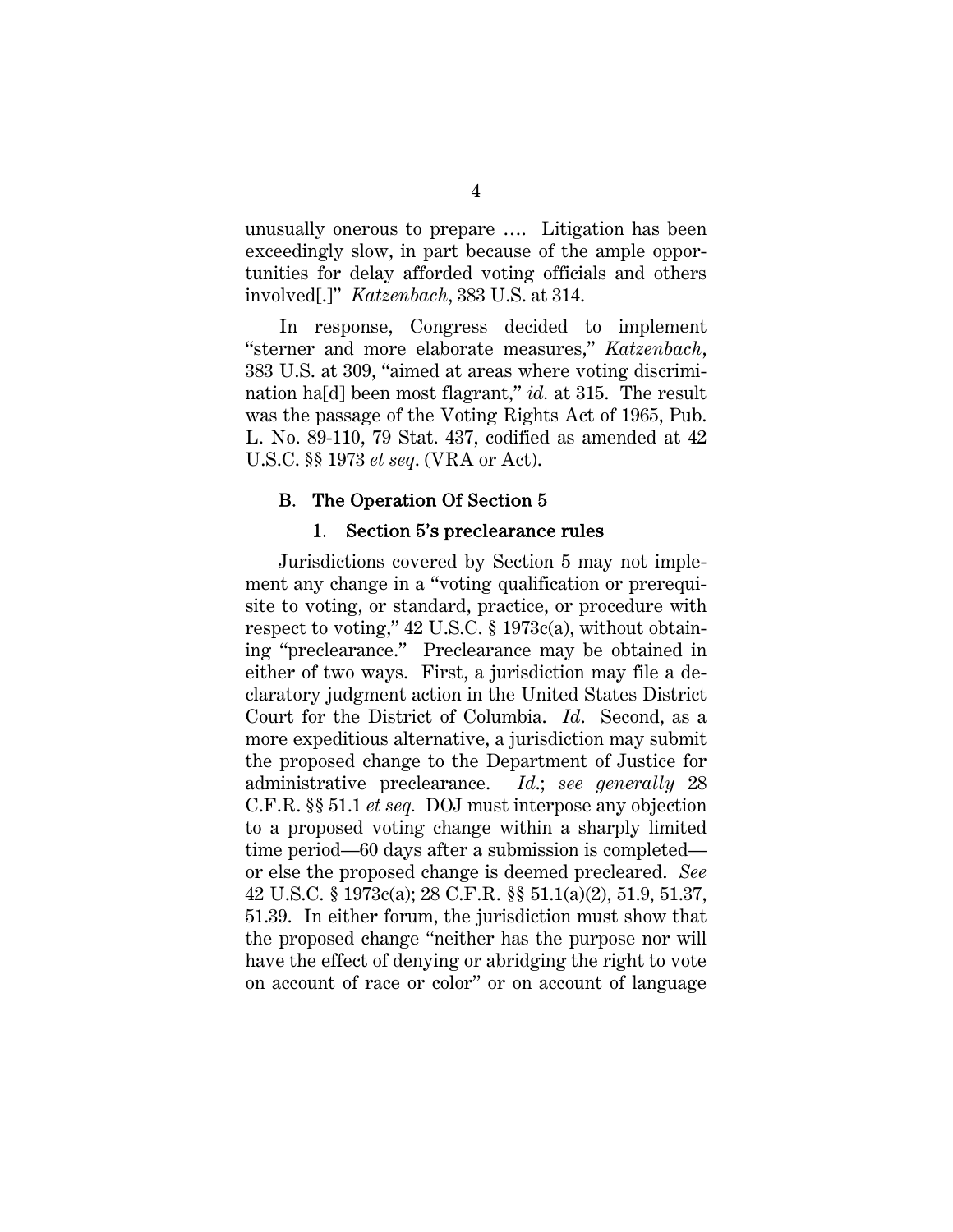unusually onerous to prepare …. Litigation has been exceedingly slow, in part because of the ample opportunities for delay afforded voting officials and others involved[.]" *Katzenbach*, 383 U.S. at 314.

In response, Congress decided to implement "sterner and more elaborate measures," *Katzenbach*, 383 U.S. at 309, "aimed at areas where voting discrimination ha[d] been most flagrant," *id.* at 315. The result was the passage of the Voting Rights Act of 1965, Pub. L. No. 89-110, 79 Stat. 437, codified as amended at 42 U.S.C. §§ 1973 *et seq*. (VRA or Act).

### B. The Operation Of Section 5

#### 1. Section 5's preclearance rules

Jurisdictions covered by Section 5 may not implement any change in a "voting qualification or prerequisite to voting, or standard, practice, or procedure with respect to voting," 42 U.S.C. § 1973c(a), without obtaining "preclearance." Preclearance may be obtained in either of two ways. First, a jurisdiction may file a declaratory judgment action in the United States District Court for the District of Columbia. *Id*. Second, as a more expeditious alternative, a jurisdiction may submit the proposed change to the Department of Justice for administrative preclearance. *Id*.; *see generally* 28 C.F.R. §§ 51.1 *et seq.* DOJ must interpose any objection to a proposed voting change within a sharply limited time period—60 days after a submission is completed or else the proposed change is deemed precleared. *See* 42 U.S.C. § 1973c(a); 28 C.F.R. §§ 51.1(a)(2), 51.9, 51.37, 51.39. In either forum, the jurisdiction must show that the proposed change "neither has the purpose nor will have the effect of denying or abridging the right to vote on account of race or color" or on account of language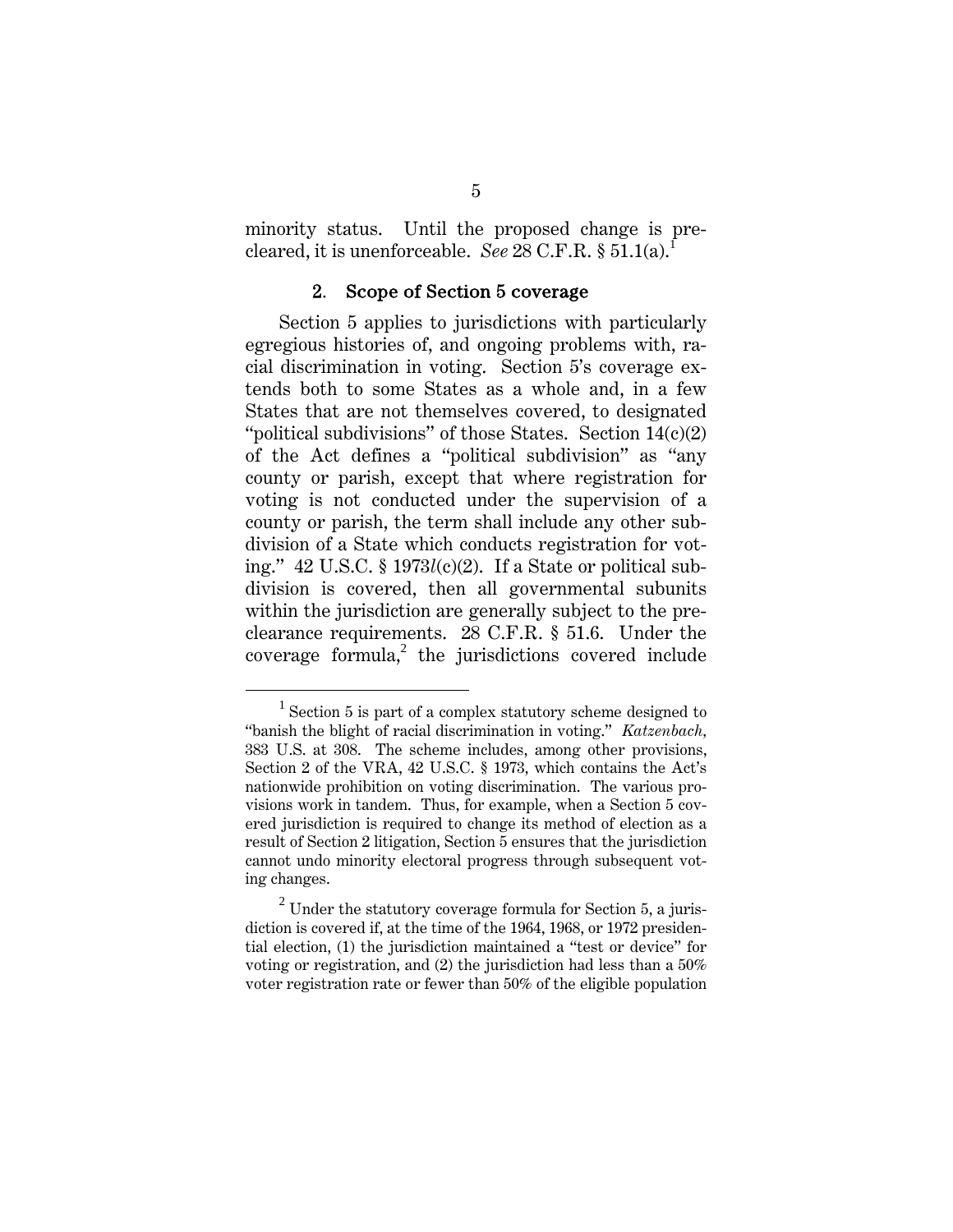minority status. Until the proposed change is precleared, it is unenforceable. *See* 28 C.F.R. § 51.1(a).

#### 2. Scope of Section 5 coverage

Section 5 applies to jurisdictions with particularly egregious histories of, and ongoing problems with, racial discrimination in voting. Section 5's coverage extends both to some States as a whole and, in a few States that are not themselves covered, to designated "political subdivisions" of those States. Section  $14(c)(2)$ of the Act defines a "political subdivision" as "any county or parish, except that where registration for voting is not conducted under the supervision of a county or parish, the term shall include any other subdivision of a State which conducts registration for voting." 42 U.S.C. § 1973*l*(c)(2). If a State or political subdivision is covered, then all governmental subunits within the jurisdiction are generally subject to the preclearance requirements. 28 C.F.R. § 51.6. Under the  $coverage formula<sup>2</sup>$  the jurisdictions covered include

 $\overline{\phantom{0}1}$  $1$  Section 5 is part of a complex statutory scheme designed to "banish the blight of racial discrimination in voting." *Katzenbach,* 383 U.S. at 308. The scheme includes, among other provisions, Section 2 of the VRA, 42 U.S.C. § 1973, which contains the Act's nationwide prohibition on voting discrimination. The various provisions work in tandem. Thus, for example, when a Section 5 covered jurisdiction is required to change its method of election as a result of Section 2 litigation, Section 5 ensures that the jurisdiction cannot undo minority electoral progress through subsequent voting changes.

 $2$  Under the statutory coverage formula for Section 5, a jurisdiction is covered if, at the time of the 1964, 1968, or 1972 presidential election, (1) the jurisdiction maintained a "test or device" for voting or registration, and (2) the jurisdiction had less than a 50% voter registration rate or fewer than 50% of the eligible population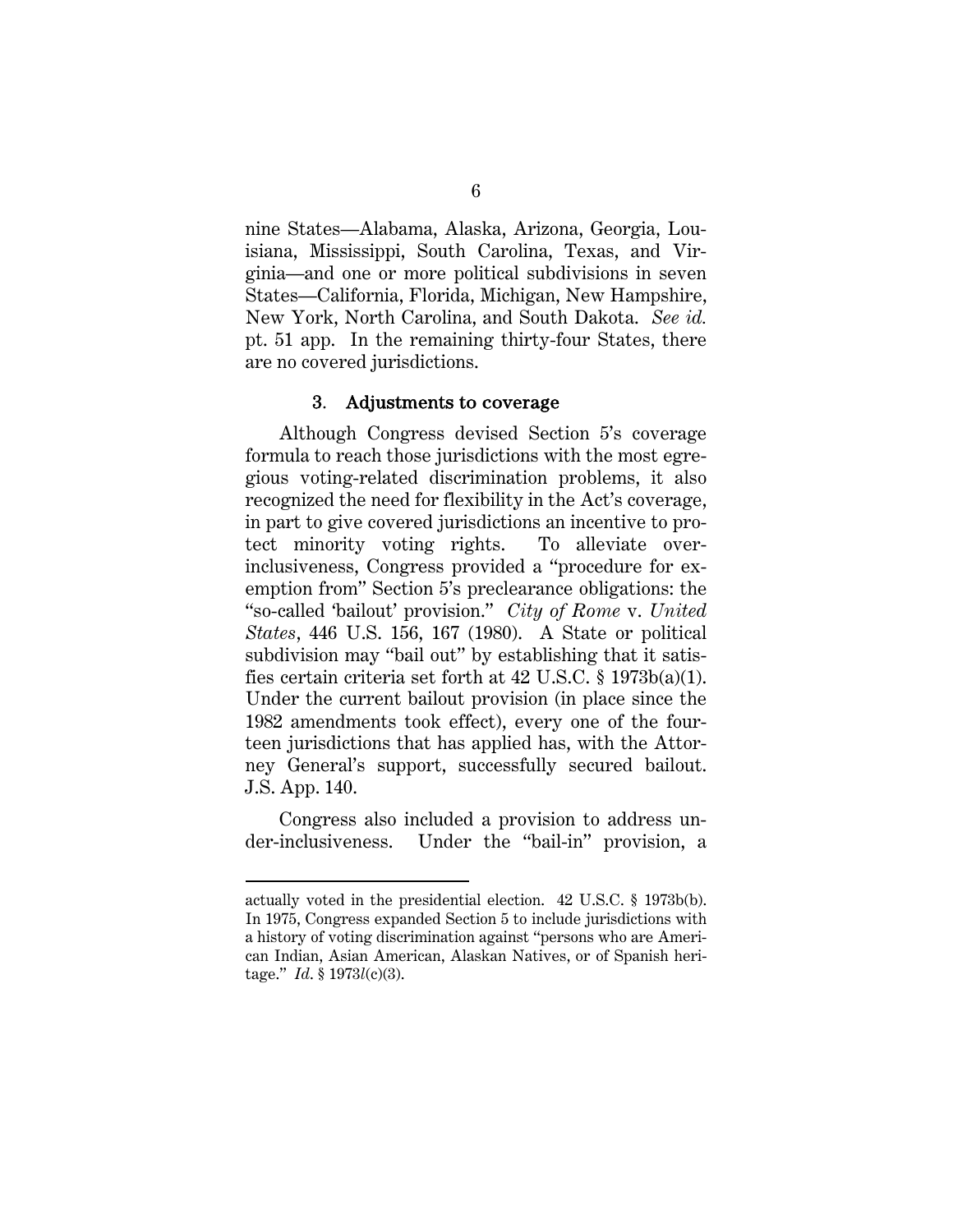nine States—Alabama, Alaska, Arizona, Georgia, Louisiana, Mississippi, South Carolina, Texas, and Virginia—and one or more political subdivisions in seven States—California, Florida, Michigan, New Hampshire, New York, North Carolina, and South Dakota. *See id.* pt. 51 app. In the remaining thirty-four States, there are no covered jurisdictions.

#### 3. Adjustments to coverage

Although Congress devised Section 5's coverage formula to reach those jurisdictions with the most egregious voting-related discrimination problems, it also recognized the need for flexibility in the Act's coverage, in part to give covered jurisdictions an incentive to protect minority voting rights. To alleviate overinclusiveness, Congress provided a "procedure for exemption from" Section 5's preclearance obligations: the "so-called 'bailout' provision." *City of Rome* v. *United States*, 446 U.S. 156, 167 (1980). A State or political subdivision may "bail out" by establishing that it satisfies certain criteria set forth at 42 U.S.C. § 1973b(a)(1). Under the current bailout provision (in place since the 1982 amendments took effect), every one of the fourteen jurisdictions that has applied has, with the Attorney General's support, successfully secured bailout. J.S. App. 140.

Congress also included a provision to address under-inclusiveness. Under the "bail-in" provision, a

l

actually voted in the presidential election. 42 U.S.C. § 1973b(b). In 1975, Congress expanded Section 5 to include jurisdictions with a history of voting discrimination against "persons who are American Indian, Asian American, Alaskan Natives, or of Spanish heritage." *Id*. § 1973*l*(c)(3).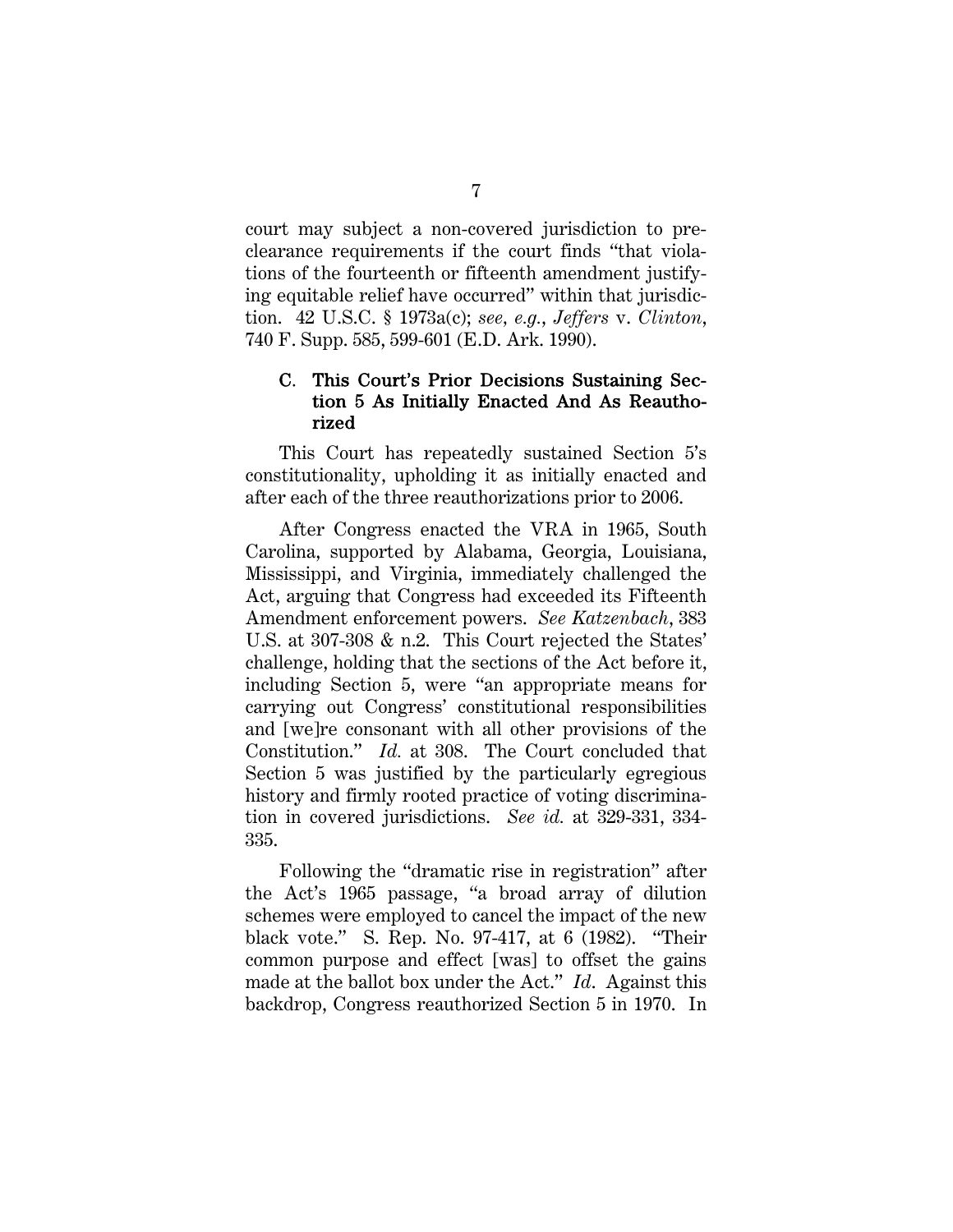court may subject a non-covered jurisdiction to preclearance requirements if the court finds "that violations of the fourteenth or fifteenth amendment justifying equitable relief have occurred" within that jurisdiction. 42 U.S.C. § 1973a(c); *see, e.g.*, *Jeffers* v. *Clinton*, 740 F. Supp. 585, 599-601 (E.D. Ark. 1990).

## C. This Court's Prior Decisions Sustaining Section 5 As Initially Enacted And As Reauthorized

This Court has repeatedly sustained Section 5's constitutionality, upholding it as initially enacted and after each of the three reauthorizations prior to 2006.

After Congress enacted the VRA in 1965, South Carolina, supported by Alabama, Georgia, Louisiana, Mississippi, and Virginia, immediately challenged the Act, arguing that Congress had exceeded its Fifteenth Amendment enforcement powers. *See Katzenbach*, 383 U.S. at 307-308 & n.2. This Court rejected the States' challenge, holding that the sections of the Act before it, including Section 5, were "an appropriate means for carrying out Congress' constitutional responsibilities and [we]re consonant with all other provisions of the Constitution." *Id.* at 308. The Court concluded that Section 5 was justified by the particularly egregious history and firmly rooted practice of voting discrimination in covered jurisdictions. *See id.* at 329-331, 334- 335.

Following the "dramatic rise in registration" after the Act's 1965 passage, "a broad array of dilution schemes were employed to cancel the impact of the new black vote." S. Rep. No. 97-417, at 6 (1982). "Their common purpose and effect [was] to offset the gains made at the ballot box under the Act." *Id*. Against this backdrop, Congress reauthorized Section 5 in 1970. In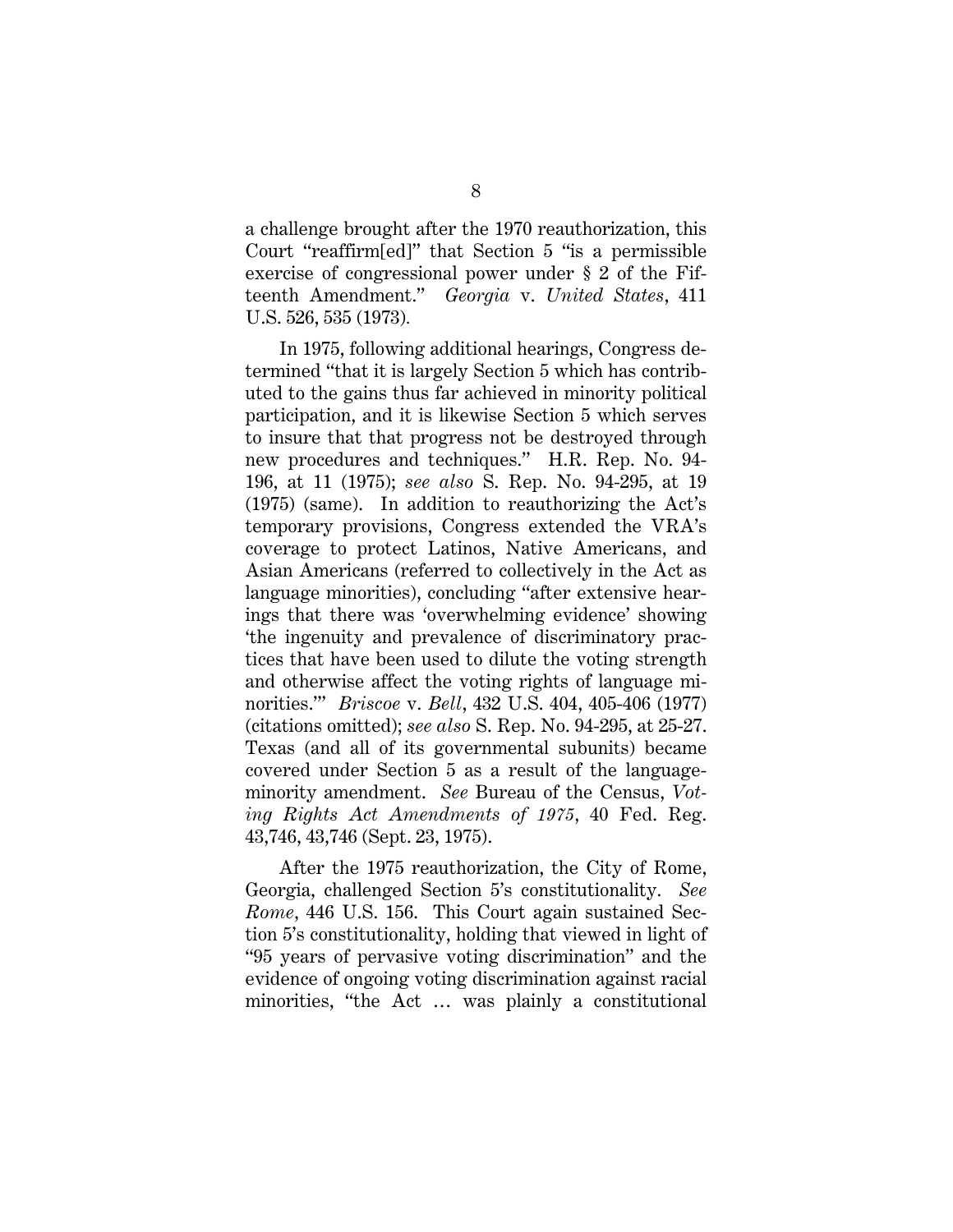a challenge brought after the 1970 reauthorization, this Court "reaffirm[ed]" that Section 5 "is a permissible exercise of congressional power under § 2 of the Fifteenth Amendment." *Georgia* v. *United States*, 411 U.S. 526, 535 (1973)*.*

In 1975, following additional hearings, Congress determined "that it is largely Section 5 which has contributed to the gains thus far achieved in minority political participation, and it is likewise Section 5 which serves to insure that that progress not be destroyed through new procedures and techniques." H.R. Rep. No. 94- 196, at 11 (1975); *see also* S. Rep. No. 94-295, at 19 (1975) (same). In addition to reauthorizing the Act's temporary provisions, Congress extended the VRA's coverage to protect Latinos, Native Americans, and Asian Americans (referred to collectively in the Act as language minorities), concluding "after extensive hearings that there was 'overwhelming evidence' showing 'the ingenuity and prevalence of discriminatory practices that have been used to dilute the voting strength and otherwise affect the voting rights of language minorities.'" *Briscoe* v. *Bell*, 432 U.S. 404, 405-406 (1977) (citations omitted); *see also* S. Rep. No. 94-295, at 25-27. Texas (and all of its governmental subunits) became covered under Section 5 as a result of the languageminority amendment. *See* Bureau of the Census, *Voting Rights Act Amendments of 1975*, 40 Fed. Reg. 43,746, 43,746 (Sept. 23, 1975).

After the 1975 reauthorization, the City of Rome, Georgia, challenged Section 5's constitutionality. *See Rome*, 446 U.S. 156. This Court again sustained Section 5's constitutionality, holding that viewed in light of "95 years of pervasive voting discrimination" and the evidence of ongoing voting discrimination against racial minorities, "the Act … was plainly a constitutional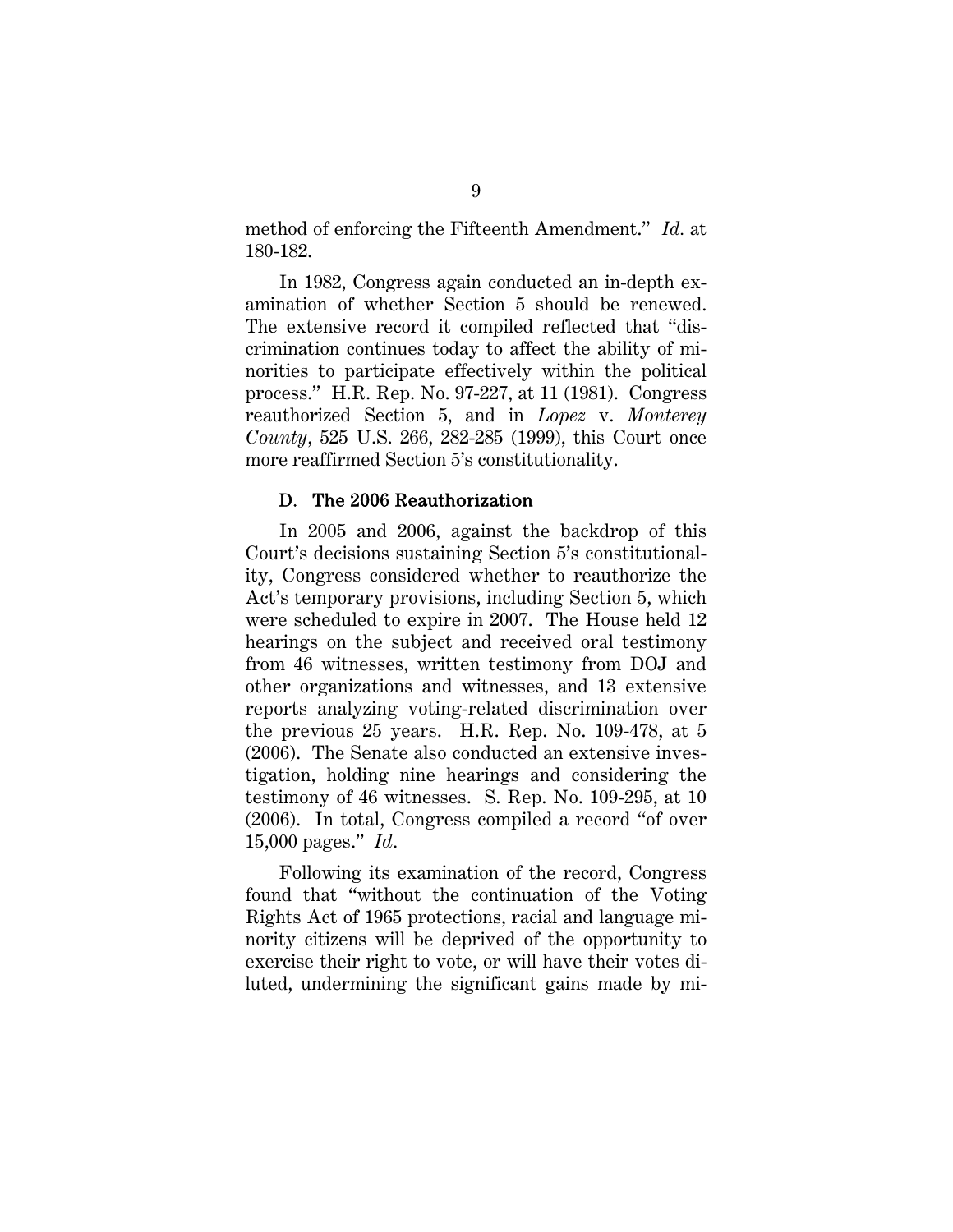method of enforcing the Fifteenth Amendment." *Id.* at 180-182.

In 1982, Congress again conducted an in-depth examination of whether Section 5 should be renewed. The extensive record it compiled reflected that "discrimination continues today to affect the ability of minorities to participate effectively within the political process." H.R. Rep. No. 97-227, at 11 (1981). Congress reauthorized Section 5, and in *Lopez* v. *Monterey County*, 525 U.S. 266, 282-285 (1999), this Court once more reaffirmed Section 5's constitutionality.

#### D. The 2006 Reauthorization

In 2005 and 2006, against the backdrop of this Court's decisions sustaining Section 5's constitutionality, Congress considered whether to reauthorize the Act's temporary provisions, including Section 5, which were scheduled to expire in 2007. The House held 12 hearings on the subject and received oral testimony from 46 witnesses, written testimony from DOJ and other organizations and witnesses, and 13 extensive reports analyzing voting-related discrimination over the previous 25 years. H.R. Rep. No. 109-478, at 5 (2006). The Senate also conducted an extensive investigation, holding nine hearings and considering the testimony of 46 witnesses. S. Rep. No. 109-295, at 10 (2006). In total, Congress compiled a record "of over 15,000 pages." *Id*.

Following its examination of the record, Congress found that "without the continuation of the Voting Rights Act of 1965 protections, racial and language minority citizens will be deprived of the opportunity to exercise their right to vote, or will have their votes diluted, undermining the significant gains made by mi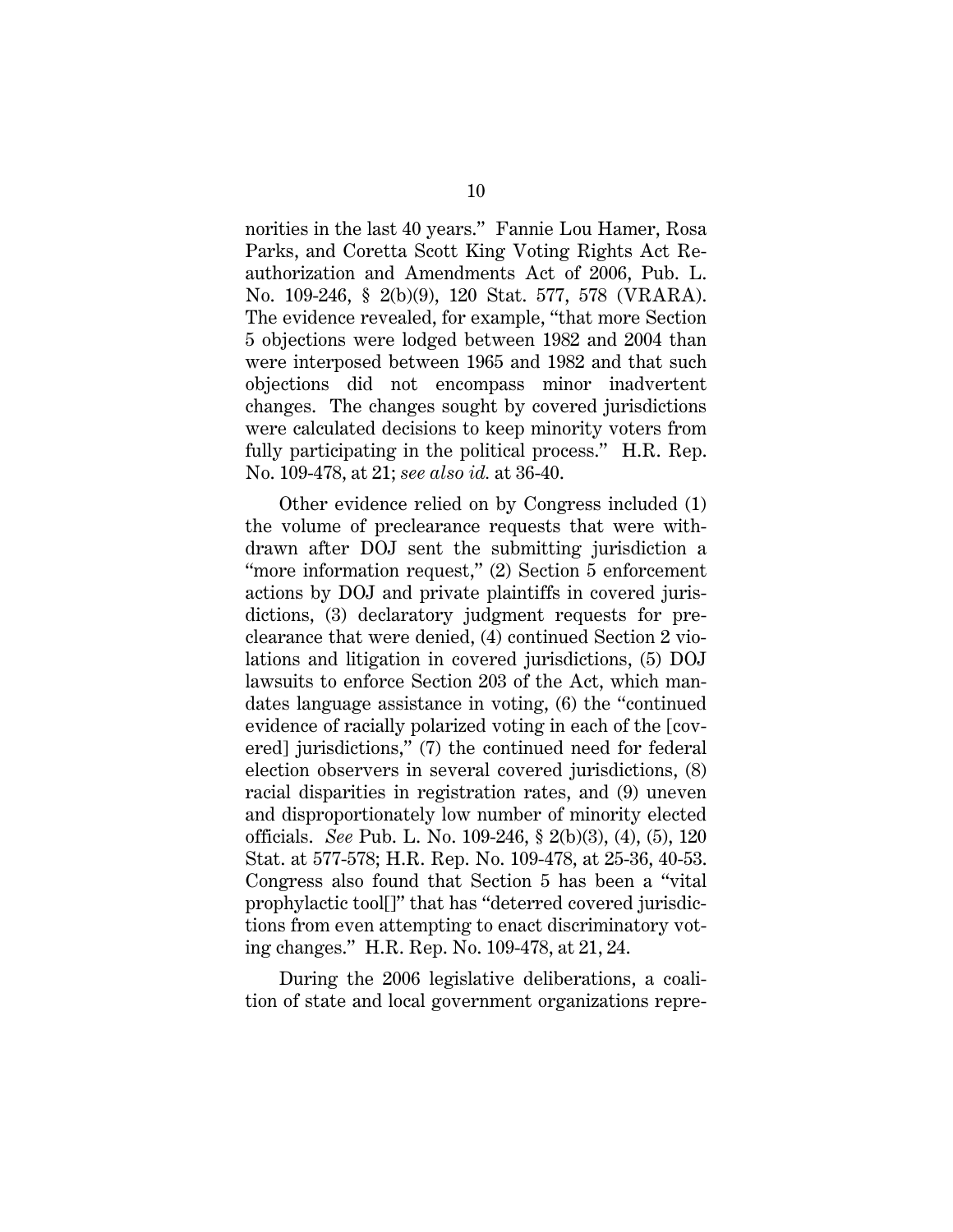norities in the last 40 years." Fannie Lou Hamer, Rosa Parks, and Coretta Scott King Voting Rights Act Reauthorization and Amendments Act of 2006, Pub. L. No. 109-246, § 2(b)(9), 120 Stat. 577, 578 (VRARA). The evidence revealed, for example, "that more Section 5 objections were lodged between 1982 and 2004 than were interposed between 1965 and 1982 and that such objections did not encompass minor inadvertent changes. The changes sought by covered jurisdictions were calculated decisions to keep minority voters from fully participating in the political process." H.R. Rep. No. 109-478, at 21; *see also id.* at 36-40.

Other evidence relied on by Congress included (1) the volume of preclearance requests that were withdrawn after DOJ sent the submitting jurisdiction a "more information request," (2) Section 5 enforcement actions by DOJ and private plaintiffs in covered jurisdictions, (3) declaratory judgment requests for preclearance that were denied, (4) continued Section 2 violations and litigation in covered jurisdictions, (5) DOJ lawsuits to enforce Section 203 of the Act, which mandates language assistance in voting, (6) the "continued evidence of racially polarized voting in each of the [covered] jurisdictions," (7) the continued need for federal election observers in several covered jurisdictions, (8) racial disparities in registration rates, and (9) uneven and disproportionately low number of minority elected officials. *See* Pub. L. No. 109-246, § 2(b)(3), (4), (5), 120 Stat. at 577-578; H.R. Rep. No. 109-478, at 25-36, 40-53. Congress also found that Section 5 has been a "vital prophylactic tool[]" that has "deterred covered jurisdictions from even attempting to enact discriminatory voting changes." H.R. Rep. No. 109-478, at 21, 24.

During the 2006 legislative deliberations, a coalition of state and local government organizations repre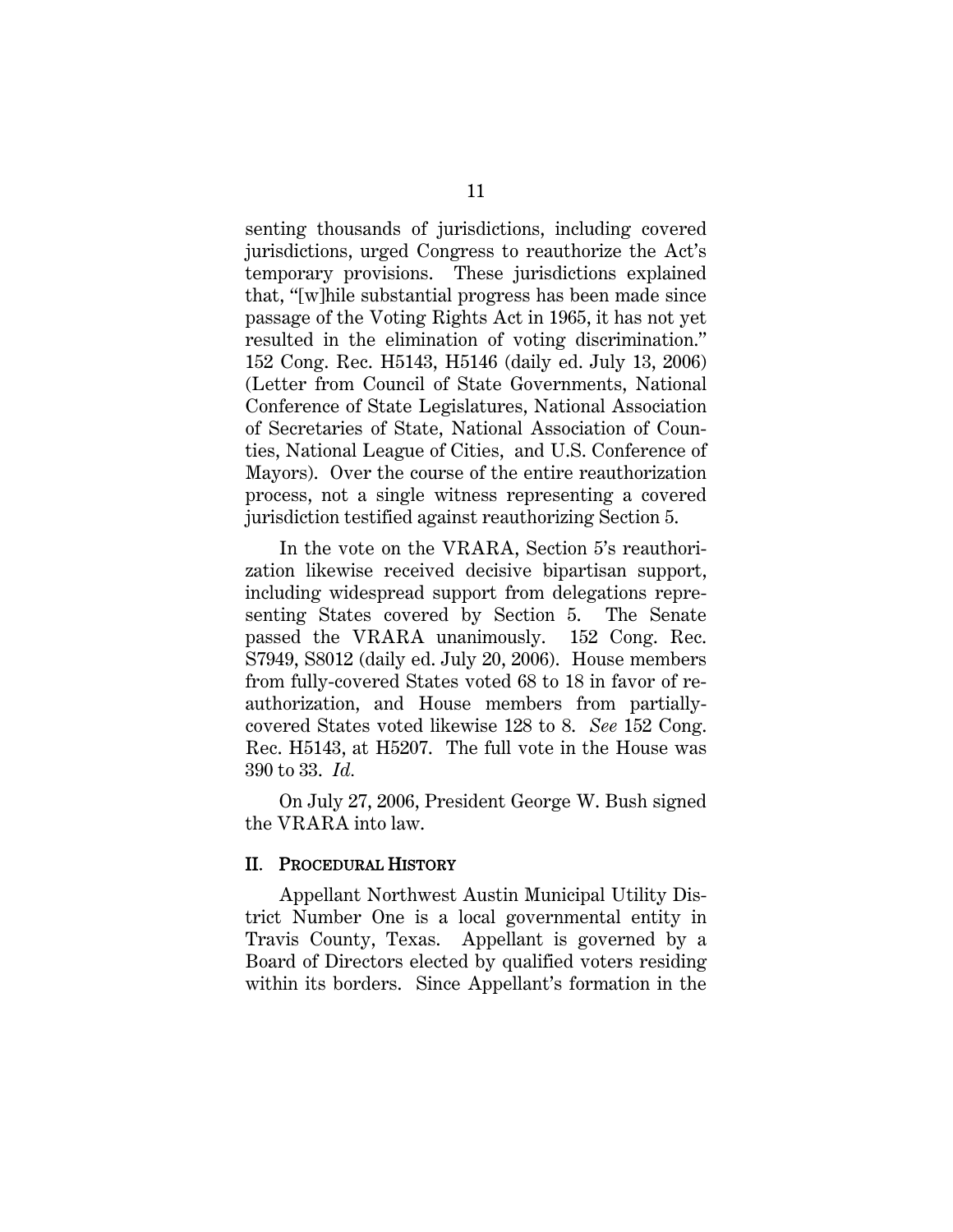senting thousands of jurisdictions, including covered jurisdictions, urged Congress to reauthorize the Act's temporary provisions. These jurisdictions explained that, "[w]hile substantial progress has been made since passage of the Voting Rights Act in 1965, it has not yet resulted in the elimination of voting discrimination." 152 Cong. Rec. H5143, H5146 (daily ed. July 13, 2006) (Letter from Council of State Governments, National Conference of State Legislatures, National Association of Secretaries of State, National Association of Counties, National League of Cities, and U.S. Conference of Mayors). Over the course of the entire reauthorization process, not a single witness representing a covered jurisdiction testified against reauthorizing Section 5.

In the vote on the VRARA, Section 5's reauthorization likewise received decisive bipartisan support, including widespread support from delegations representing States covered by Section 5. The Senate passed the VRARA unanimously. 152 Cong. Rec. S7949, S8012 (daily ed. July 20, 2006). House members from fully-covered States voted 68 to 18 in favor of reauthorization, and House members from partiallycovered States voted likewise 128 to 8. *See* 152 Cong. Rec. H5143, at H5207. The full vote in the House was 390 to 33. *Id.*

On July 27, 2006, President George W. Bush signed the VRARA into law.

#### II. PROCEDURAL HISTORY

Appellant Northwest Austin Municipal Utility District Number One is a local governmental entity in Travis County, Texas. Appellant is governed by a Board of Directors elected by qualified voters residing within its borders. Since Appellant's formation in the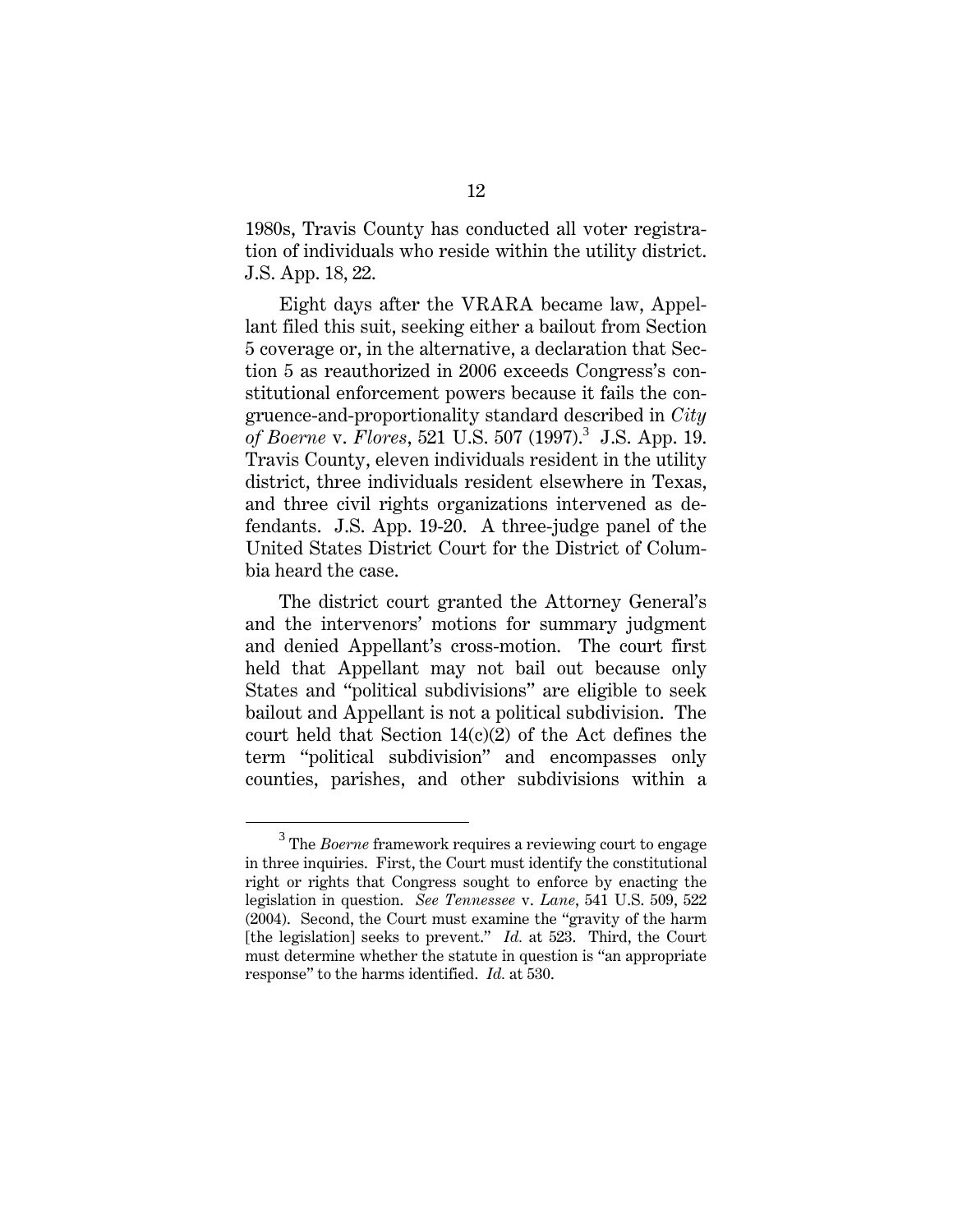1980s, Travis County has conducted all voter registration of individuals who reside within the utility district. J.S. App. 18, 22.

Eight days after the VRARA became law, Appellant filed this suit, seeking either a bailout from Section 5 coverage or, in the alternative, a declaration that Section 5 as reauthorized in 2006 exceeds Congress's constitutional enforcement powers because it fails the congruence-and-proportionality standard described in *City of Boerne v. Flores, 521 U.S. 507 (1997).*<sup>3</sup> J.S. App. 19. Travis County, eleven individuals resident in the utility district, three individuals resident elsewhere in Texas, and three civil rights organizations intervened as defendants. J.S. App. 19-20. A three-judge panel of the United States District Court for the District of Columbia heard the case.

The district court granted the Attorney General's and the intervenors' motions for summary judgment and denied Appellant's cross-motion. The court first held that Appellant may not bail out because only States and "political subdivisions" are eligible to seek bailout and Appellant is not a political subdivision. The court held that Section  $14(c)(2)$  of the Act defines the term "political subdivision" and encompasses only counties, parishes, and other subdivisions within a

 $\overline{\phantom{0}3}$ <sup>3</sup> The *Boerne* framework requires a reviewing court to engage in three inquiries. First, the Court must identify the constitutional right or rights that Congress sought to enforce by enacting the legislation in question. *See Tennessee* v. *Lane*, 541 U.S. 509, 522 (2004). Second, the Court must examine the "gravity of the harm [the legislation] seeks to prevent." *Id.* at 523. Third, the Court must determine whether the statute in question is "an appropriate response" to the harms identified. *Id.* at 530.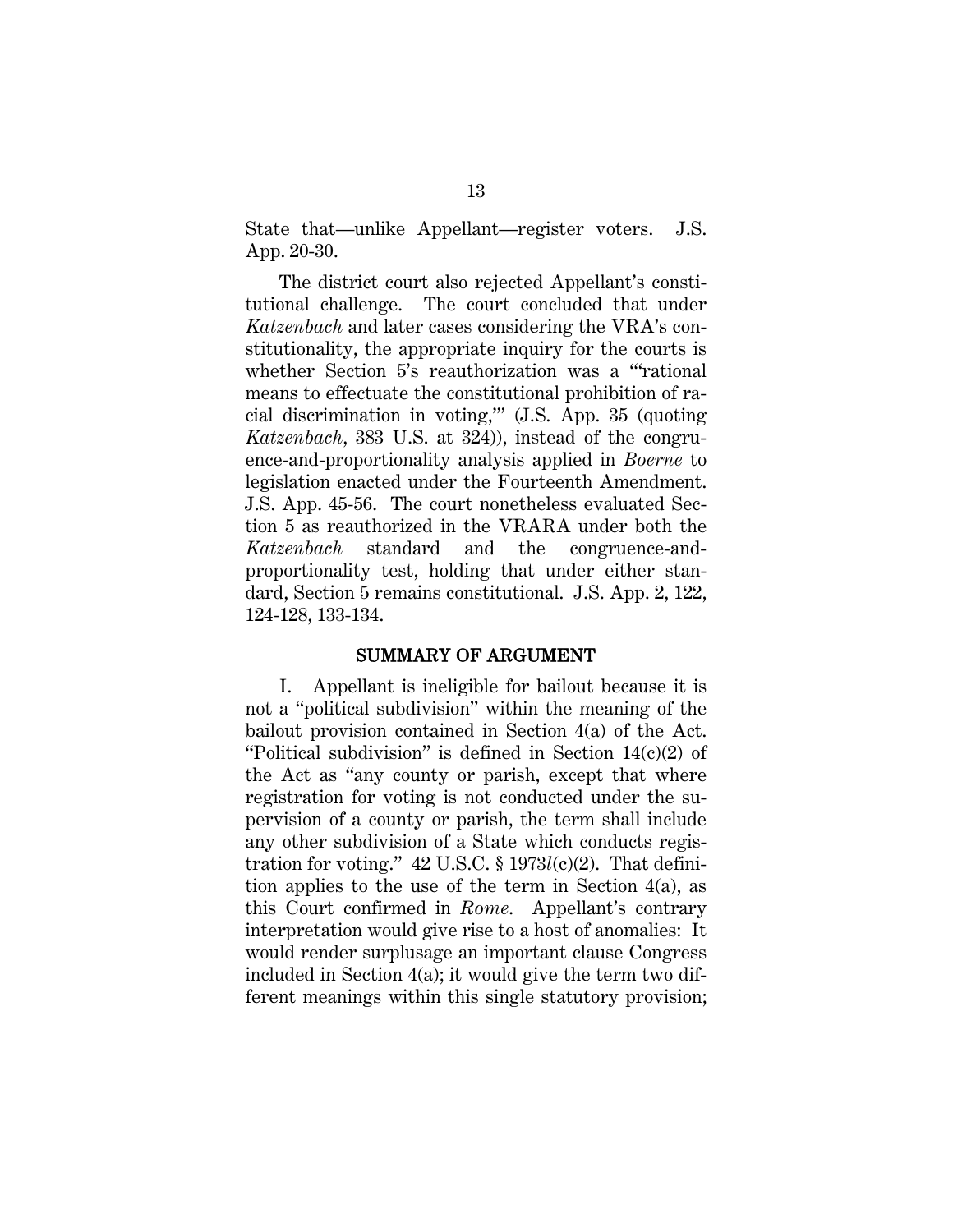State that—unlike Appellant—register voters. J.S. App. 20-30.

The district court also rejected Appellant's constitutional challenge. The court concluded that under *Katzenbach* and later cases considering the VRA's constitutionality, the appropriate inquiry for the courts is whether Section 5's reauthorization was a "rational" means to effectuate the constitutional prohibition of racial discrimination in voting,'" (J.S. App. 35 (quoting *Katzenbach*, 383 U.S. at 324)), instead of the congruence-and-proportionality analysis applied in *Boerne* to legislation enacted under the Fourteenth Amendment. J.S. App. 45-56. The court nonetheless evaluated Section 5 as reauthorized in the VRARA under both the *Katzenbach* standard and the congruence-andproportionality test, holding that under either standard, Section 5 remains constitutional. J.S. App. 2, 122, 124-128, 133-134.

#### SUMMARY OF ARGUMENT

I. Appellant is ineligible for bailout because it is not a "political subdivision" within the meaning of the bailout provision contained in Section 4(a) of the Act. "Political subdivision" is defined in Section 14(c)(2) of the Act as "any county or parish, except that where registration for voting is not conducted under the supervision of a county or parish, the term shall include any other subdivision of a State which conducts registration for voting." 42 U.S.C. § 1973*l*(c)(2). That definition applies to the use of the term in Section 4(a), as this Court confirmed in *Rome*. Appellant's contrary interpretation would give rise to a host of anomalies: It would render surplusage an important clause Congress included in Section 4(a); it would give the term two different meanings within this single statutory provision;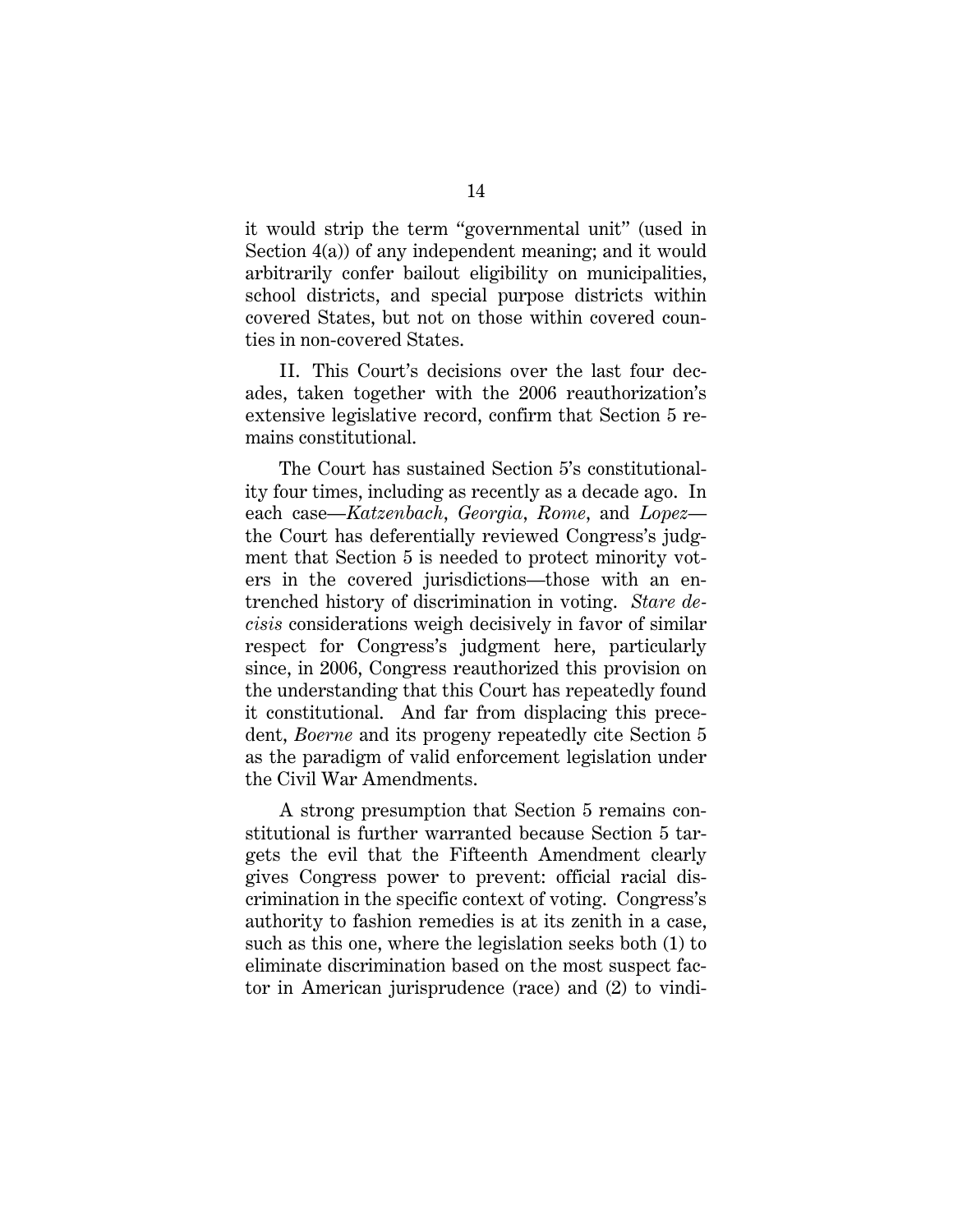it would strip the term "governmental unit" (used in Section 4(a)) of any independent meaning; and it would arbitrarily confer bailout eligibility on municipalities, school districts, and special purpose districts within covered States, but not on those within covered counties in non-covered States.

II. This Court's decisions over the last four decades, taken together with the 2006 reauthorization's extensive legislative record, confirm that Section 5 remains constitutional.

The Court has sustained Section 5's constitutionality four times, including as recently as a decade ago. In each case—*Katzenbach*, *Georgia*, *Rome*, and *Lopez* the Court has deferentially reviewed Congress's judgment that Section 5 is needed to protect minority voters in the covered jurisdictions—those with an entrenched history of discrimination in voting. *Stare decisis* considerations weigh decisively in favor of similar respect for Congress's judgment here, particularly since, in 2006, Congress reauthorized this provision on the understanding that this Court has repeatedly found it constitutional. And far from displacing this precedent, *Boerne* and its progeny repeatedly cite Section 5 as the paradigm of valid enforcement legislation under the Civil War Amendments.

A strong presumption that Section 5 remains constitutional is further warranted because Section 5 targets the evil that the Fifteenth Amendment clearly gives Congress power to prevent: official racial discrimination in the specific context of voting. Congress's authority to fashion remedies is at its zenith in a case, such as this one, where the legislation seeks both (1) to eliminate discrimination based on the most suspect factor in American jurisprudence (race) and (2) to vindi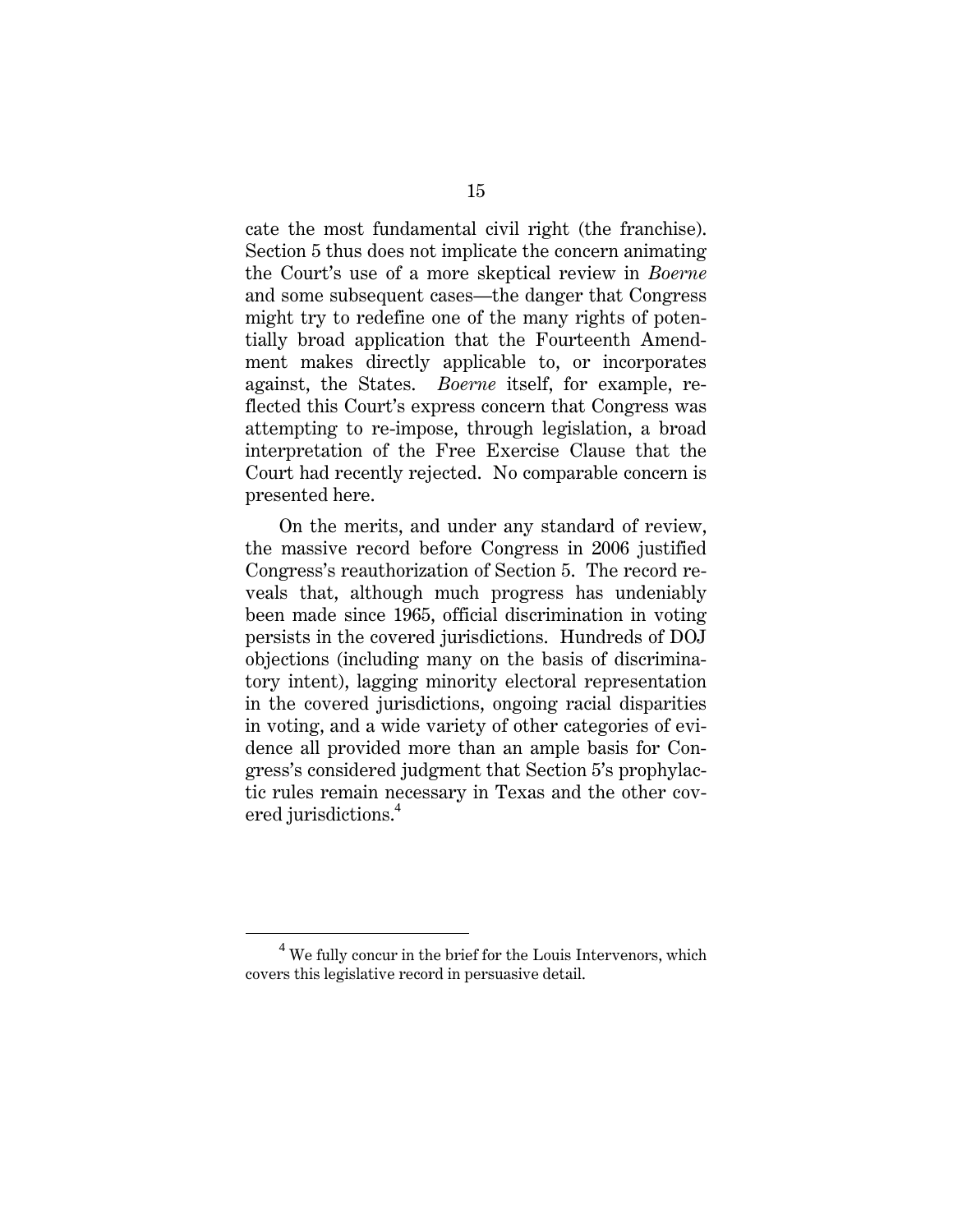cate the most fundamental civil right (the franchise). Section 5 thus does not implicate the concern animating the Court's use of a more skeptical review in *Boerne* and some subsequent cases—the danger that Congress might try to redefine one of the many rights of potentially broad application that the Fourteenth Amendment makes directly applicable to, or incorporates against, the States. *Boerne* itself, for example, reflected this Court's express concern that Congress was attempting to re-impose, through legislation, a broad interpretation of the Free Exercise Clause that the Court had recently rejected. No comparable concern is presented here.

On the merits, and under any standard of review, the massive record before Congress in 2006 justified Congress's reauthorization of Section 5. The record reveals that, although much progress has undeniably been made since 1965, official discrimination in voting persists in the covered jurisdictions. Hundreds of DOJ objections (including many on the basis of discriminatory intent), lagging minority electoral representation in the covered jurisdictions, ongoing racial disparities in voting, and a wide variety of other categories of evidence all provided more than an ample basis for Congress's considered judgment that Section 5's prophylactic rules remain necessary in Texas and the other covered jurisdictions.<sup>4</sup>

 $\overline{4}$  $4$  We fully concur in the brief for the Louis Intervenors, which covers this legislative record in persuasive detail.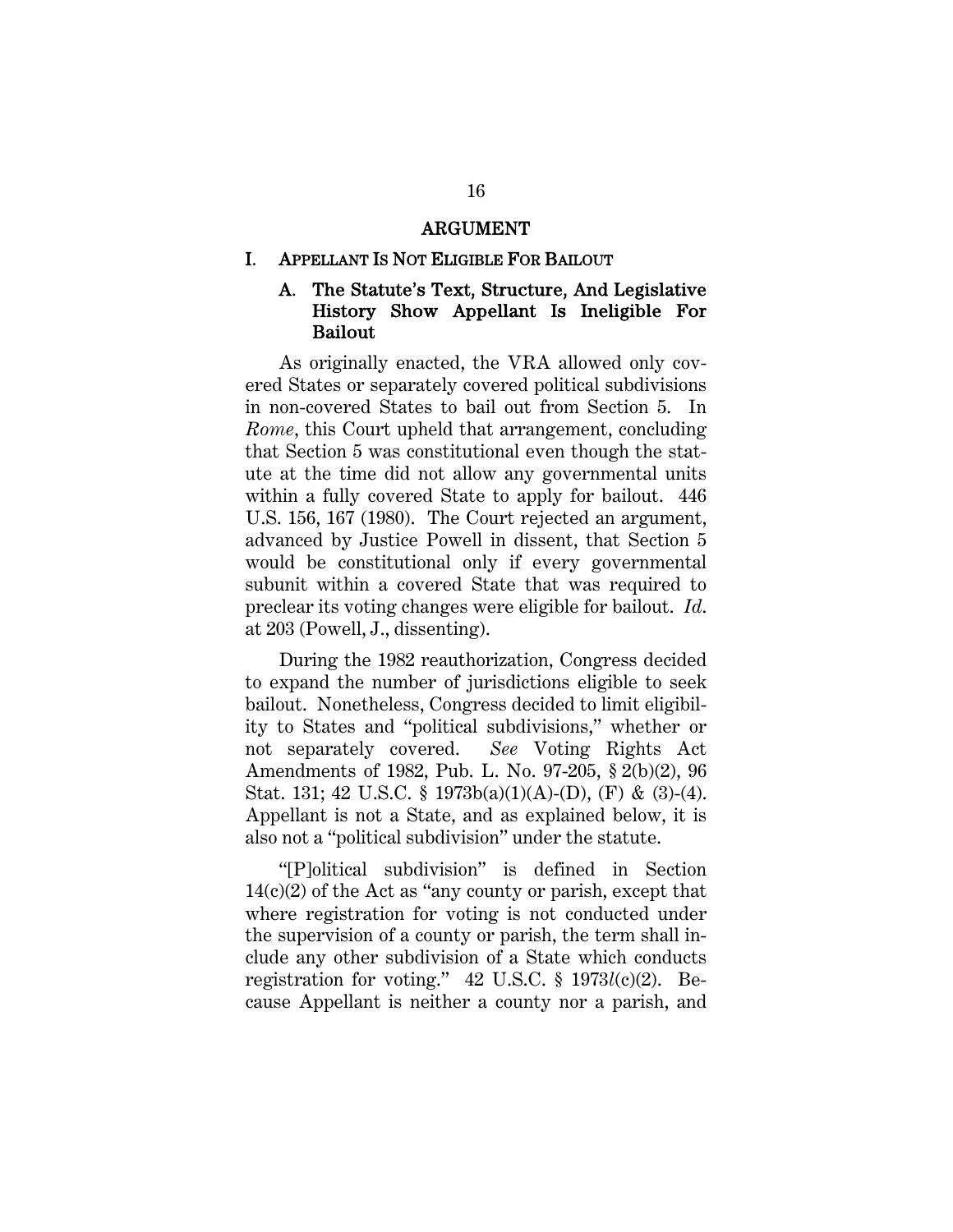#### ARGUMENT

#### I. APPELLANT IS NOT ELIGIBLE FOR BAILOUT

## A. The Statute's Text, Structure, And Legislative History Show Appellant Is Ineligible For Bailout

As originally enacted, the VRA allowed only covered States or separately covered political subdivisions in non-covered States to bail out from Section 5. In *Rome*, this Court upheld that arrangement, concluding that Section 5 was constitutional even though the statute at the time did not allow any governmental units within a fully covered State to apply for bailout. 446 U.S. 156, 167 (1980). The Court rejected an argument, advanced by Justice Powell in dissent, that Section 5 would be constitutional only if every governmental subunit within a covered State that was required to preclear its voting changes were eligible for bailout. *Id*. at 203 (Powell, J., dissenting).

During the 1982 reauthorization, Congress decided to expand the number of jurisdictions eligible to seek bailout. Nonetheless, Congress decided to limit eligibility to States and "political subdivisions," whether or not separately covered. *See* Voting Rights Act Amendments of 1982, Pub. L. No. 97-205, § 2(b)(2), 96 Stat. 131; 42 U.S.C. § 1973b(a)(1)(A)-(D), (F) & (3)-(4). Appellant is not a State, and as explained below, it is also not a "political subdivision" under the statute.

"[P]olitical subdivision" is defined in Section  $14(c)(2)$  of the Act as "any county or parish, except that where registration for voting is not conducted under the supervision of a county or parish, the term shall include any other subdivision of a State which conducts registration for voting." 42 U.S.C. § 1973*l*(c)(2). Because Appellant is neither a county nor a parish, and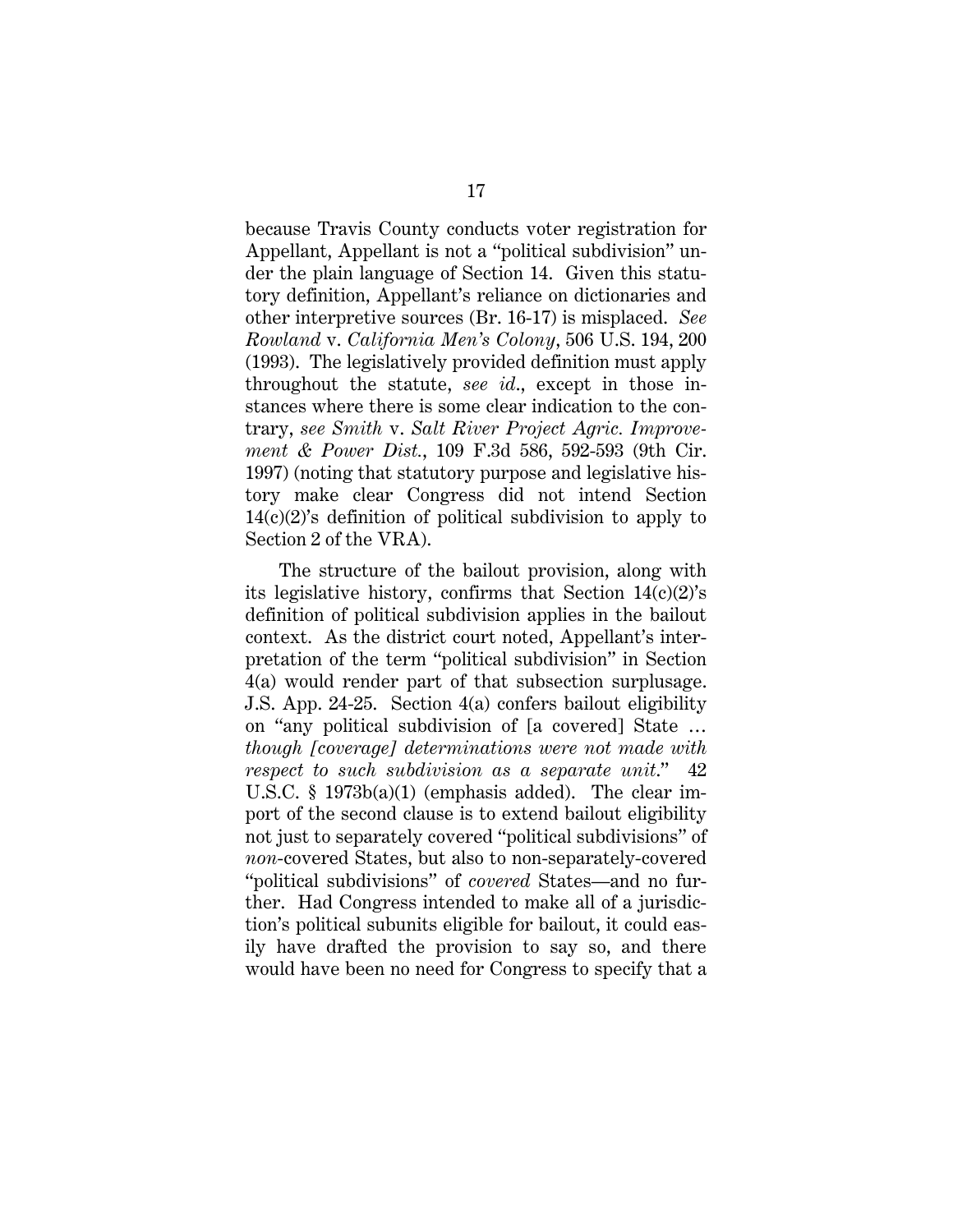because Travis County conducts voter registration for Appellant, Appellant is not a "political subdivision" under the plain language of Section 14. Given this statutory definition, Appellant's reliance on dictionaries and other interpretive sources (Br. 16-17) is misplaced. *See Rowland* v. *California Men's Colony*, 506 U.S. 194, 200 (1993). The legislatively provided definition must apply throughout the statute, *see id*., except in those instances where there is some clear indication to the contrary, *see Smith* v. *Salt River Project Agric. Improvement & Power Dist.*, 109 F.3d 586, 592-593 (9th Cir. 1997) (noting that statutory purpose and legislative history make clear Congress did not intend Section 14(c)(2)'s definition of political subdivision to apply to Section 2 of the VRA).

The structure of the bailout provision, along with its legislative history, confirms that Section 14(c)(2)'s definition of political subdivision applies in the bailout context. As the district court noted, Appellant's interpretation of the term "political subdivision" in Section 4(a) would render part of that subsection surplusage. J.S. App. 24-25. Section 4(a) confers bailout eligibility on "any political subdivision of [a covered] State … *though [coverage] determinations were not made with respect to such subdivision as a separate unit*." 42 U.S.C. § 1973b(a)(1) (emphasis added). The clear import of the second clause is to extend bailout eligibility not just to separately covered "political subdivisions" of *non*-covered States, but also to non-separately-covered "political subdivisions" of *covered* States—and no further. Had Congress intended to make all of a jurisdiction's political subunits eligible for bailout, it could easily have drafted the provision to say so, and there would have been no need for Congress to specify that a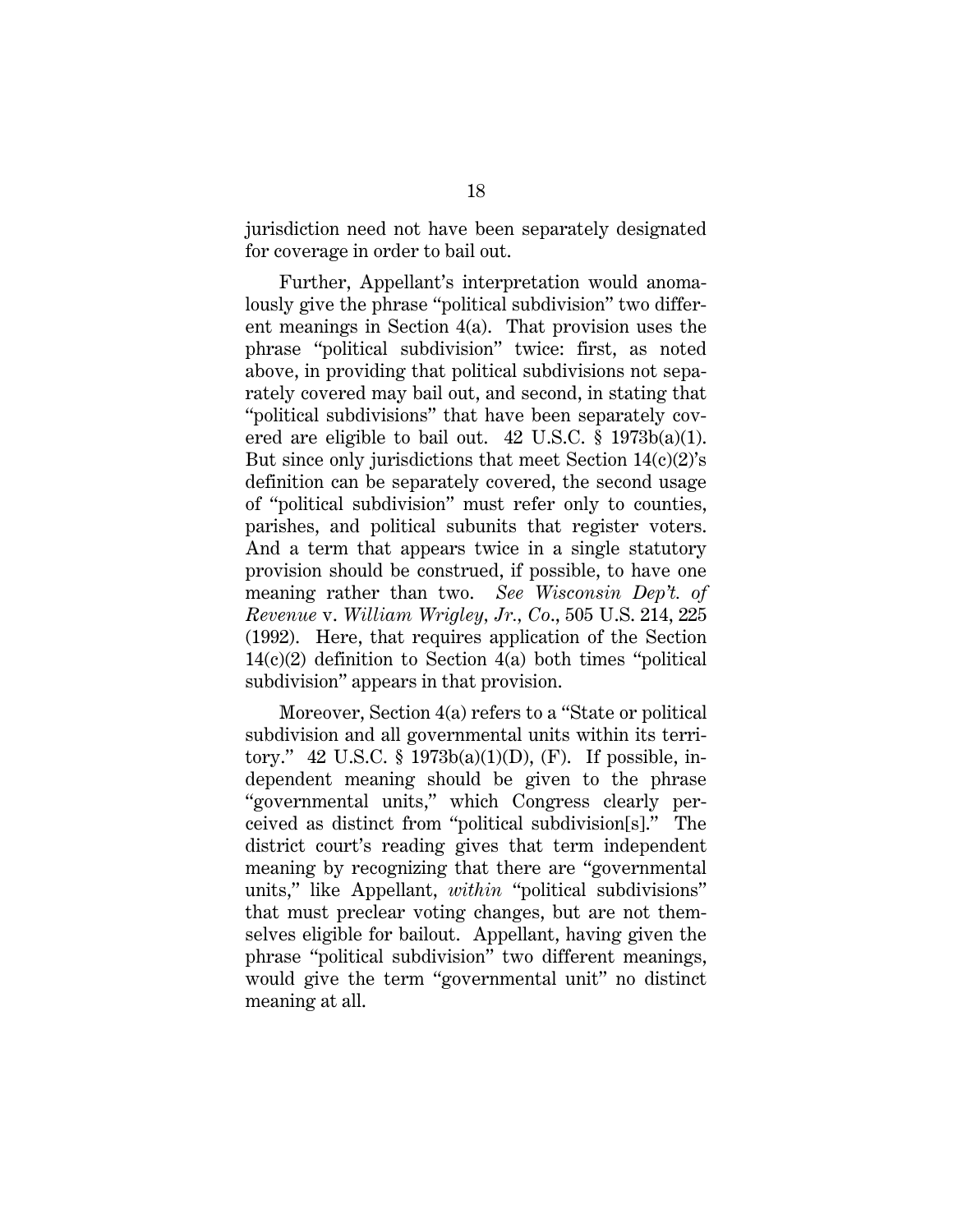jurisdiction need not have been separately designated for coverage in order to bail out.

Further, Appellant's interpretation would anomalously give the phrase "political subdivision" two different meanings in Section 4(a). That provision uses the phrase "political subdivision" twice: first, as noted above, in providing that political subdivisions not separately covered may bail out, and second, in stating that "political subdivisions" that have been separately covered are eligible to bail out.  $42 \text{ U.S.C. }$  §  $1973b(a)(1)$ . But since only jurisdictions that meet Section  $14(c)(2)$ 's definition can be separately covered, the second usage of "political subdivision" must refer only to counties, parishes, and political subunits that register voters. And a term that appears twice in a single statutory provision should be construed, if possible, to have one meaning rather than two. *See Wisconsin Dep't. of Revenue* v. *William Wrigley, Jr., Co*., 505 U.S. 214, 225 (1992). Here, that requires application of the Section  $14(c)(2)$  definition to Section  $4(a)$  both times "political subdivision" appears in that provision.

Moreover, Section 4(a) refers to a "State or political subdivision and all governmental units within its territory." 42 U.S.C. § 1973b(a)(1)(D), (F). If possible, independent meaning should be given to the phrase "governmental units," which Congress clearly perceived as distinct from "political subdivision[s]." The district court's reading gives that term independent meaning by recognizing that there are "governmental units," like Appellant, *within* "political subdivisions" that must preclear voting changes, but are not themselves eligible for bailout. Appellant, having given the phrase "political subdivision" two different meanings, would give the term "governmental unit" no distinct meaning at all.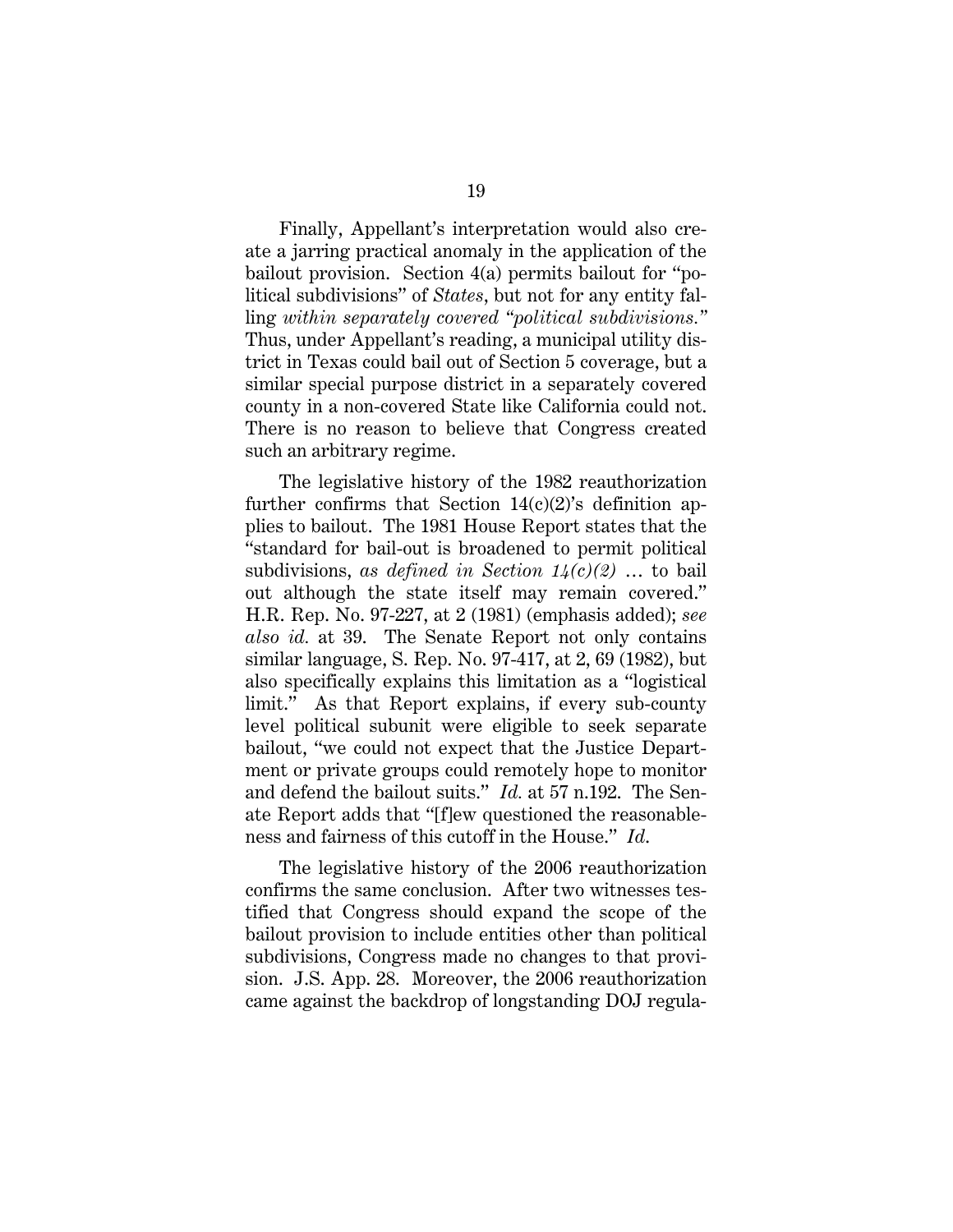Finally, Appellant's interpretation would also create a jarring practical anomaly in the application of the bailout provision. Section 4(a) permits bailout for "political subdivisions" of *States*, but not for any entity falling *within separately covered "political subdivisions."* Thus, under Appellant's reading, a municipal utility district in Texas could bail out of Section 5 coverage, but a similar special purpose district in a separately covered county in a non-covered State like California could not. There is no reason to believe that Congress created such an arbitrary regime.

The legislative history of the 1982 reauthorization further confirms that Section  $14(c)(2)$ 's definition applies to bailout. The 1981 House Report states that the "standard for bail-out is broadened to permit political subdivisions, *as defined in Section 14(c)(2)* … to bail out although the state itself may remain covered." H.R. Rep. No. 97-227, at 2 (1981) (emphasis added); *see also id.* at 39. The Senate Report not only contains similar language, S. Rep. No. 97-417, at 2, 69 (1982), but also specifically explains this limitation as a "logistical limit." As that Report explains, if every sub-county level political subunit were eligible to seek separate bailout, "we could not expect that the Justice Department or private groups could remotely hope to monitor and defend the bailout suits." *Id.* at 57 n.192. The Senate Report adds that "[f]ew questioned the reasonableness and fairness of this cutoff in the House." *Id*.

The legislative history of the 2006 reauthorization confirms the same conclusion. After two witnesses testified that Congress should expand the scope of the bailout provision to include entities other than political subdivisions, Congress made no changes to that provision. J.S. App. 28. Moreover, the 2006 reauthorization came against the backdrop of longstanding DOJ regula-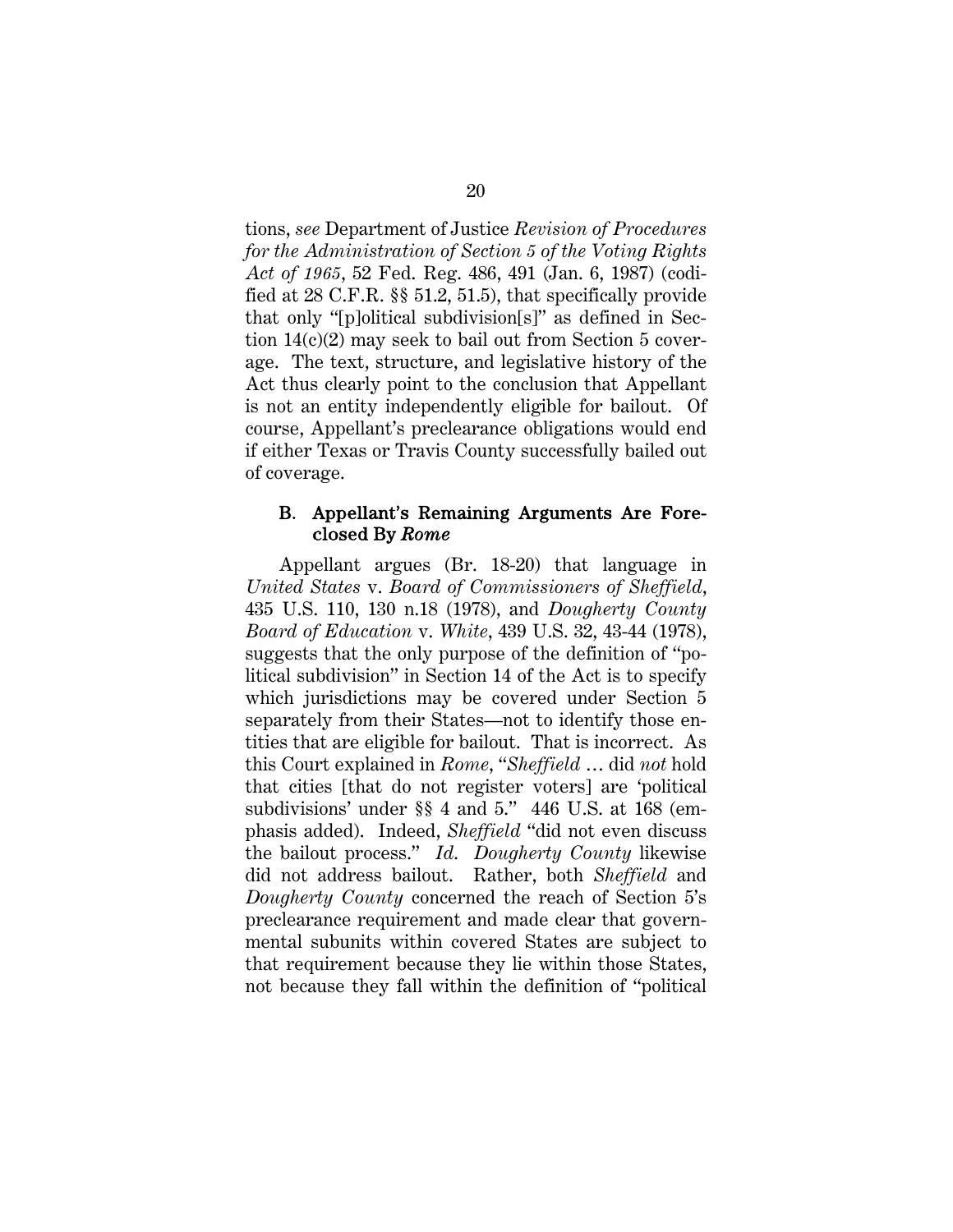tions, *see* Department of Justice *Revision of Procedures for the Administration of Section 5 of the Voting Rights Act of 1965*, 52 Fed. Reg. 486, 491 (Jan. 6, 1987) (codified at 28 C.F.R. §§ 51.2, 51.5), that specifically provide that only "[p]olitical subdivision[s]" as defined in Section 14(c)(2) may seek to bail out from Section 5 coverage. The text, structure, and legislative history of the Act thus clearly point to the conclusion that Appellant is not an entity independently eligible for bailout. Of course, Appellant's preclearance obligations would end if either Texas or Travis County successfully bailed out of coverage.

### B. Appellant's Remaining Arguments Are Foreclosed By *Rome*

Appellant argues (Br. 18-20) that language in *United States* v. *Board of Commissioners of Sheffield*, 435 U.S. 110, 130 n.18 (1978), and *Dougherty County Board of Education* v. *White*, 439 U.S. 32, 43-44 (1978), suggests that the only purpose of the definition of "political subdivision" in Section 14 of the Act is to specify which jurisdictions may be covered under Section 5 separately from their States—not to identify those entities that are eligible for bailout. That is incorrect. As this Court explained in *Rome*, "*Sheffield* … did *not* hold that cities [that do not register voters] are 'political subdivisions' under §§ 4 and 5." 446 U.S. at 168 (emphasis added). Indeed, *Sheffield* "did not even discuss the bailout process." *Id*. *Dougherty County* likewise did not address bailout. Rather, both *Sheffield* and *Dougherty County* concerned the reach of Section 5's preclearance requirement and made clear that governmental subunits within covered States are subject to that requirement because they lie within those States, not because they fall within the definition of "political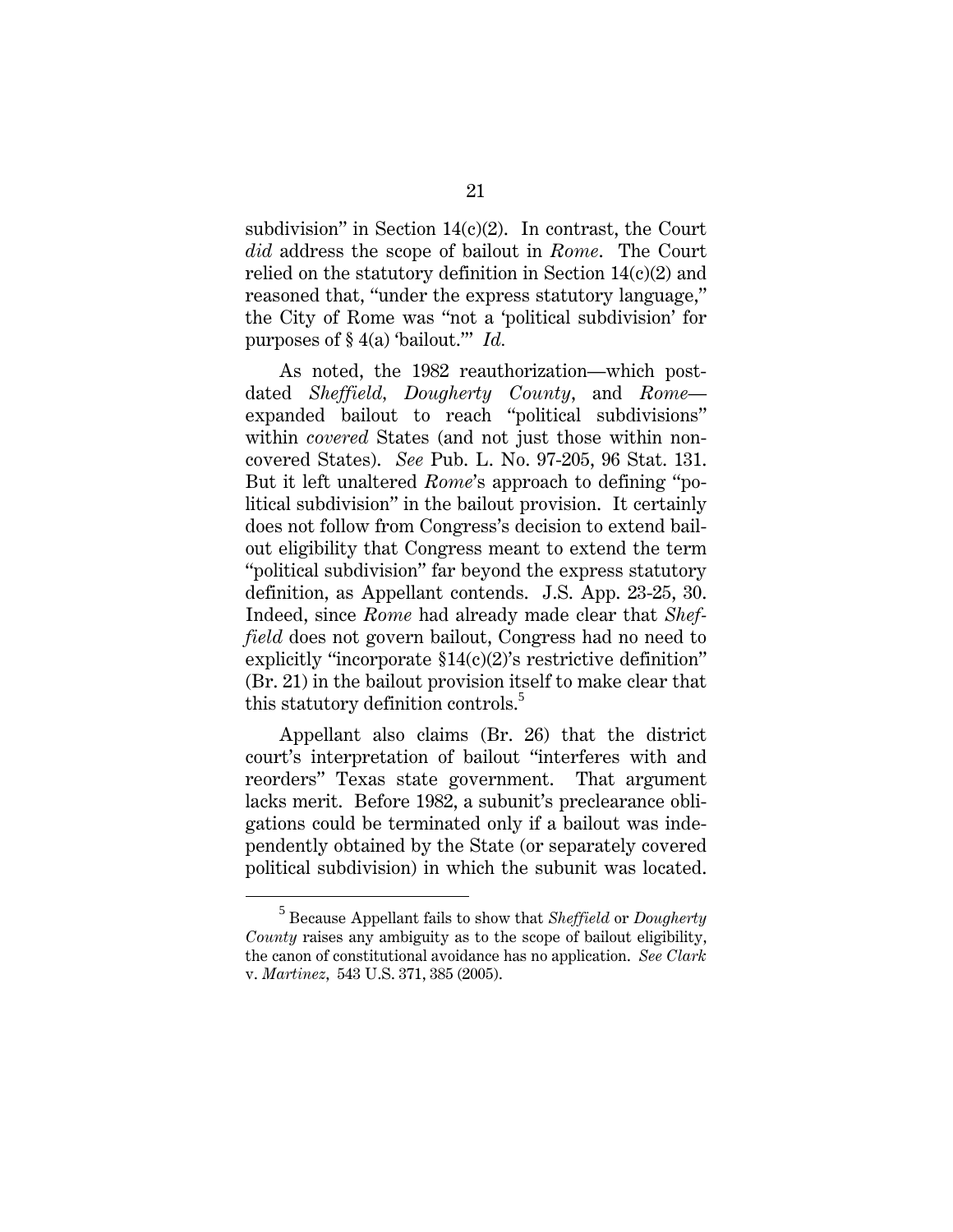subdivision" in Section  $14(c)(2)$ . In contrast, the Court *did* address the scope of bailout in *Rome*. The Court relied on the statutory definition in Section  $14(c)(2)$  and reasoned that, "under the express statutory language," the City of Rome was "not a 'political subdivision' for purposes of § 4(a) 'bailout.'" *Id.*

As noted, the 1982 reauthorization—which postdated *Sheffield, Dougherty County*, and *Rome* expanded bailout to reach "political subdivisions" within *covered* States (and not just those within noncovered States). *See* Pub. L. No. 97-205, 96 Stat. 131. But it left unaltered *Rome*'s approach to defining "political subdivision" in the bailout provision. It certainly does not follow from Congress's decision to extend bailout eligibility that Congress meant to extend the term "political subdivision" far beyond the express statutory definition, as Appellant contends. J.S. App. 23-25, 30. Indeed, since *Rome* had already made clear that *Sheffield* does not govern bailout, Congress had no need to explicitly "incorporate  $$14(c)(2)$ 's restrictive definition" (Br. 21) in the bailout provision itself to make clear that this statutory definition controls.<sup>5</sup>

Appellant also claims (Br. 26) that the district court's interpretation of bailout "interferes with and reorders" Texas state government. That argument lacks merit. Before 1982, a subunit's preclearance obligations could be terminated only if a bailout was independently obtained by the State (or separately covered political subdivision) in which the subunit was located.

 $rac{1}{5}$  Because Appellant fails to show that *Sheffield* or *Dougherty County* raises any ambiguity as to the scope of bailout eligibility, the canon of constitutional avoidance has no application. *See Clark*  v. *Martinez*, 543 U.S. 371, 385 (2005).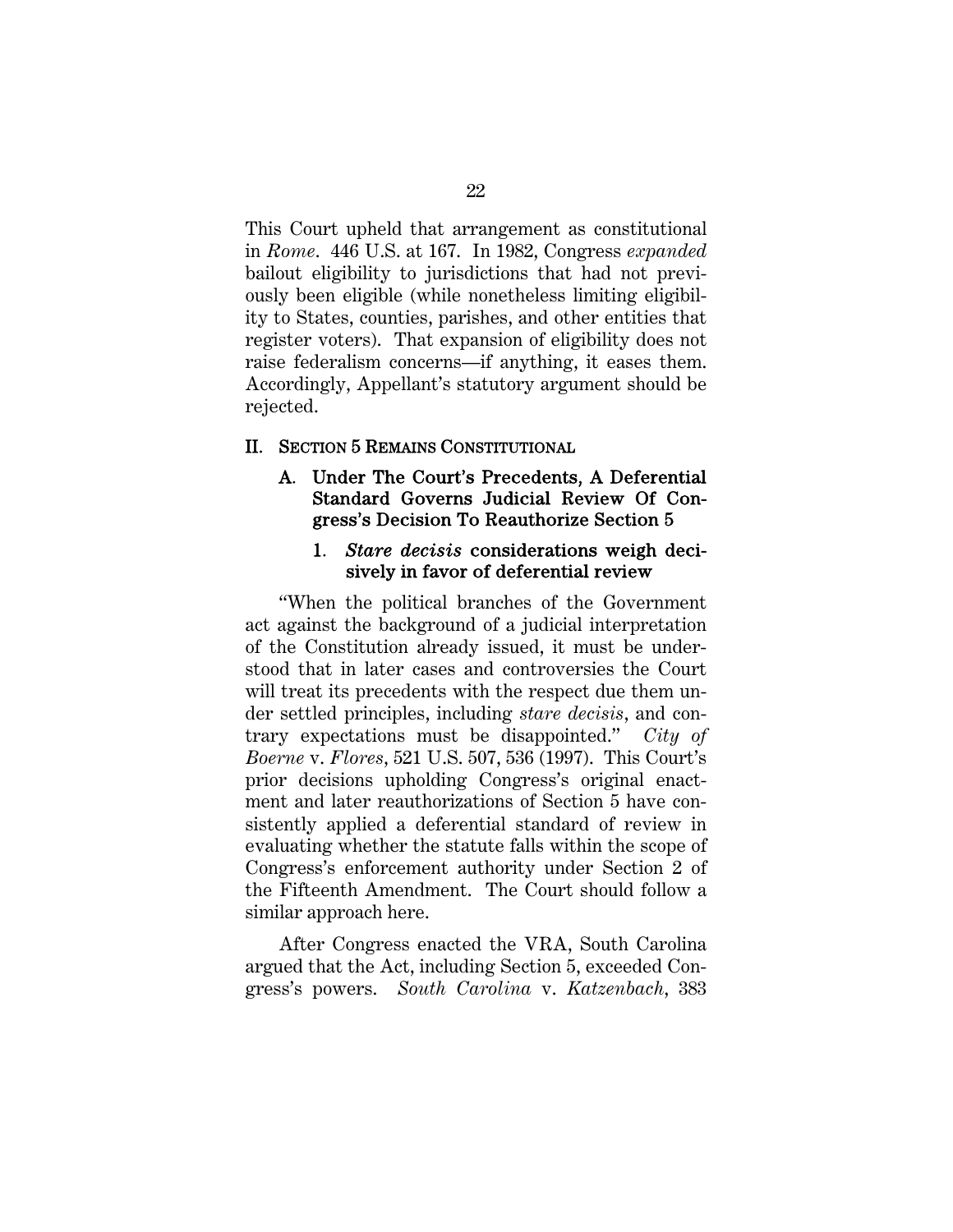This Court upheld that arrangement as constitutional in *Rome*. 446 U.S. at 167. In 1982, Congress *expanded* bailout eligibility to jurisdictions that had not previously been eligible (while nonetheless limiting eligibility to States, counties, parishes, and other entities that register voters). That expansion of eligibility does not raise federalism concerns—if anything, it eases them. Accordingly, Appellant's statutory argument should be rejected.

#### II. SECTION 5 REMAINS CONSTITUTIONAL

### A. Under The Court's Precedents, A Deferential Standard Governs Judicial Review Of Congress's Decision To Reauthorize Section 5

### 1. *Stare decisis* considerations weigh decisively in favor of deferential review

"When the political branches of the Government act against the background of a judicial interpretation of the Constitution already issued, it must be understood that in later cases and controversies the Court will treat its precedents with the respect due them under settled principles, including *stare decisis*, and contrary expectations must be disappointed." *City of Boerne* v. *Flores*, 521 U.S. 507, 536 (1997). This Court's prior decisions upholding Congress's original enactment and later reauthorizations of Section 5 have consistently applied a deferential standard of review in evaluating whether the statute falls within the scope of Congress's enforcement authority under Section 2 of the Fifteenth Amendment. The Court should follow a similar approach here.

After Congress enacted the VRA, South Carolina argued that the Act, including Section 5, exceeded Congress's powers. *South Carolina* v. *Katzenbach*, 383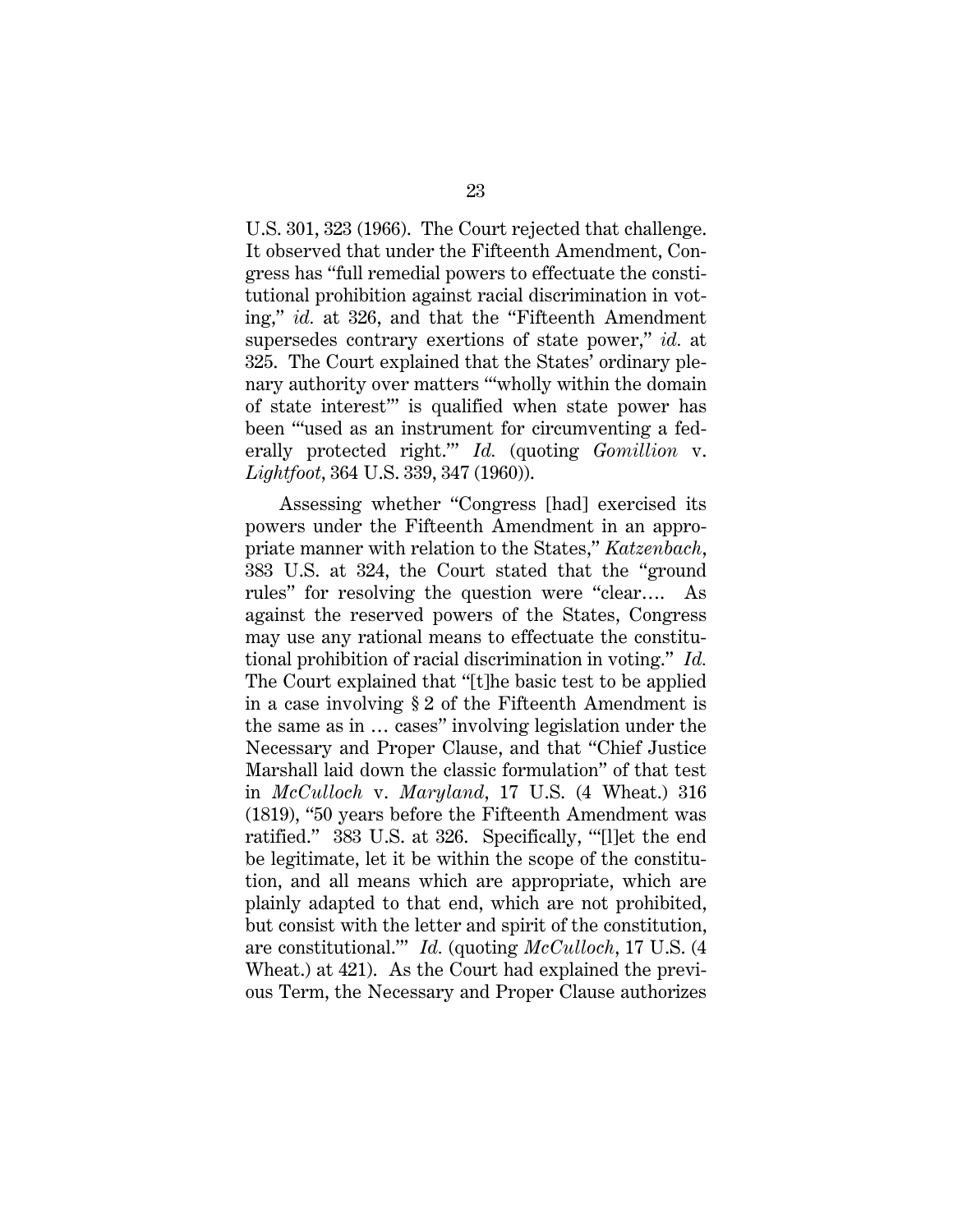U.S. 301, 323 (1966). The Court rejected that challenge. It observed that under the Fifteenth Amendment, Congress has "full remedial powers to effectuate the constitutional prohibition against racial discrimination in voting," *id.* at 326, and that the "Fifteenth Amendment supersedes contrary exertions of state power," *id.* at 325. The Court explained that the States' ordinary plenary authority over matters "'wholly within the domain of state interest'" is qualified when state power has been "'used as an instrument for circumventing a federally protected right.'" *Id.* (quoting *Gomillion* v. *Lightfoot*, 364 U.S. 339, 347 (1960)).

Assessing whether "Congress [had] exercised its powers under the Fifteenth Amendment in an appropriate manner with relation to the States," *Katzenbach*, 383 U.S. at 324, the Court stated that the "ground rules" for resolving the question were "clear…. As against the reserved powers of the States, Congress may use any rational means to effectuate the constitutional prohibition of racial discrimination in voting." *Id.* The Court explained that "[t]he basic test to be applied in a case involving § 2 of the Fifteenth Amendment is the same as in … cases" involving legislation under the Necessary and Proper Clause, and that "Chief Justice Marshall laid down the classic formulation" of that test in *McCulloch* v. *Maryland*, 17 U.S. (4 Wheat.) 316 (1819), "50 years before the Fifteenth Amendment was ratified." 383 U.S. at 326. Specifically, "'[l]et the end be legitimate, let it be within the scope of the constitution, and all means which are appropriate, which are plainly adapted to that end, which are not prohibited, but consist with the letter and spirit of the constitution, are constitutional.'" *Id.* (quoting *McCulloch*, 17 U.S. (4 Wheat.) at 421). As the Court had explained the previous Term, the Necessary and Proper Clause authorizes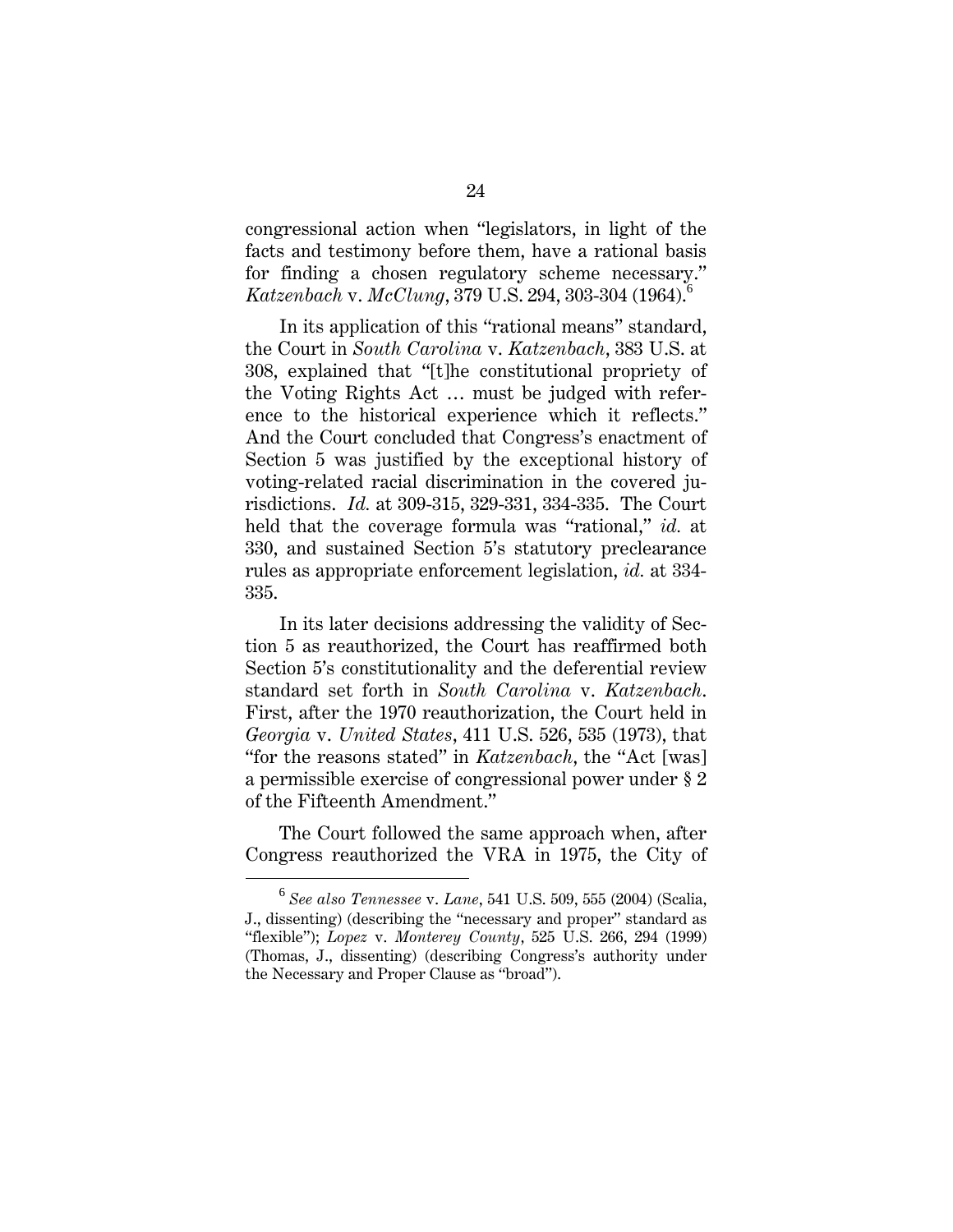congressional action when "legislators, in light of the facts and testimony before them, have a rational basis for finding a chosen regulatory scheme necessary." *Katzenbach* v. *McClung*, 379 U.S. 294, 303-304 (1964).<sup>6</sup>

In its application of this "rational means" standard, the Court in *South Carolina* v. *Katzenbach*, 383 U.S. at 308, explained that "[t]he constitutional propriety of the Voting Rights Act … must be judged with reference to the historical experience which it reflects." And the Court concluded that Congress's enactment of Section 5 was justified by the exceptional history of voting-related racial discrimination in the covered jurisdictions. *Id.* at 309-315, 329-331, 334-335. The Court held that the coverage formula was "rational," *id.* at 330, and sustained Section 5's statutory preclearance rules as appropriate enforcement legislation, *id.* at 334- 335.

In its later decisions addressing the validity of Section 5 as reauthorized, the Court has reaffirmed both Section 5's constitutionality and the deferential review standard set forth in *South Carolina* v. *Katzenbach*. First, after the 1970 reauthorization, the Court held in *Georgia* v. *United States*, 411 U.S. 526, 535 (1973), that "for the reasons stated" in *Katzenbach*, the "Act [was] a permissible exercise of congressional power under § 2 of the Fifteenth Amendment."

The Court followed the same approach when, after Congress reauthorized the VRA in 1975, the City of

 $\overline{6}$  *See also Tennessee* v. *Lane*, 541 U.S. 509, 555 (2004) (Scalia, J., dissenting) (describing the "necessary and proper" standard as "flexible"); *Lopez* v. *Monterey County*, 525 U.S. 266, 294 (1999) (Thomas, J., dissenting) (describing Congress's authority under the Necessary and Proper Clause as "broad").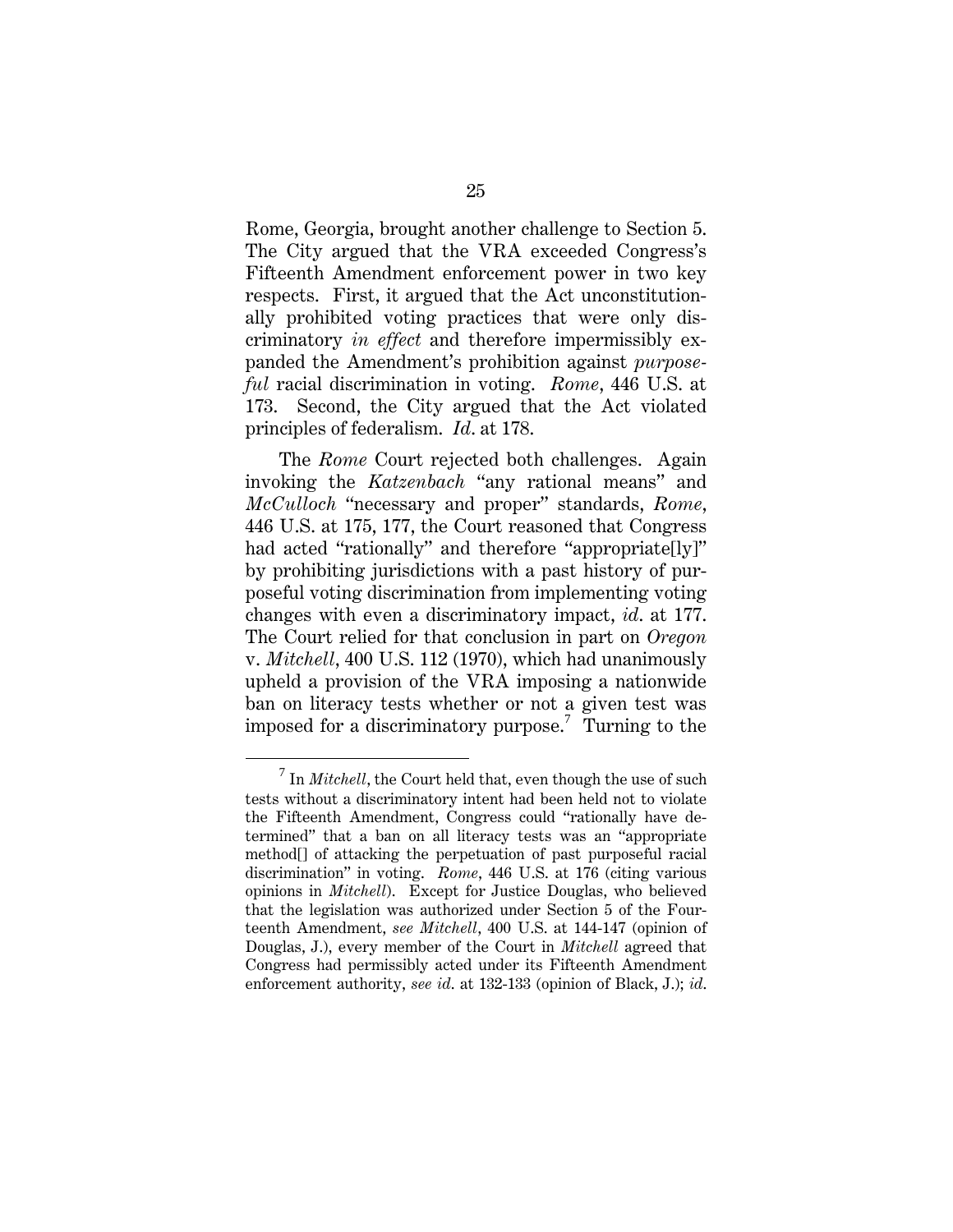Rome, Georgia, brought another challenge to Section 5. The City argued that the VRA exceeded Congress's Fifteenth Amendment enforcement power in two key respects. First, it argued that the Act unconstitutionally prohibited voting practices that were only discriminatory *in effect* and therefore impermissibly expanded the Amendment's prohibition against *purposeful* racial discrimination in voting. *Rome*, 446 U.S. at 173. Second, the City argued that the Act violated principles of federalism. *Id*. at 178.

The *Rome* Court rejected both challenges. Again invoking the *Katzenbach* "any rational means" and *McCulloch* "necessary and proper" standards, *Rome*, 446 U.S. at 175, 177, the Court reasoned that Congress had acted "rationally" and therefore "appropriate[ly]" by prohibiting jurisdictions with a past history of purposeful voting discrimination from implementing voting changes with even a discriminatory impact, *id*. at 177. The Court relied for that conclusion in part on *Oregon*  v. *Mitchell*, 400 U.S. 112 (1970), which had unanimously upheld a provision of the VRA imposing a nationwide ban on literacy tests whether or not a given test was imposed for a discriminatory purpose.<sup>7</sup> Turning to the

 $\overline{7}$ <sup>7</sup> In *Mitchell*, the Court held that, even though the use of such tests without a discriminatory intent had been held not to violate the Fifteenth Amendment, Congress could "rationally have determined" that a ban on all literacy tests was an "appropriate method[] of attacking the perpetuation of past purposeful racial discrimination" in voting. *Rome*, 446 U.S. at 176 (citing various opinions in *Mitchell*). Except for Justice Douglas, who believed that the legislation was authorized under Section 5 of the Fourteenth Amendment, *see Mitchell*, 400 U.S. at 144-147 (opinion of Douglas, J.), every member of the Court in *Mitchell* agreed that Congress had permissibly acted under its Fifteenth Amendment enforcement authority, *see id*. at 132-133 (opinion of Black, J.); *id*.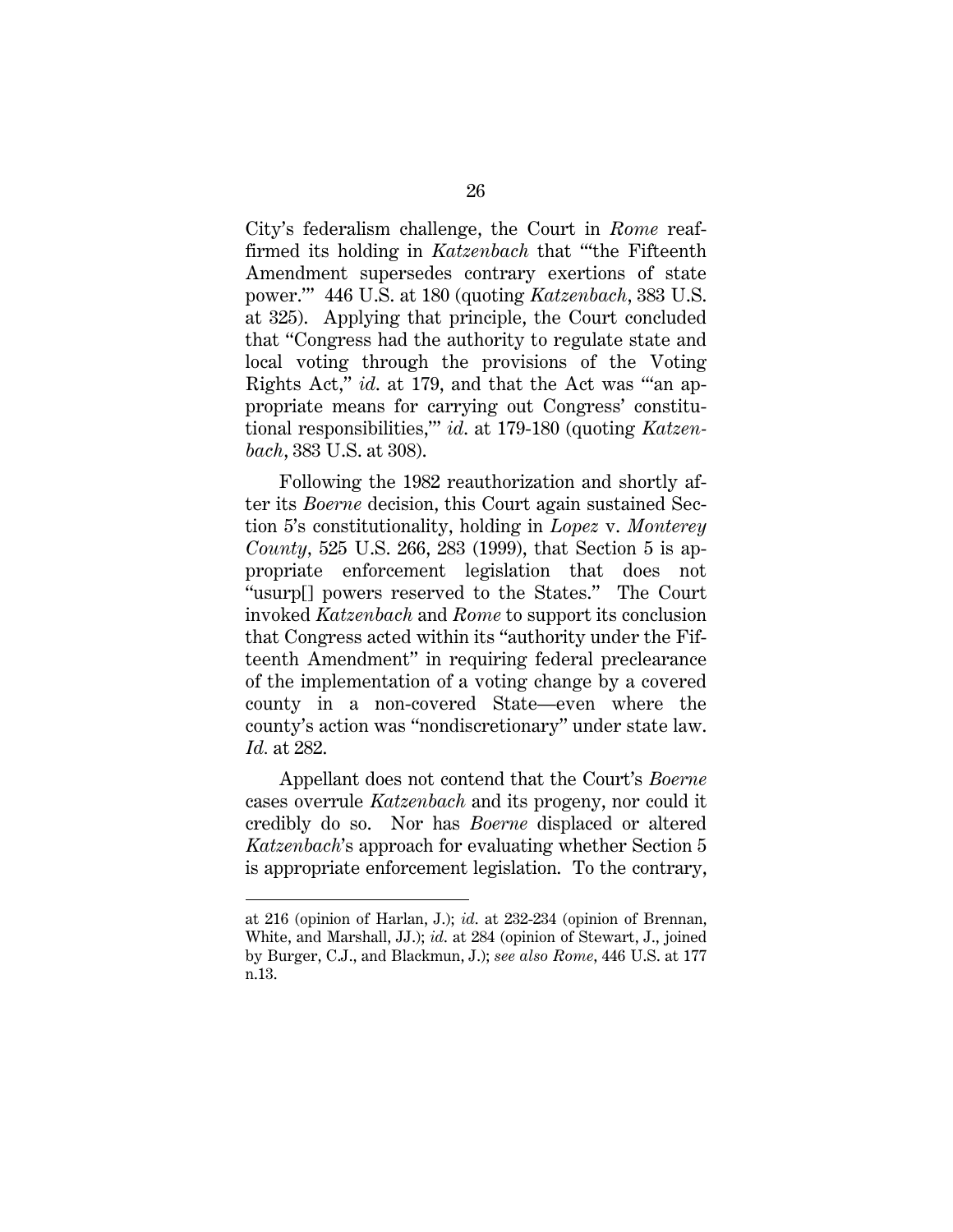City's federalism challenge, the Court in *Rome* reaffirmed its holding in *Katzenbach* that "'the Fifteenth Amendment supersedes contrary exertions of state power.'" 446 U.S. at 180 (quoting *Katzenbach*, 383 U.S. at 325). Applying that principle, the Court concluded that "Congress had the authority to regulate state and local voting through the provisions of the Voting Rights Act," *id*. at 179, and that the Act was "'an appropriate means for carrying out Congress' constitutional responsibilities,'" *id*. at 179-180 (quoting *Katzenbach*, 383 U.S. at 308).

Following the 1982 reauthorization and shortly after its *Boerne* decision, this Court again sustained Section 5's constitutionality, holding in *Lopez* v. *Monterey County,* 525 U.S. 266, 283 (1999), that Section 5 is appropriate enforcement legislation that does not "usurp[] powers reserved to the States." The Court invoked *Katzenbach* and *Rome* to support its conclusion that Congress acted within its "authority under the Fifteenth Amendment" in requiring federal preclearance of the implementation of a voting change by a covered county in a non-covered State—even where the county's action was "nondiscretionary" under state law. *Id.* at 282.

Appellant does not contend that the Court's *Boerne* cases overrule *Katzenbach* and its progeny, nor could it credibly do so. Nor has *Boerne* displaced or altered *Katzenbach*'s approach for evaluating whether Section 5 is appropriate enforcement legislation. To the contrary,

 $\overline{a}$ 

at 216 (opinion of Harlan, J.); *id*. at 232-234 (opinion of Brennan, White, and Marshall, JJ.); *id*. at 284 (opinion of Stewart, J., joined by Burger, C.J., and Blackmun, J.); *see also Rome*, 446 U.S. at 177 n.13.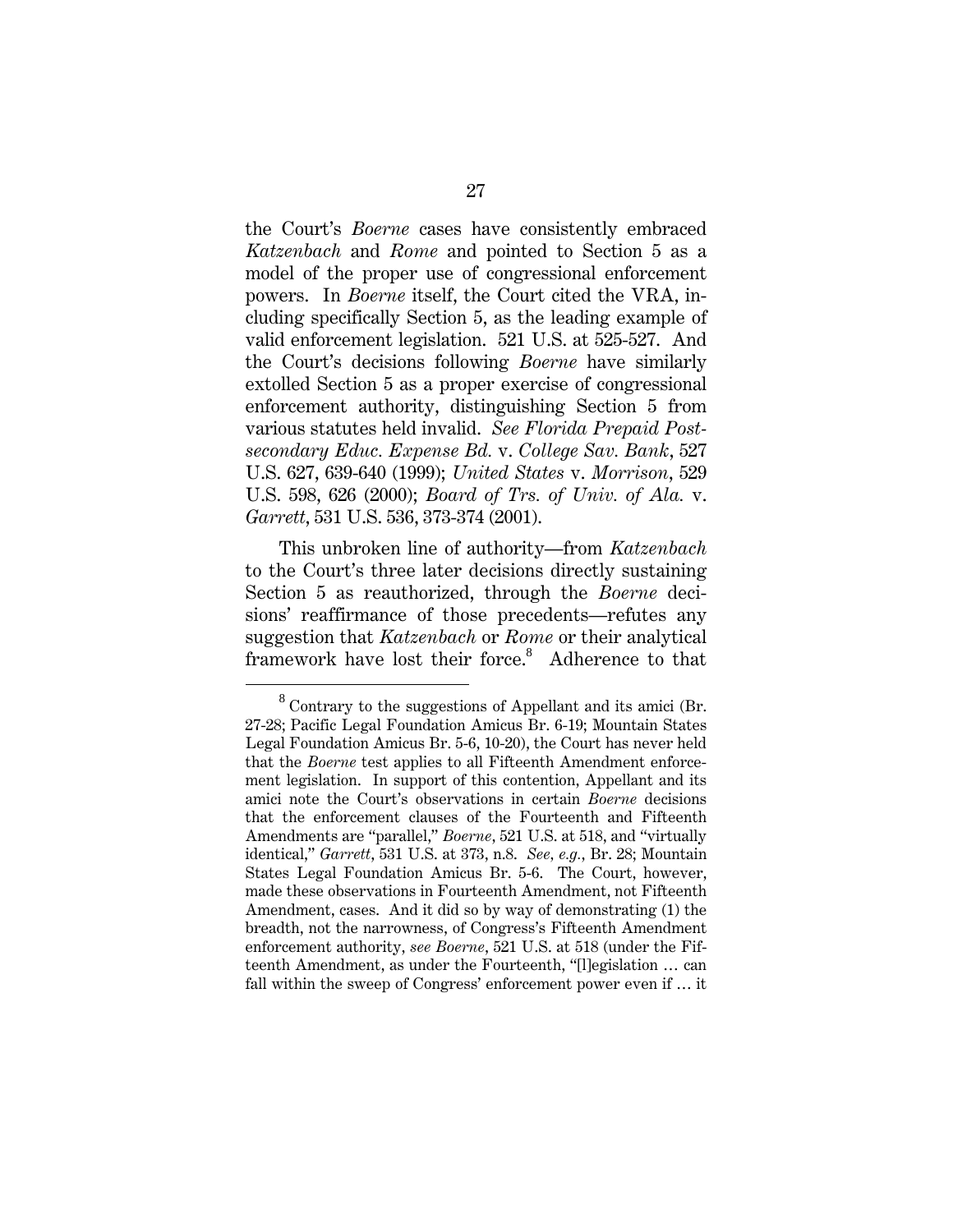the Court's *Boerne* cases have consistently embraced *Katzenbach* and *Rome* and pointed to Section 5 as a model of the proper use of congressional enforcement powers. In *Boerne* itself, the Court cited the VRA, including specifically Section 5, as the leading example of valid enforcement legislation. 521 U.S. at 525-527. And the Court's decisions following *Boerne* have similarly extolled Section 5 as a proper exercise of congressional enforcement authority, distinguishing Section 5 from various statutes held invalid. *See Florida Prepaid Postsecondary Educ. Expense Bd.* v. *College Sav. Bank*, 527 U.S. 627, 639-640 (1999); *United States* v. *Morrison*, 529 U.S. 598, 626 (2000); *Board of Trs. of Univ. of Ala.* v. *Garrett*, 531 U.S. 536, 373-374 (2001).

This unbroken line of authority—from *Katzenbach*  to the Court's three later decisions directly sustaining Section 5 as reauthorized, through the *Boerne* decisions' reaffirmance of those precedents—refutes any suggestion that *Katzenbach* or *Rome* or their analytical framework have lost their force.<sup>8</sup> Adherence to that

<sup>8</sup>  $8$  Contrary to the suggestions of Appellant and its amici (Br. 27-28; Pacific Legal Foundation Amicus Br. 6-19; Mountain States Legal Foundation Amicus Br. 5-6, 10-20), the Court has never held that the *Boerne* test applies to all Fifteenth Amendment enforcement legislation. In support of this contention, Appellant and its amici note the Court's observations in certain *Boerne* decisions that the enforcement clauses of the Fourteenth and Fifteenth Amendments are "parallel," *Boerne*, 521 U.S. at 518, and "virtually identical," *Garrett*, 531 U.S. at 373, n.8. *See, e.g.*, Br. 28; Mountain States Legal Foundation Amicus Br. 5-6. The Court, however, made these observations in Fourteenth Amendment, not Fifteenth Amendment, cases. And it did so by way of demonstrating (1) the breadth, not the narrowness, of Congress's Fifteenth Amendment enforcement authority, *see Boerne*, 521 U.S. at 518 (under the Fifteenth Amendment, as under the Fourteenth, "[l]egislation … can fall within the sweep of Congress' enforcement power even if … it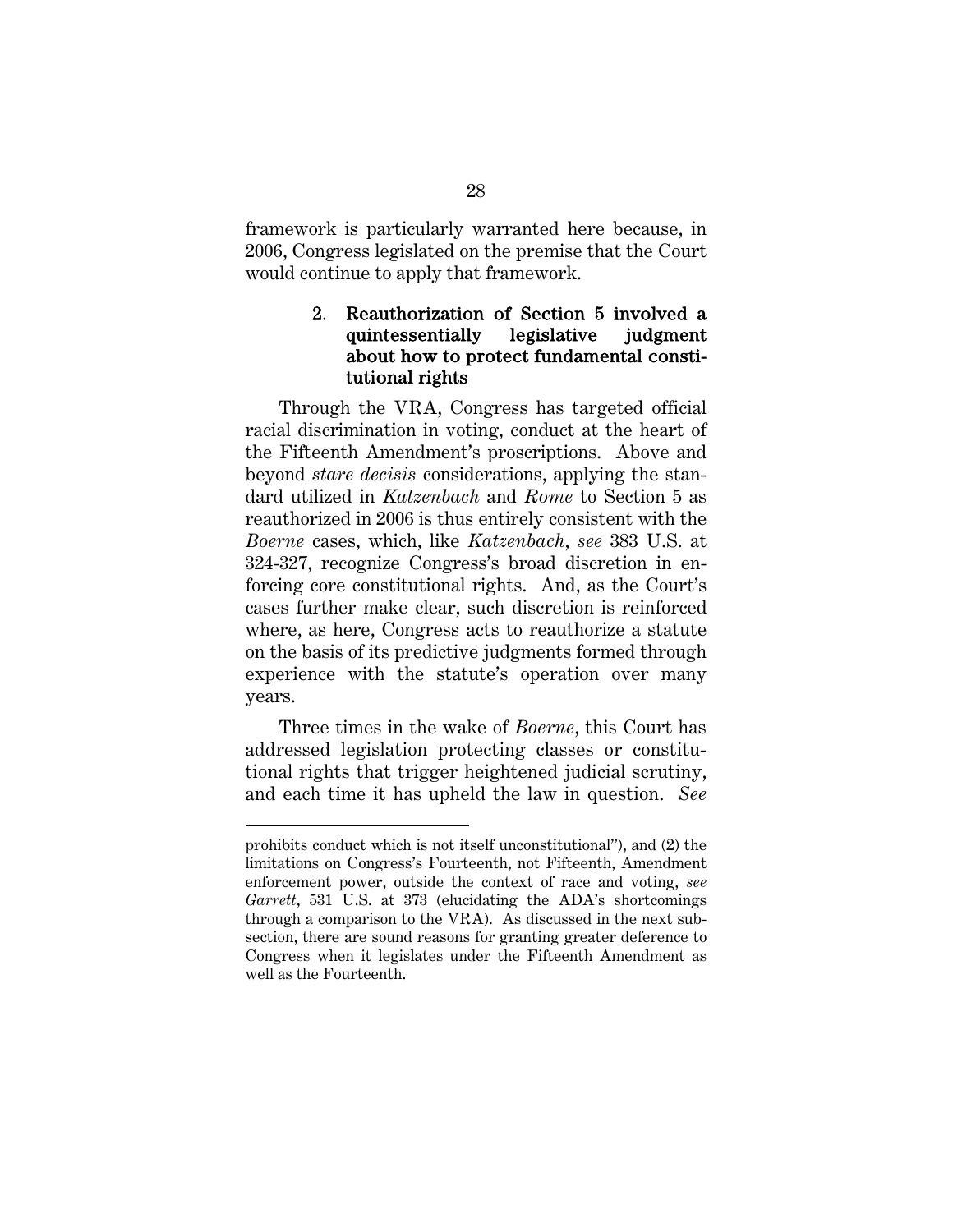framework is particularly warranted here because, in 2006, Congress legislated on the premise that the Court would continue to apply that framework.

## 2. Reauthorization of Section 5 involved a quintessentially legislative judgment about how to protect fundamental constitutional rights

Through the VRA, Congress has targeted official racial discrimination in voting, conduct at the heart of the Fifteenth Amendment's proscriptions. Above and beyond *stare decisis* considerations, applying the standard utilized in *Katzenbach* and *Rome* to Section 5 as reauthorized in 2006 is thus entirely consistent with the *Boerne* cases, which, like *Katzenbach*, *see* 383 U.S. at 324-327, recognize Congress's broad discretion in enforcing core constitutional rights. And, as the Court's cases further make clear, such discretion is reinforced where, as here, Congress acts to reauthorize a statute on the basis of its predictive judgments formed through experience with the statute's operation over many years.

Three times in the wake of *Boerne*, this Court has addressed legislation protecting classes or constitutional rights that trigger heightened judicial scrutiny, and each time it has upheld the law in question. *See* 

l

prohibits conduct which is not itself unconstitutional"), and (2) the limitations on Congress's Fourteenth, not Fifteenth, Amendment enforcement power, outside the context of race and voting, *see Garrett*, 531 U.S. at 373 (elucidating the ADA's shortcomings through a comparison to the VRA). As discussed in the next subsection, there are sound reasons for granting greater deference to Congress when it legislates under the Fifteenth Amendment as well as the Fourteenth.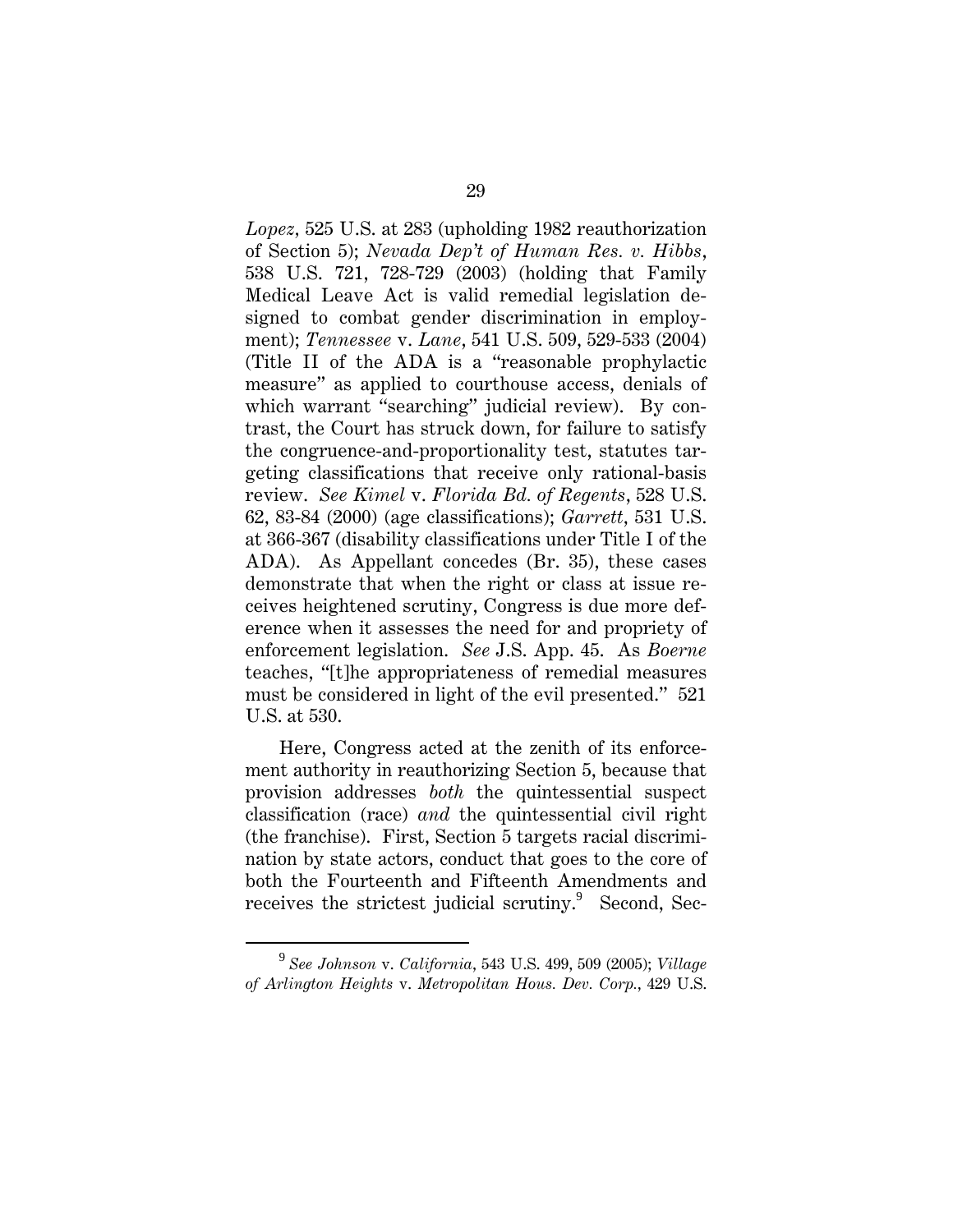*Lopez,* 525 U.S. at 283 (upholding 1982 reauthorization of Section 5); *Nevada Dep't of Human Res. v. Hibbs*, 538 U.S. 721, 728-729 (2003) (holding that Family Medical Leave Act is valid remedial legislation designed to combat gender discrimination in employment); *Tennessee* v. *Lane*, 541 U.S. 509, 529-533 (2004) (Title II of the ADA is a "reasonable prophylactic measure" as applied to courthouse access, denials of which warrant "searching" judicial review). By contrast, the Court has struck down, for failure to satisfy the congruence-and-proportionality test, statutes targeting classifications that receive only rational-basis review. *See Kimel* v. *Florida Bd. of Regents*, 528 U.S. 62, 83-84 (2000) (age classifications); *Garrett*, 531 U.S. at 366-367 (disability classifications under Title I of the ADA). As Appellant concedes (Br. 35), these cases demonstrate that when the right or class at issue receives heightened scrutiny, Congress is due more deference when it assesses the need for and propriety of enforcement legislation. *See* J.S. App. 45. As *Boerne* teaches, "[t]he appropriateness of remedial measures must be considered in light of the evil presented." 521 U.S. at 530.

Here, Congress acted at the zenith of its enforcement authority in reauthorizing Section 5, because that provision addresses *both* the quintessential suspect classification (race) *and* the quintessential civil right (the franchise). First, Section 5 targets racial discrimination by state actors, conduct that goes to the core of both the Fourteenth and Fifteenth Amendments and receives the strictest judicial scrutiny.<sup>9</sup> Second, Sec-

 $\frac{1}{9}$  *See Johnson* v. *California*, 543 U.S. 499, 509 (2005); *Village of Arlington Heights* v. *Metropolitan Hous. Dev. Corp.*, 429 U.S.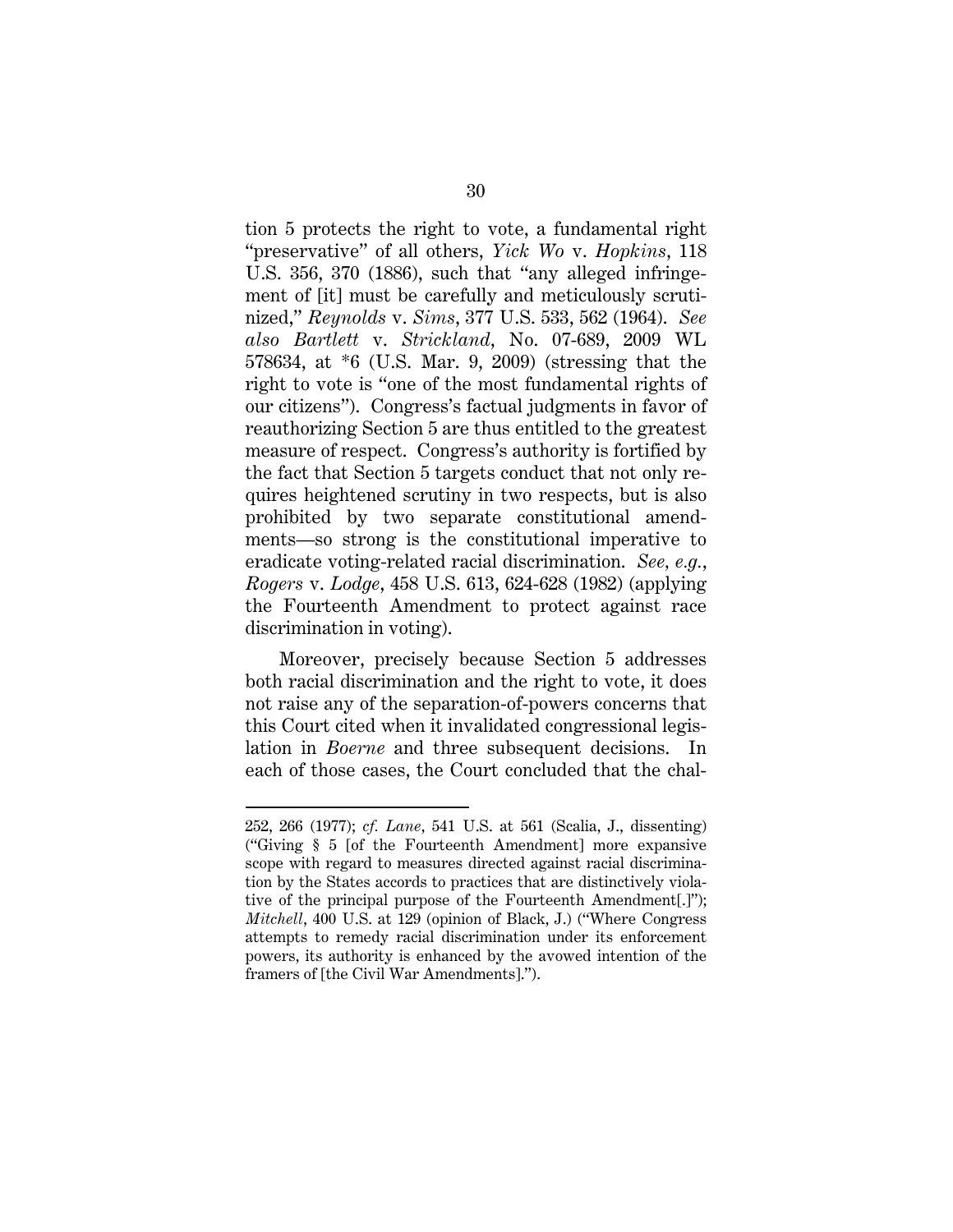tion 5 protects the right to vote, a fundamental right "preservative" of all others, *Yick Wo* v. *Hopkins*, 118 U.S. 356, 370 (1886), such that "any alleged infringement of [it] must be carefully and meticulously scrutinized," *Reynolds* v. *Sims*, 377 U.S. 533, 562 (1964). *See also Bartlett* v. *Strickland*, No. 07-689, 2009 WL 578634, at \*6 (U.S. Mar. 9, 2009) (stressing that the right to vote is "one of the most fundamental rights of our citizens"). Congress's factual judgments in favor of reauthorizing Section 5 are thus entitled to the greatest measure of respect. Congress's authority is fortified by the fact that Section 5 targets conduct that not only requires heightened scrutiny in two respects, but is also prohibited by two separate constitutional amendments—so strong is the constitutional imperative to eradicate voting-related racial discrimination. *See, e.g.*, *Rogers* v. *Lodge*, 458 U.S. 613, 624-628 (1982) (applying the Fourteenth Amendment to protect against race discrimination in voting).

Moreover, precisely because Section 5 addresses both racial discrimination and the right to vote, it does not raise any of the separation-of-powers concerns that this Court cited when it invalidated congressional legislation in *Boerne* and three subsequent decisions. In each of those cases, the Court concluded that the chal-

l

<sup>252, 266 (1977);</sup> *cf. Lane*, 541 U.S. at 561 (Scalia, J., dissenting) ("Giving § 5 [of the Fourteenth Amendment] more expansive scope with regard to measures directed against racial discrimination by the States accords to practices that are distinctively violative of the principal purpose of the Fourteenth Amendment[.]"); *Mitchell*, 400 U.S. at 129 (opinion of Black, J.) ("Where Congress attempts to remedy racial discrimination under its enforcement powers, its authority is enhanced by the avowed intention of the framers of [the Civil War Amendments].").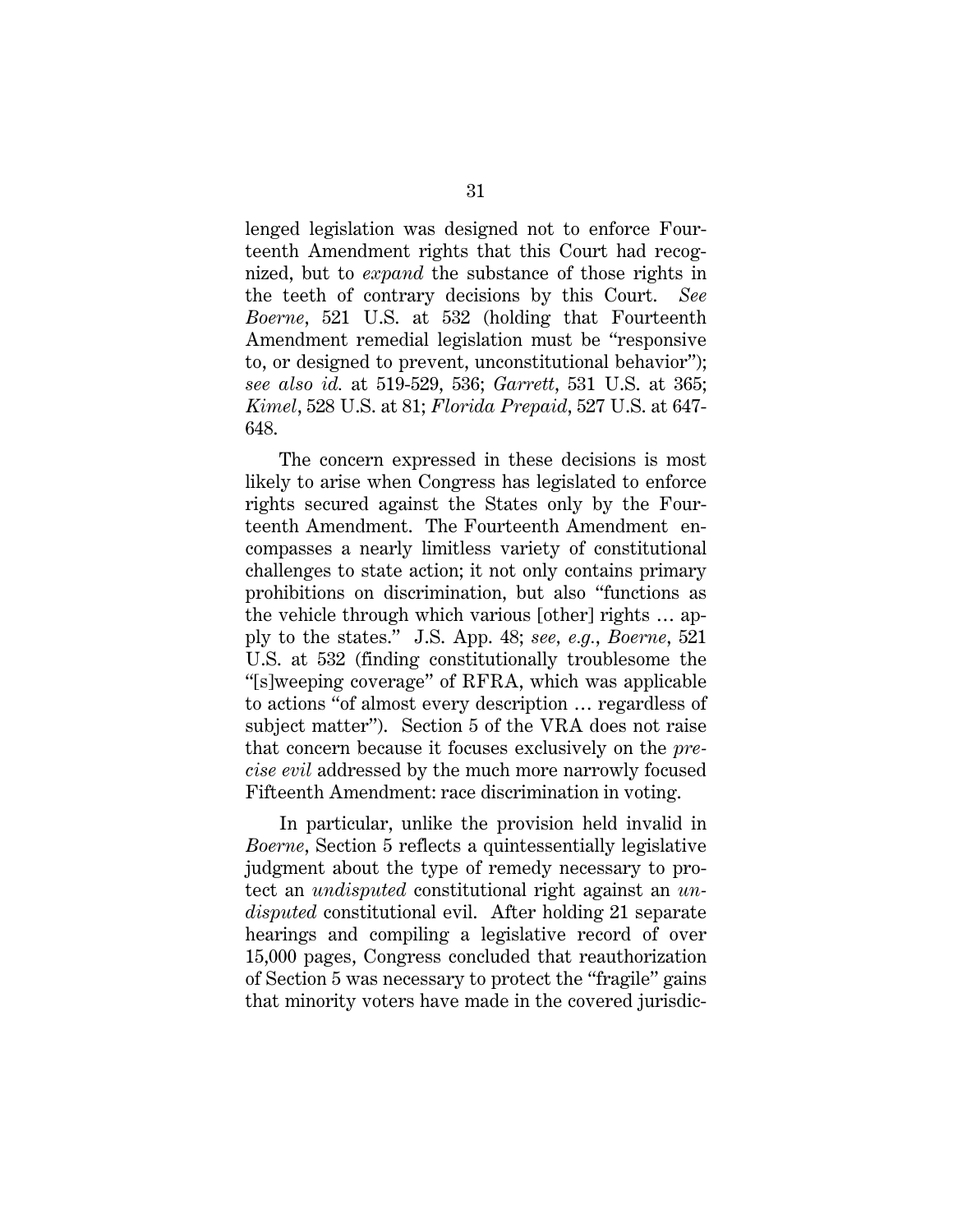lenged legislation was designed not to enforce Fourteenth Amendment rights that this Court had recognized, but to *expand* the substance of those rights in the teeth of contrary decisions by this Court. *See Boerne*, 521 U.S. at 532 (holding that Fourteenth Amendment remedial legislation must be "responsive to, or designed to prevent, unconstitutional behavior"); *see also id.* at 519-529, 536; *Garrett*, 531 U.S. at 365; *Kimel*, 528 U.S. at 81; *Florida Prepaid*, 527 U.S. at 647- 648.

The concern expressed in these decisions is most likely to arise when Congress has legislated to enforce rights secured against the States only by the Fourteenth Amendment. The Fourteenth Amendment encompasses a nearly limitless variety of constitutional challenges to state action; it not only contains primary prohibitions on discrimination, but also "functions as the vehicle through which various [other] rights … apply to the states." J.S. App. 48; *see, e.g.*, *Boerne*, 521 U.S. at 532 (finding constitutionally troublesome the "[s]weeping coverage" of RFRA, which was applicable to actions "of almost every description … regardless of subject matter"). Section 5 of the VRA does not raise that concern because it focuses exclusively on the *precise evil* addressed by the much more narrowly focused Fifteenth Amendment: race discrimination in voting.

In particular, unlike the provision held invalid in *Boerne*, Section 5 reflects a quintessentially legislative judgment about the type of remedy necessary to protect an *undisputed* constitutional right against an *undisputed* constitutional evil. After holding 21 separate hearings and compiling a legislative record of over 15,000 pages, Congress concluded that reauthorization of Section 5 was necessary to protect the "fragile" gains that minority voters have made in the covered jurisdic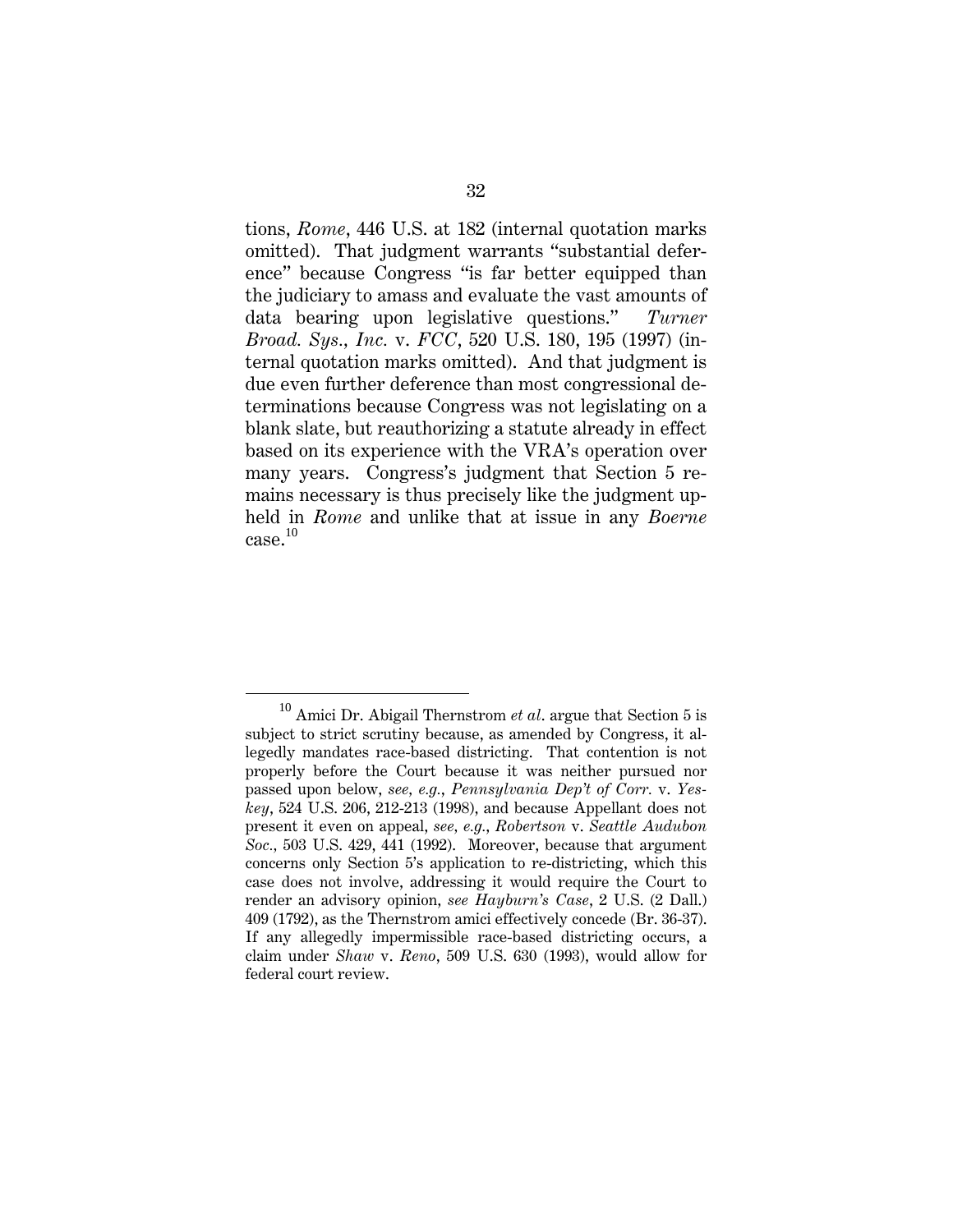tions, *Rome*, 446 U.S. at 182 (internal quotation marks omitted). That judgment warrants "substantial deference" because Congress "is far better equipped than the judiciary to amass and evaluate the vast amounts of data bearing upon legislative questions." *Turner Broad. Sys., Inc.* v. *FCC*, 520 U.S. 180, 195 (1997) (internal quotation marks omitted). And that judgment is due even further deference than most congressional determinations because Congress was not legislating on a blank slate, but reauthorizing a statute already in effect based on its experience with the VRA's operation over many years. Congress's judgment that Section 5 remains necessary is thus precisely like the judgment upheld in *Rome* and unlike that at issue in any *Boerne*  case.<sup>10</sup>

<sup>10</sup> Amici Dr. Abigail Thernstrom *et al*. argue that Section 5 is subject to strict scrutiny because, as amended by Congress, it allegedly mandates race-based districting. That contention is not properly before the Court because it was neither pursued nor passed upon below, *see, e.g.*, *Pennsylvania Dep't of Corr.* v. *Yeskey*, 524 U.S. 206, 212-213 (1998), and because Appellant does not present it even on appeal, *see, e.g.*, *Robertson* v. *Seattle Audubon Soc.,* 503 U.S. 429, 441 (1992). Moreover, because that argument concerns only Section 5's application to re-districting, which this case does not involve, addressing it would require the Court to render an advisory opinion, *see Hayburn's Case*, 2 U.S. (2 Dall.) 409 (1792), as the Thernstrom amici effectively concede (Br. 36-37). If any allegedly impermissible race-based districting occurs, a claim under *Shaw* v. *Reno*, 509 U.S. 630 (1993), would allow for federal court review.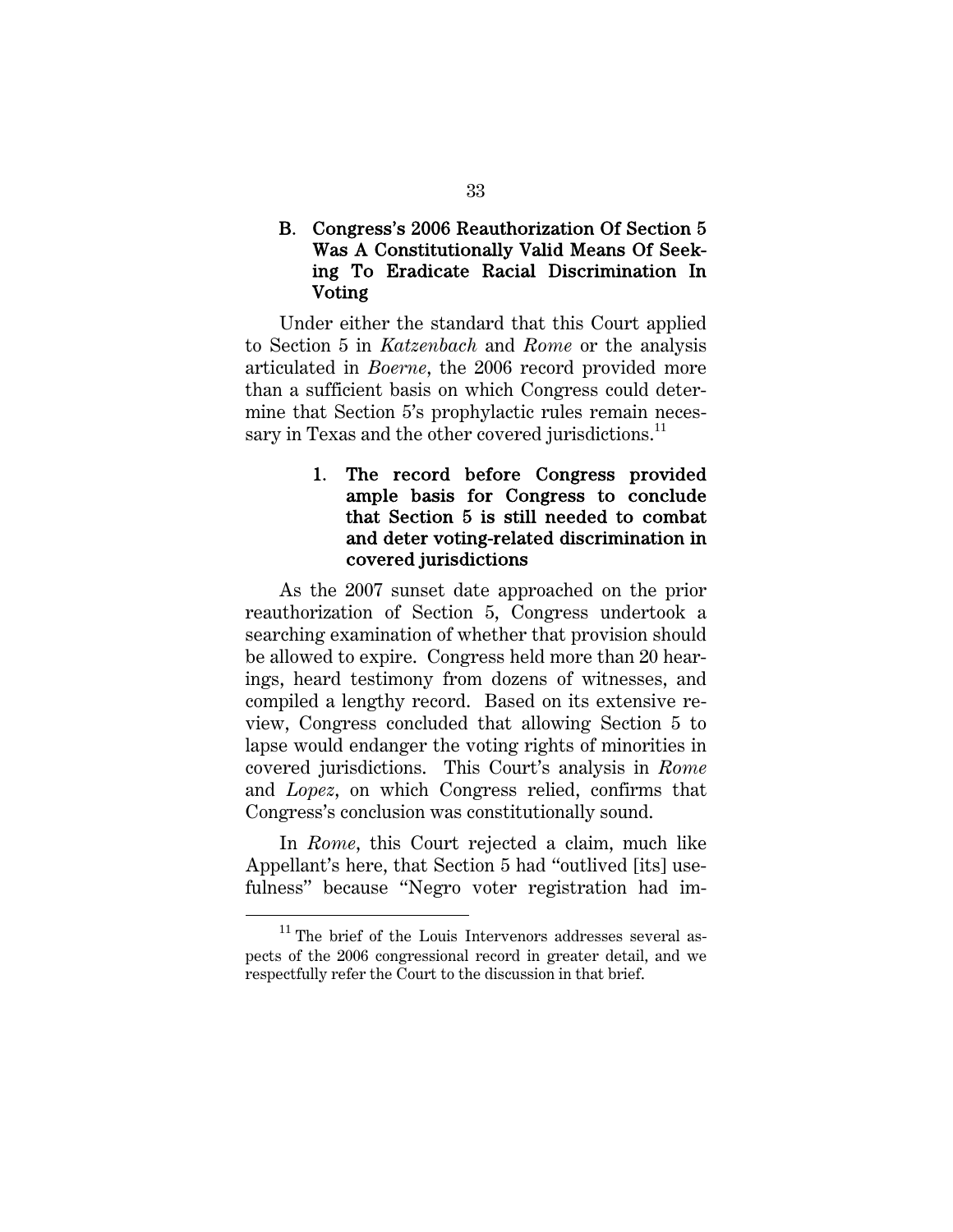## B. Congress's 2006 Reauthorization Of Section 5 Was A Constitutionally Valid Means Of Seeking To Eradicate Racial Discrimination In Voting

Under either the standard that this Court applied to Section 5 in *Katzenbach* and *Rome* or the analysis articulated in *Boerne*, the 2006 record provided more than a sufficient basis on which Congress could determine that Section 5's prophylactic rules remain necessary in Texas and the other covered jurisdictions. $^{11}$ 

## 1. The record before Congress provided ample basis for Congress to conclude that Section 5 is still needed to combat and deter voting-related discrimination in covered jurisdictions

As the 2007 sunset date approached on the prior reauthorization of Section 5, Congress undertook a searching examination of whether that provision should be allowed to expire. Congress held more than 20 hearings, heard testimony from dozens of witnesses, and compiled a lengthy record. Based on its extensive review, Congress concluded that allowing Section 5 to lapse would endanger the voting rights of minorities in covered jurisdictions. This Court's analysis in *Rome* and *Lopez*, on which Congress relied, confirms that Congress's conclusion was constitutionally sound.

In *Rome*, this Court rejected a claim, much like Appellant's here, that Section 5 had "outlived [its] usefulness" because "Negro voter registration had im-

 $11$  The brief of the Louis Intervenors addresses several aspects of the 2006 congressional record in greater detail, and we respectfully refer the Court to the discussion in that brief.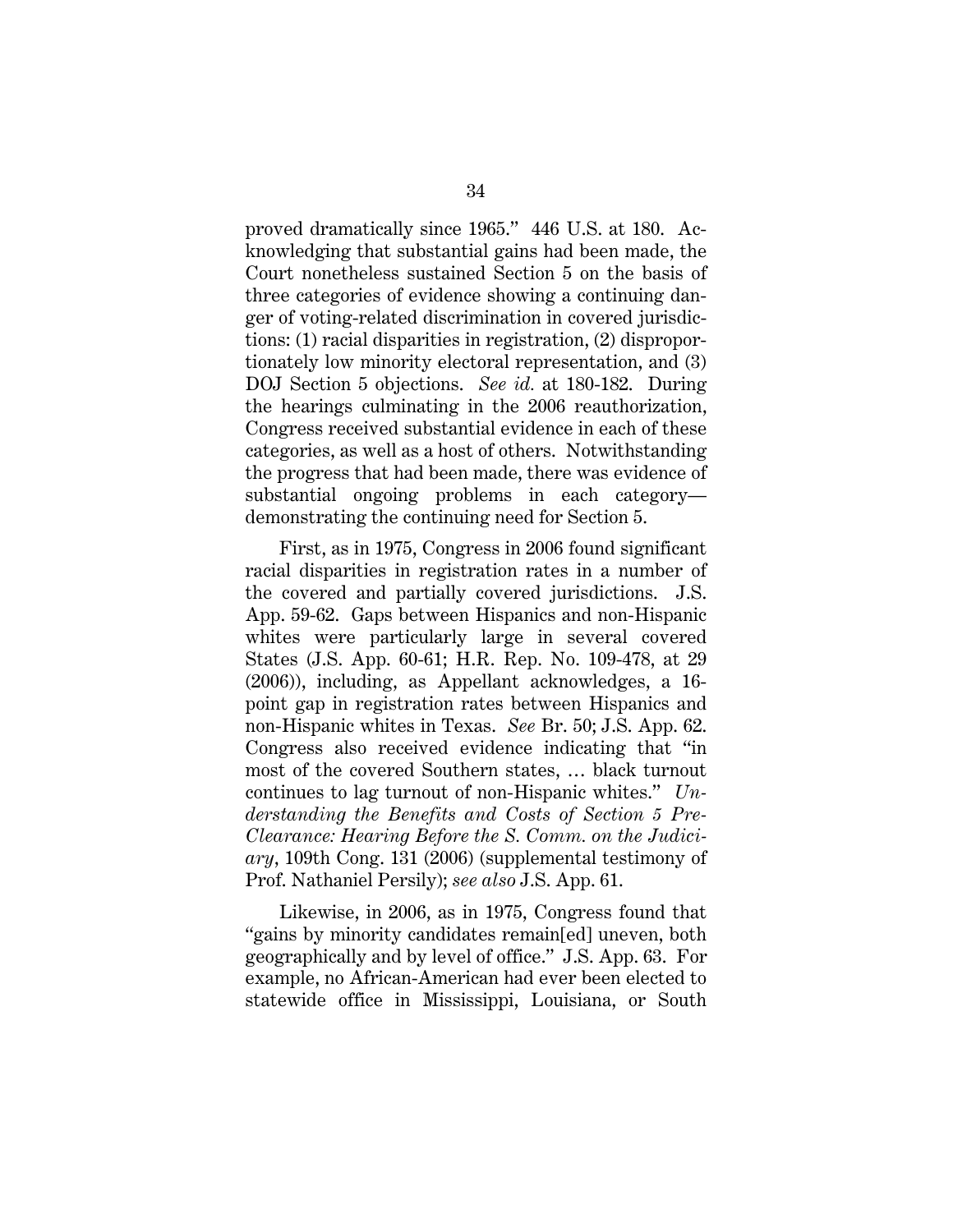proved dramatically since 1965." 446 U.S. at 180. Acknowledging that substantial gains had been made, the Court nonetheless sustained Section 5 on the basis of three categories of evidence showing a continuing danger of voting-related discrimination in covered jurisdictions: (1) racial disparities in registration, (2) disproportionately low minority electoral representation, and (3) DOJ Section 5 objections. *See id.* at 180-182. During the hearings culminating in the 2006 reauthorization, Congress received substantial evidence in each of these categories, as well as a host of others. Notwithstanding the progress that had been made, there was evidence of substantial ongoing problems in each category demonstrating the continuing need for Section 5.

First, as in 1975, Congress in 2006 found significant racial disparities in registration rates in a number of the covered and partially covered jurisdictions. J.S. App. 59-62. Gaps between Hispanics and non-Hispanic whites were particularly large in several covered States (J.S. App. 60-61; H.R. Rep. No. 109-478, at 29 (2006)), including, as Appellant acknowledges, a 16 point gap in registration rates between Hispanics and non-Hispanic whites in Texas. *See* Br. 50; J.S. App. 62. Congress also received evidence indicating that "in most of the covered Southern states, … black turnout continues to lag turnout of non-Hispanic whites." *Understanding the Benefits and Costs of Section 5 Pre-Clearance: Hearing Before the S. Comm. on the Judiciary*, 109th Cong. 131 (2006) (supplemental testimony of Prof. Nathaniel Persily); *see also* J.S. App. 61.

Likewise, in 2006, as in 1975, Congress found that "gains by minority candidates remain[ed] uneven, both geographically and by level of office." J.S. App. 63. For example, no African-American had ever been elected to statewide office in Mississippi, Louisiana, or South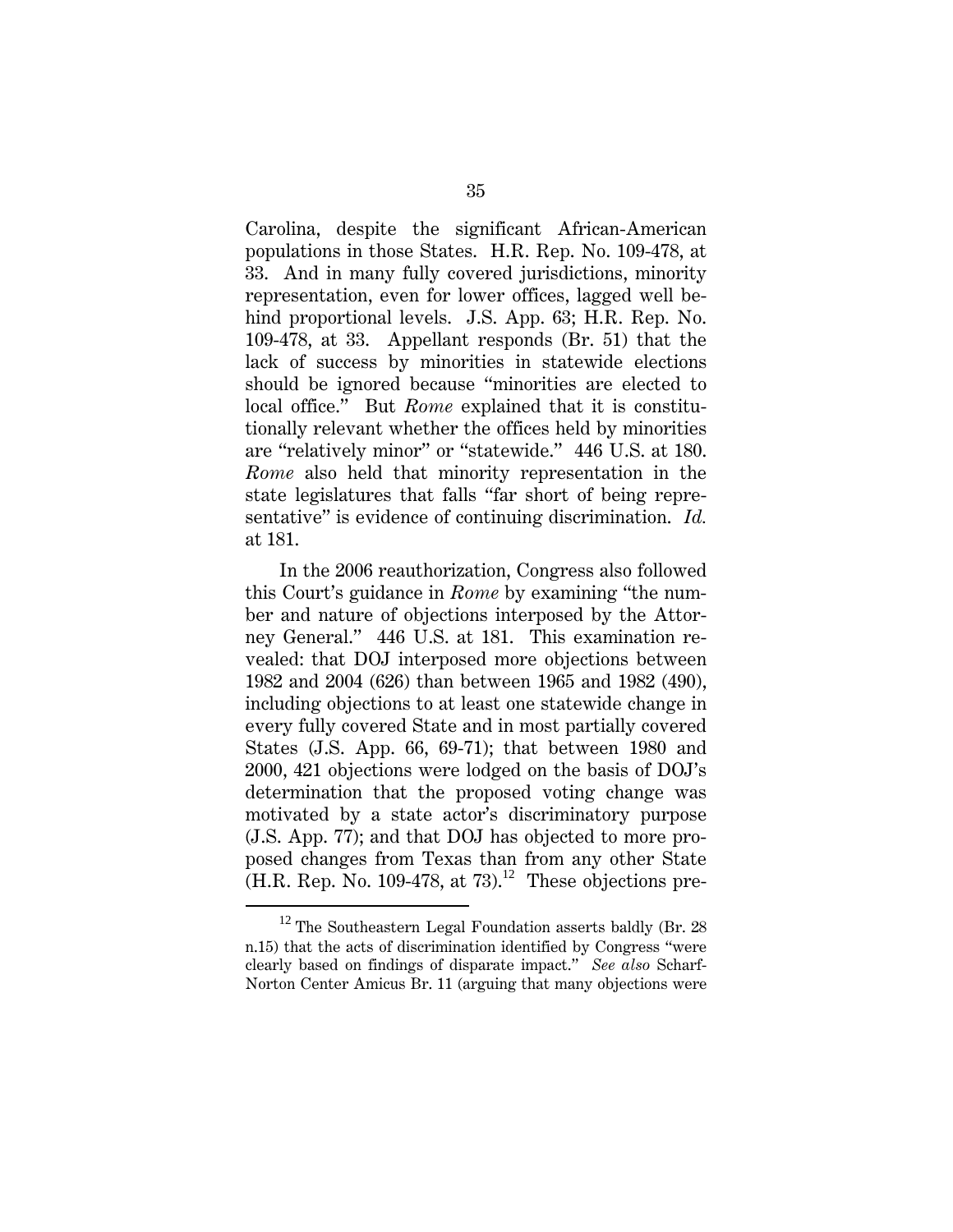Carolina, despite the significant African-American populations in those States. H.R. Rep. No. 109-478, at 33. And in many fully covered jurisdictions, minority representation, even for lower offices, lagged well behind proportional levels. J.S. App. 63; H.R. Rep. No. 109-478, at 33. Appellant responds (Br. 51) that the lack of success by minorities in statewide elections should be ignored because "minorities are elected to local office." But *Rome* explained that it is constitutionally relevant whether the offices held by minorities are "relatively minor" or "statewide." 446 U.S. at 180. *Rome* also held that minority representation in the state legislatures that falls "far short of being representative" is evidence of continuing discrimination. *Id.* at 181.

In the 2006 reauthorization, Congress also followed this Court's guidance in *Rome* by examining "the number and nature of objections interposed by the Attorney General." 446 U.S. at 181. This examination revealed: that DOJ interposed more objections between 1982 and 2004 (626) than between 1965 and 1982 (490), including objections to at least one statewide change in every fully covered State and in most partially covered States (J.S. App. 66, 69-71); that between 1980 and 2000, 421 objections were lodged on the basis of DOJ's determination that the proposed voting change was motivated by a state actor's discriminatory purpose (J.S. App. 77); and that DOJ has objected to more proposed changes from Texas than from any other State  $(H.R. Rep. No. 109-478, at 73).$ <sup>12</sup> These objections pre-

 $12$  The Southeastern Legal Foundation asserts baldly (Br. 28) n.15) that the acts of discrimination identified by Congress "were clearly based on findings of disparate impact." *See also* Scharf-Norton Center Amicus Br. 11 (arguing that many objections were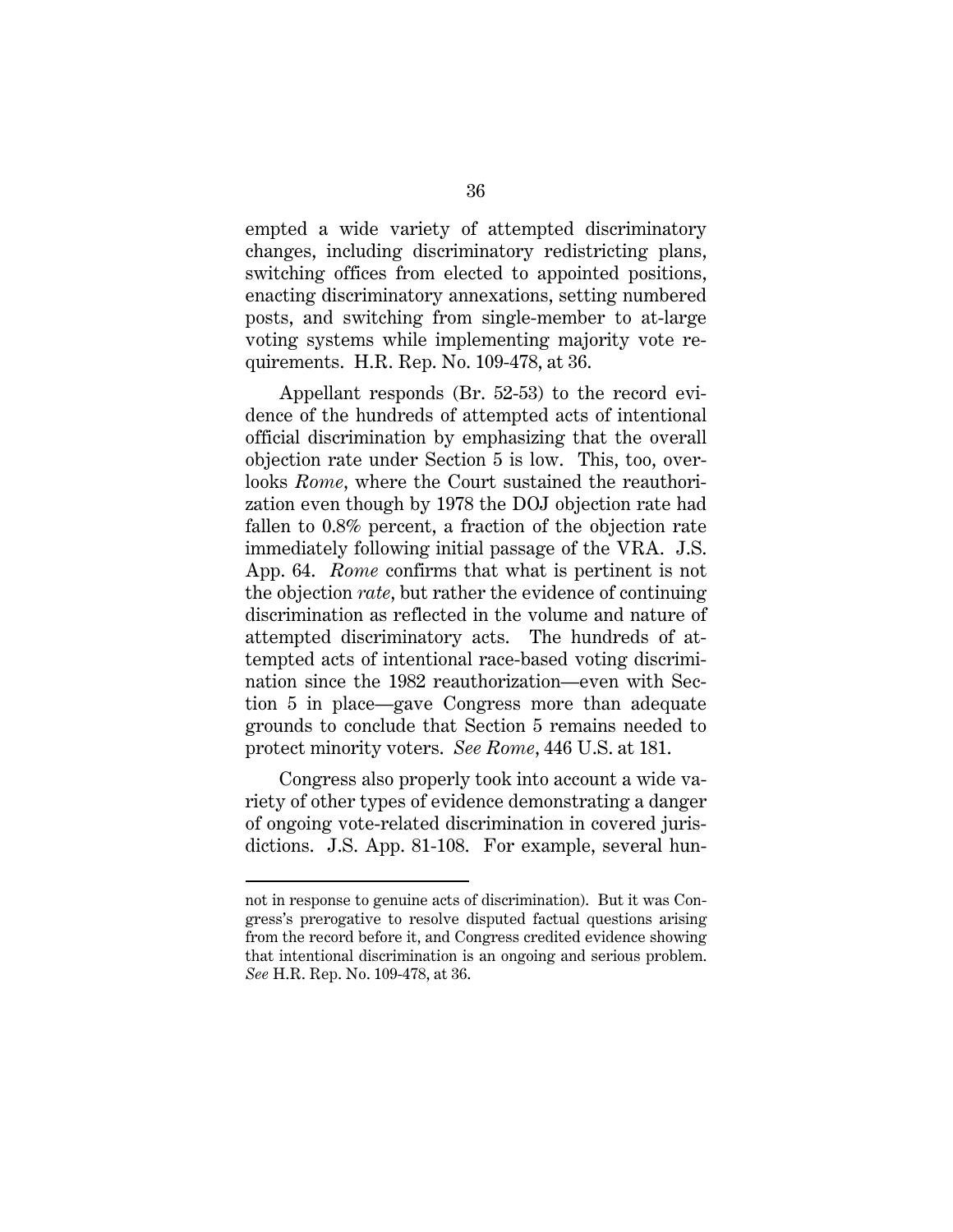empted a wide variety of attempted discriminatory changes, including discriminatory redistricting plans, switching offices from elected to appointed positions, enacting discriminatory annexations, setting numbered posts, and switching from single-member to at-large voting systems while implementing majority vote requirements. H.R. Rep. No. 109-478, at 36.

Appellant responds (Br. 52-53) to the record evidence of the hundreds of attempted acts of intentional official discrimination by emphasizing that the overall objection rate under Section 5 is low. This, too, overlooks *Rome*, where the Court sustained the reauthorization even though by 1978 the DOJ objection rate had fallen to 0.8% percent, a fraction of the objection rate immediately following initial passage of the VRA. J.S. App. 64. *Rome* confirms that what is pertinent is not the objection *rate*, but rather the evidence of continuing discrimination as reflected in the volume and nature of attempted discriminatory acts. The hundreds of attempted acts of intentional race-based voting discrimination since the 1982 reauthorization—even with Section 5 in place—gave Congress more than adequate grounds to conclude that Section 5 remains needed to protect minority voters. *See Rome*, 446 U.S. at 181.

Congress also properly took into account a wide variety of other types of evidence demonstrating a danger of ongoing vote-related discrimination in covered jurisdictions. J.S. App. 81-108. For example, several hun-

l

not in response to genuine acts of discrimination). But it was Congress's prerogative to resolve disputed factual questions arising from the record before it, and Congress credited evidence showing that intentional discrimination is an ongoing and serious problem. *See* H.R. Rep. No. 109-478, at 36.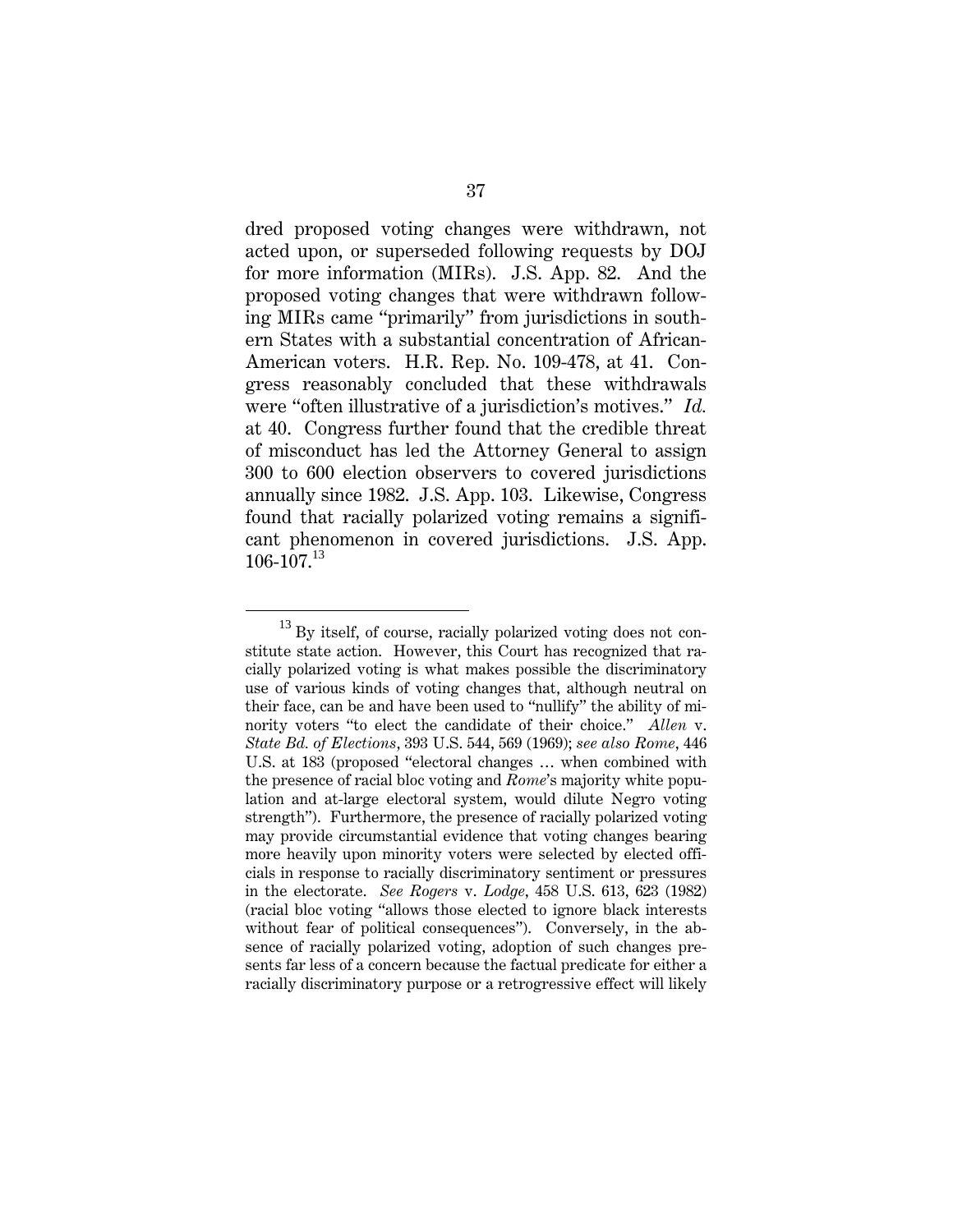dred proposed voting changes were withdrawn, not acted upon, or superseded following requests by DOJ for more information (MIRs). J.S. App. 82. And the proposed voting changes that were withdrawn following MIRs came "primarily" from jurisdictions in southern States with a substantial concentration of African-American voters. H.R. Rep. No. 109-478, at 41. Congress reasonably concluded that these withdrawals were "often illustrative of a jurisdiction's motives." *Id.* at 40. Congress further found that the credible threat of misconduct has led the Attorney General to assign 300 to 600 election observers to covered jurisdictions annually since 1982. J.S. App. 103. Likewise, Congress found that racially polarized voting remains a significant phenomenon in covered jurisdictions. J.S. App.  $106 - 107$ <sup>13</sup>

 $^{13}$  By itself, of course, racially polarized voting does not constitute state action. However, this Court has recognized that racially polarized voting is what makes possible the discriminatory use of various kinds of voting changes that, although neutral on their face, can be and have been used to "nullify" the ability of minority voters "to elect the candidate of their choice." *Allen* v. *State Bd. of Elections*, 393 U.S. 544, 569 (1969); *see also Rome*, 446 U.S. at 183 (proposed "electoral changes … when combined with the presence of racial bloc voting and *Rome*'s majority white population and at-large electoral system, would dilute Negro voting strength"). Furthermore, the presence of racially polarized voting may provide circumstantial evidence that voting changes bearing more heavily upon minority voters were selected by elected officials in response to racially discriminatory sentiment or pressures in the electorate. *See Rogers* v. *Lodge*, 458 U.S. 613, 623 (1982) (racial bloc voting "allows those elected to ignore black interests without fear of political consequences"). Conversely, in the absence of racially polarized voting, adoption of such changes presents far less of a concern because the factual predicate for either a racially discriminatory purpose or a retrogressive effect will likely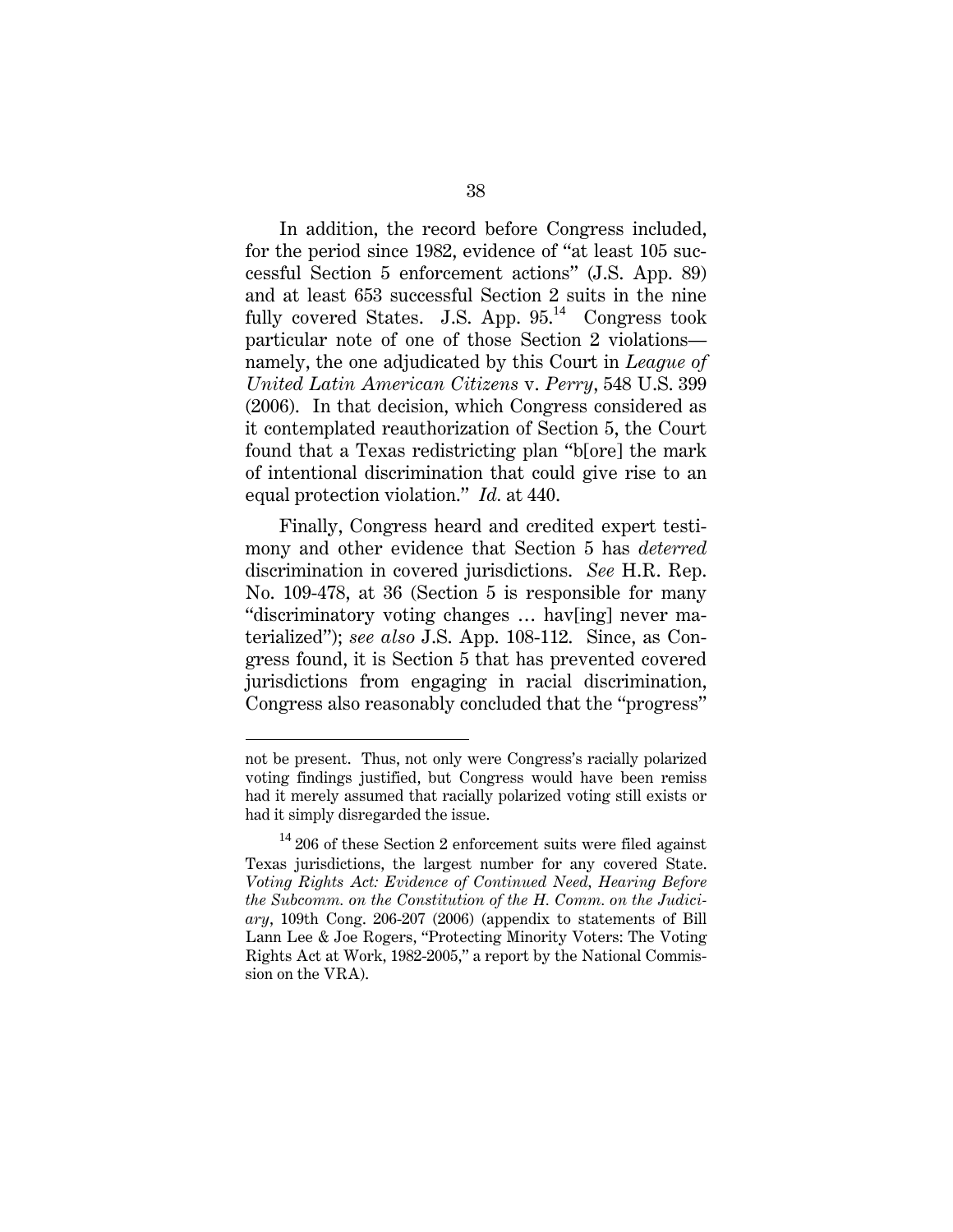In addition, the record before Congress included, for the period since 1982, evidence of "at least 105 successful Section 5 enforcement actions" (J.S. App. 89) and at least 653 successful Section 2 suits in the nine fully covered States. J.S. App.  $95.^{14}$  Congress took particular note of one of those Section 2 violations namely, the one adjudicated by this Court in *League of United Latin American Citizens* v. *Perry*, 548 U.S. 399 (2006). In that decision, which Congress considered as it contemplated reauthorization of Section 5, the Court found that a Texas redistricting plan "b[ore] the mark of intentional discrimination that could give rise to an equal protection violation." *Id.* at 440.

Finally, Congress heard and credited expert testimony and other evidence that Section 5 has *deterred*  discrimination in covered jurisdictions. *See* H.R. Rep. No. 109-478, at 36 (Section 5 is responsible for many "discriminatory voting changes … hav[ing] never materialized"); *see also* J.S. App. 108-112. Since, as Congress found, it is Section 5 that has prevented covered jurisdictions from engaging in racial discrimination, Congress also reasonably concluded that the "progress"

 $\overline{a}$ 

not be present. Thus, not only were Congress's racially polarized voting findings justified, but Congress would have been remiss had it merely assumed that racially polarized voting still exists or had it simply disregarded the issue.

 $14$  206 of these Section 2 enforcement suits were filed against Texas jurisdictions, the largest number for any covered State. *Voting Rights Act: Evidence of Continued Need, Hearing Before the Subcomm. on the Constitution of the H. Comm. on the Judiciary*, 109th Cong. 206-207 (2006) (appendix to statements of Bill Lann Lee & Joe Rogers, "Protecting Minority Voters: The Voting Rights Act at Work, 1982-2005," a report by the National Commission on the VRA).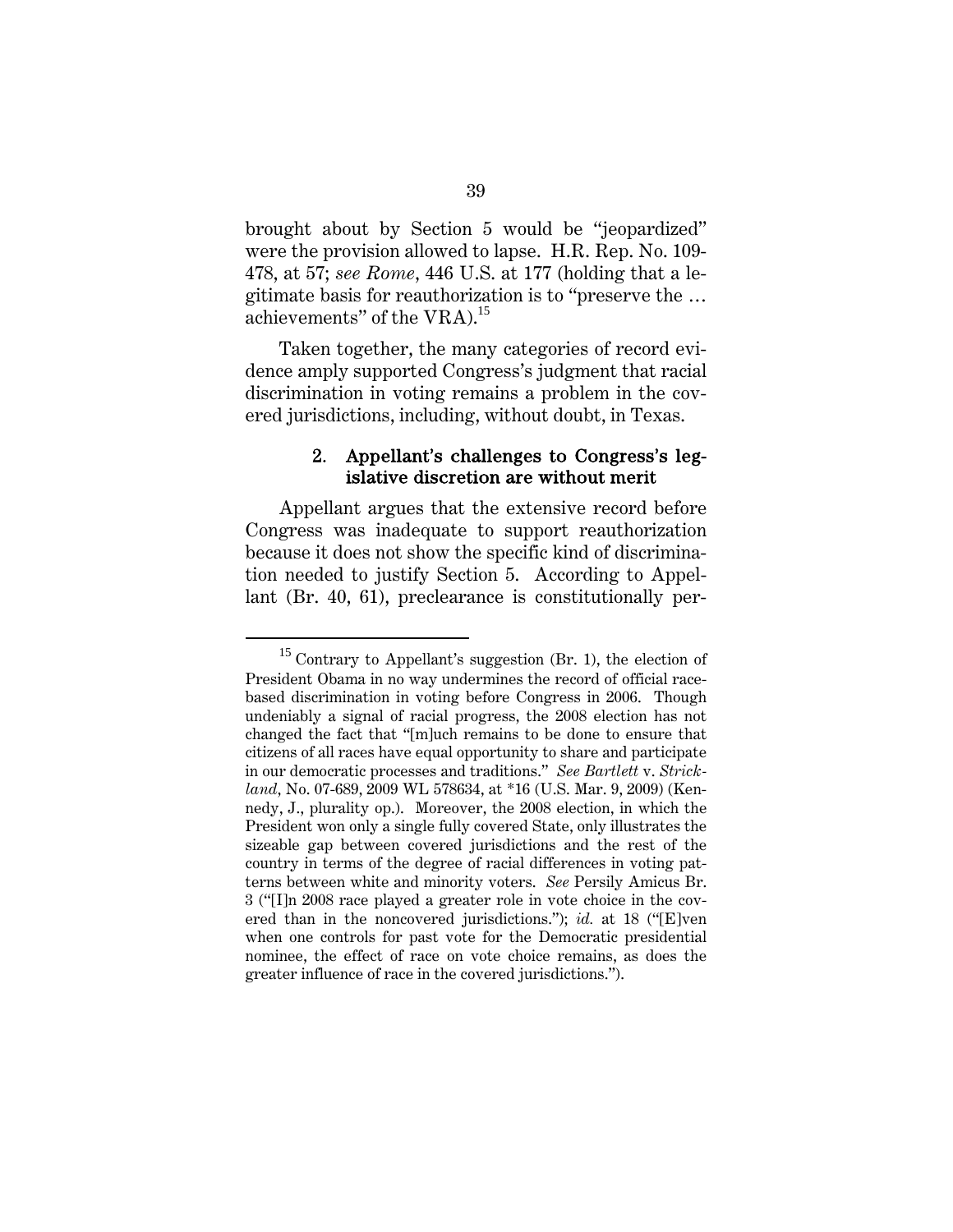brought about by Section 5 would be "jeopardized" were the provision allowed to lapse. H.R. Rep. No. 109- 478, at 57; *see Rome*, 446 U.S. at 177 (holding that a legitimate basis for reauthorization is to "preserve the … achievements" of the VRA).<sup>15</sup>

Taken together, the many categories of record evidence amply supported Congress's judgment that racial discrimination in voting remains a problem in the covered jurisdictions, including, without doubt, in Texas.

## 2. Appellant's challenges to Congress's legislative discretion are without merit

Appellant argues that the extensive record before Congress was inadequate to support reauthorization because it does not show the specific kind of discrimination needed to justify Section 5. According to Appellant (Br. 40, 61), preclearance is constitutionally per-

 $15$  Contrary to Appellant's suggestion (Br. 1), the election of President Obama in no way undermines the record of official racebased discrimination in voting before Congress in 2006. Though undeniably a signal of racial progress, the 2008 election has not changed the fact that "[m]uch remains to be done to ensure that citizens of all races have equal opportunity to share and participate in our democratic processes and traditions." *See Bartlett* v. *Strickland*, No. 07-689, 2009 WL 578634, at \*16 (U.S. Mar. 9, 2009) (Kennedy, J., plurality op.). Moreover, the 2008 election, in which the President won only a single fully covered State, only illustrates the sizeable gap between covered jurisdictions and the rest of the country in terms of the degree of racial differences in voting patterns between white and minority voters. *See* Persily Amicus Br. 3 ("[I]n 2008 race played a greater role in vote choice in the covered than in the noncovered jurisdictions."); *id.* at 18 ("[E]ven when one controls for past vote for the Democratic presidential nominee, the effect of race on vote choice remains, as does the greater influence of race in the covered jurisdictions.").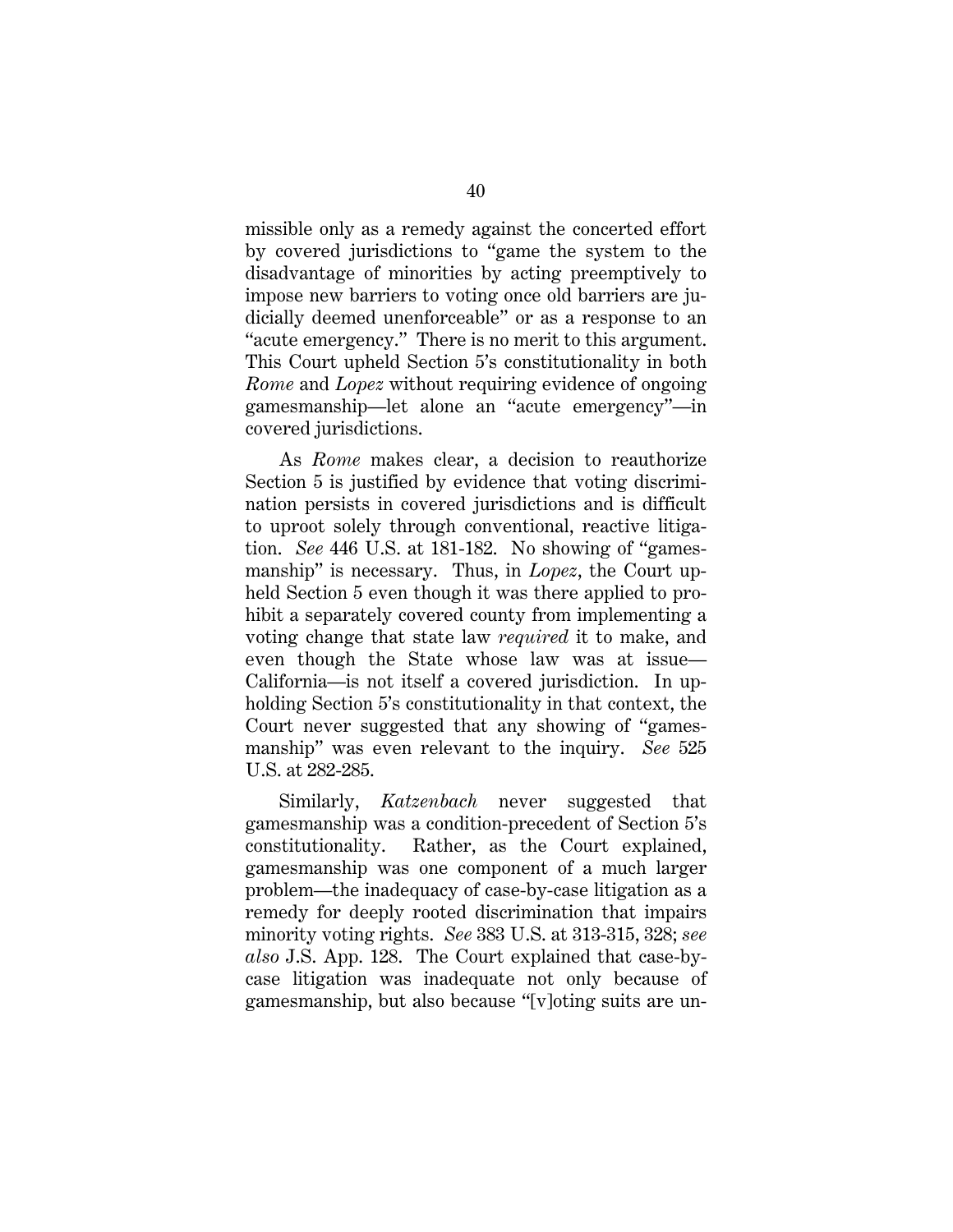missible only as a remedy against the concerted effort by covered jurisdictions to "game the system to the disadvantage of minorities by acting preemptively to impose new barriers to voting once old barriers are judicially deemed unenforceable" or as a response to an "acute emergency." There is no merit to this argument. This Court upheld Section 5's constitutionality in both *Rome* and *Lopez* without requiring evidence of ongoing gamesmanship—let alone an "acute emergency"—in covered jurisdictions.

As *Rome* makes clear, a decision to reauthorize Section 5 is justified by evidence that voting discrimination persists in covered jurisdictions and is difficult to uproot solely through conventional, reactive litigation. *See* 446 U.S. at 181-182. No showing of "gamesmanship" is necessary. Thus, in *Lopez*, the Court upheld Section 5 even though it was there applied to prohibit a separately covered county from implementing a voting change that state law *required* it to make, and even though the State whose law was at issue— California—is not itself a covered jurisdiction. In upholding Section 5's constitutionality in that context, the Court never suggested that any showing of "gamesmanship" was even relevant to the inquiry. *See* 525 U.S. at 282-285.

Similarly, *Katzenbach* never suggested that gamesmanship was a condition-precedent of Section 5's constitutionality. Rather, as the Court explained, gamesmanship was one component of a much larger problem—the inadequacy of case-by-case litigation as a remedy for deeply rooted discrimination that impairs minority voting rights. *See* 383 U.S. at 313-315, 328; *see also* J.S. App. 128. The Court explained that case-bycase litigation was inadequate not only because of gamesmanship, but also because "[v]oting suits are un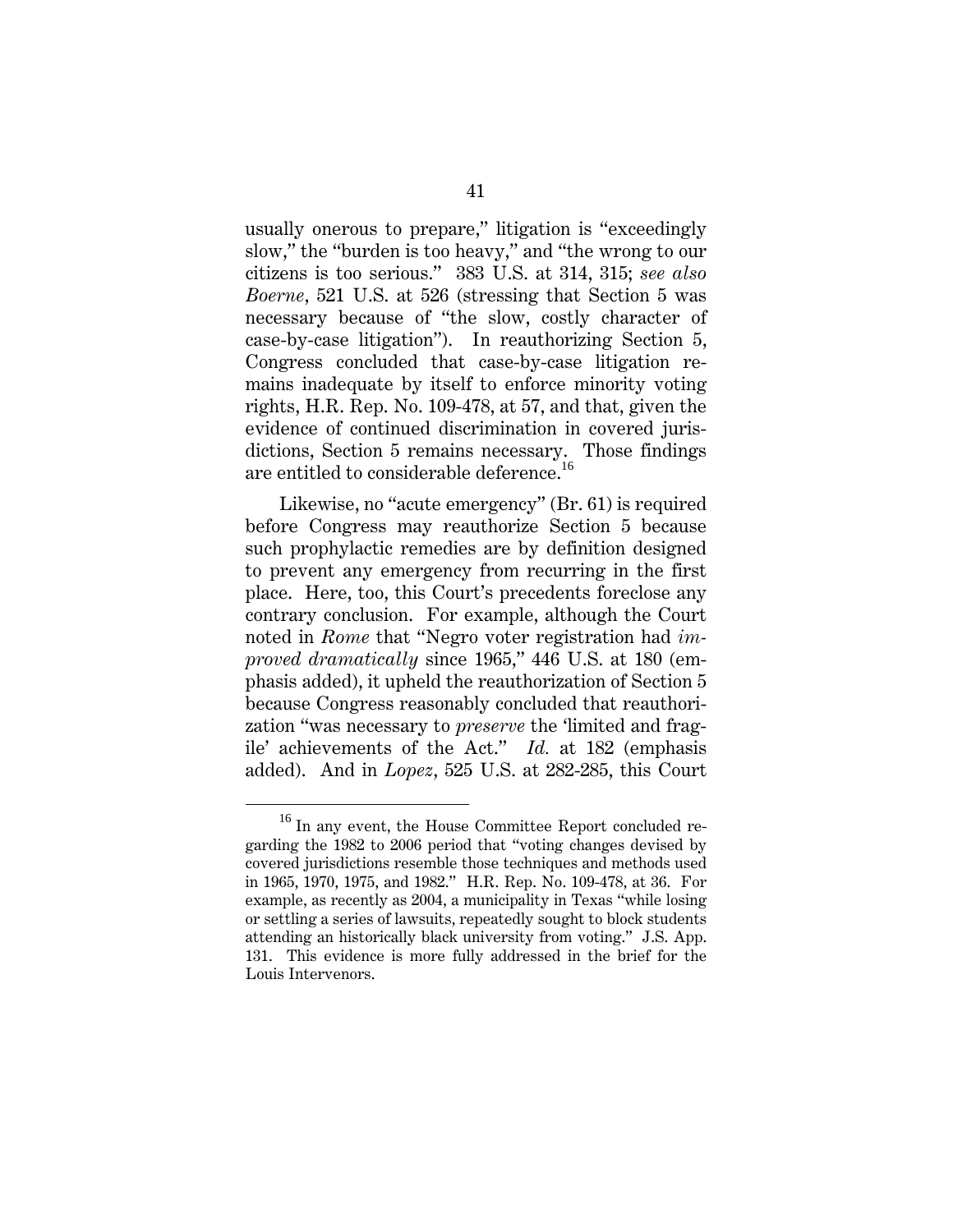usually onerous to prepare," litigation is "exceedingly slow," the "burden is too heavy," and "the wrong to our citizens is too serious." 383 U.S. at 314, 315; *see also Boerne*, 521 U.S. at 526 (stressing that Section 5 was necessary because of "the slow, costly character of case-by-case litigation"). In reauthorizing Section 5, Congress concluded that case-by-case litigation remains inadequate by itself to enforce minority voting rights, H.R. Rep. No. 109-478, at 57, and that, given the evidence of continued discrimination in covered jurisdictions, Section 5 remains necessary. Those findings are entitled to considerable deference.<sup>16</sup>

Likewise, no "acute emergency" (Br. 61) is required before Congress may reauthorize Section 5 because such prophylactic remedies are by definition designed to prevent any emergency from recurring in the first place. Here, too, this Court's precedents foreclose any contrary conclusion. For example, although the Court noted in *Rome* that "Negro voter registration had *improved dramatically* since 1965," 446 U.S. at 180 (emphasis added), it upheld the reauthorization of Section 5 because Congress reasonably concluded that reauthorization "was necessary to *preserve* the 'limited and fragile' achievements of the Act." *Id.* at 182 (emphasis added). And in *Lopez*, 525 U.S. at 282-285, this Court

<sup>&</sup>lt;sup>16</sup> In any event, the House Committee Report concluded regarding the 1982 to 2006 period that "voting changes devised by covered jurisdictions resemble those techniques and methods used in 1965, 1970, 1975, and 1982." H.R. Rep. No. 109-478, at 36. For example, as recently as 2004, a municipality in Texas "while losing or settling a series of lawsuits, repeatedly sought to block students attending an historically black university from voting." J.S. App. 131. This evidence is more fully addressed in the brief for the Louis Intervenors.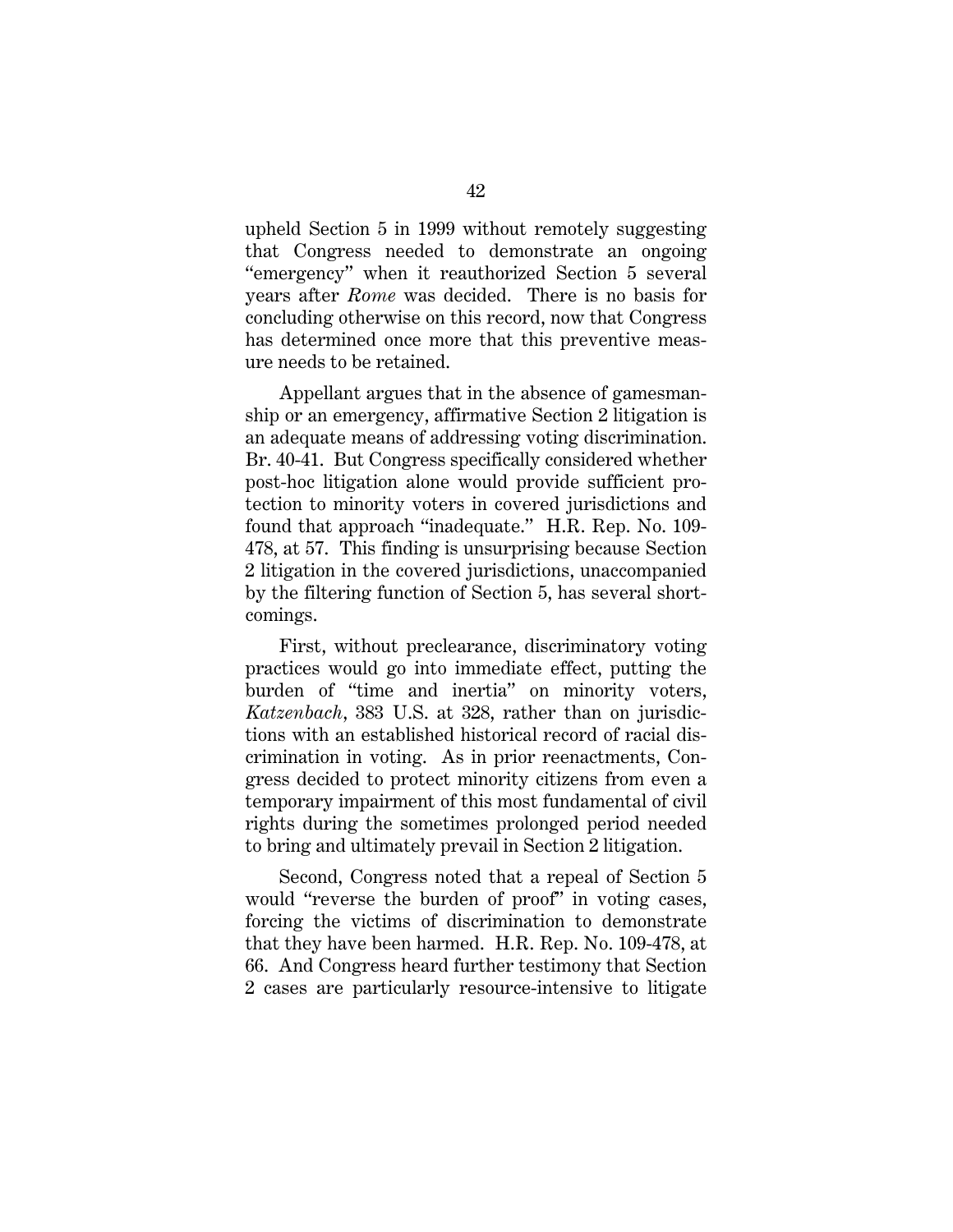upheld Section 5 in 1999 without remotely suggesting that Congress needed to demonstrate an ongoing "emergency" when it reauthorized Section 5 several years after *Rome* was decided. There is no basis for concluding otherwise on this record, now that Congress has determined once more that this preventive measure needs to be retained.

Appellant argues that in the absence of gamesmanship or an emergency, affirmative Section 2 litigation is an adequate means of addressing voting discrimination. Br. 40-41. But Congress specifically considered whether post-hoc litigation alone would provide sufficient protection to minority voters in covered jurisdictions and found that approach "inadequate." H.R. Rep. No. 109- 478, at 57. This finding is unsurprising because Section 2 litigation in the covered jurisdictions, unaccompanied by the filtering function of Section 5, has several shortcomings.

First, without preclearance, discriminatory voting practices would go into immediate effect, putting the burden of "time and inertia" on minority voters, *Katzenbach*, 383 U.S. at 328, rather than on jurisdictions with an established historical record of racial discrimination in voting. As in prior reenactments, Congress decided to protect minority citizens from even a temporary impairment of this most fundamental of civil rights during the sometimes prolonged period needed to bring and ultimately prevail in Section 2 litigation.

Second, Congress noted that a repeal of Section 5 would "reverse the burden of proof" in voting cases, forcing the victims of discrimination to demonstrate that they have been harmed. H.R. Rep. No. 109-478, at 66. And Congress heard further testimony that Section 2 cases are particularly resource-intensive to litigate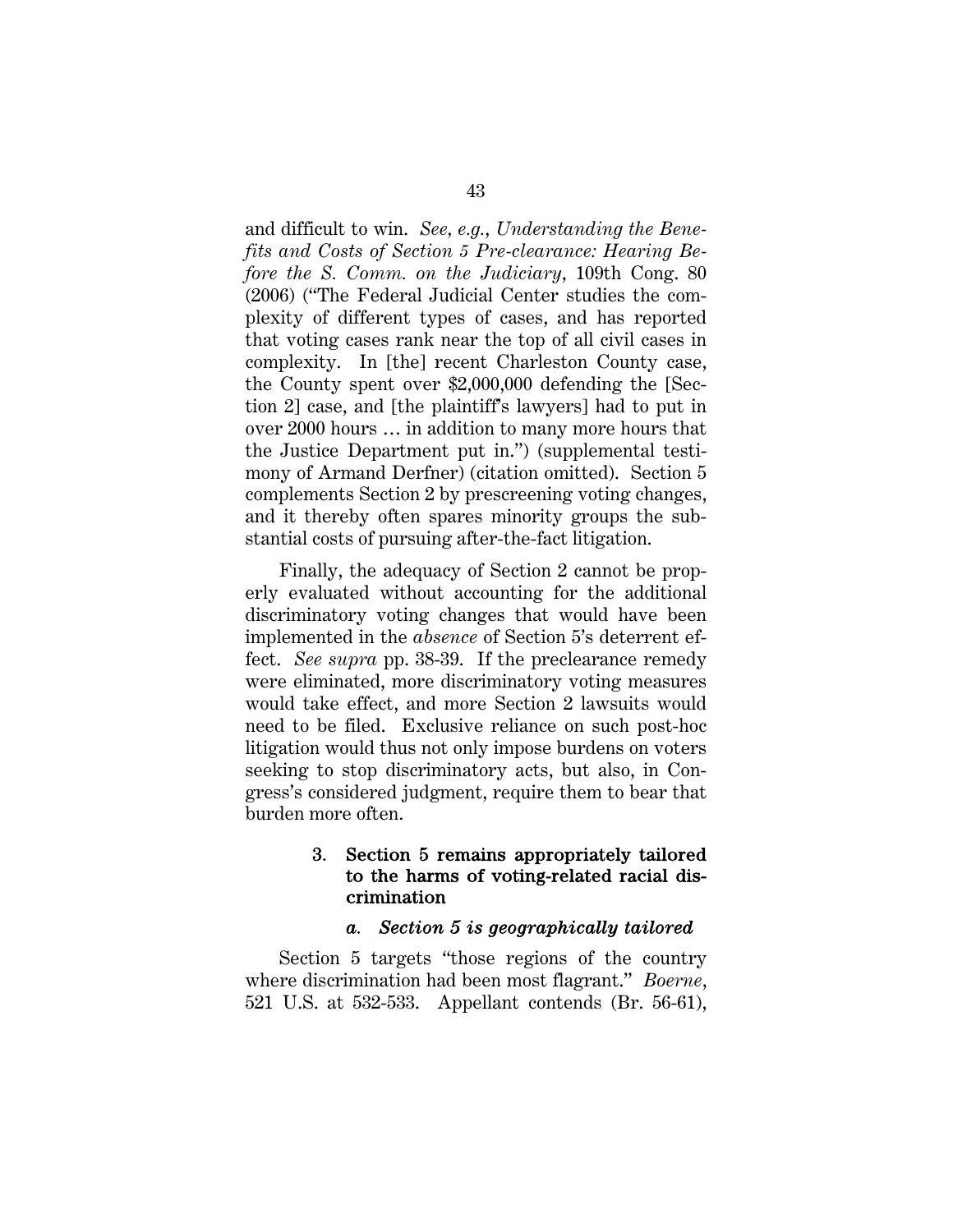and difficult to win. *See, e.g.*, *Understanding the Benefits and Costs of Section 5 Pre-clearance: Hearing Before the S. Comm. on the Judiciary*, 109th Cong. 80 (2006) ("The Federal Judicial Center studies the complexity of different types of cases, and has reported that voting cases rank near the top of all civil cases in complexity. In [the] recent Charleston County case, the County spent over \$2,000,000 defending the [Section 2] case, and [the plaintiff's lawyers] had to put in over 2000 hours … in addition to many more hours that the Justice Department put in.") (supplemental testimony of Armand Derfner) (citation omitted). Section 5 complements Section 2 by prescreening voting changes, and it thereby often spares minority groups the substantial costs of pursuing after-the-fact litigation.

Finally, the adequacy of Section 2 cannot be properly evaluated without accounting for the additional discriminatory voting changes that would have been implemented in the *absence* of Section 5's deterrent effect. *See supra* pp. 38-39. If the preclearance remedy were eliminated, more discriminatory voting measures would take effect, and more Section 2 lawsuits would need to be filed. Exclusive reliance on such post-hoc litigation would thus not only impose burdens on voters seeking to stop discriminatory acts, but also, in Congress's considered judgment, require them to bear that burden more often.

## 3. Section 5 remains appropriately tailored to the harms of voting-related racial discrimination

#### *a. Section 5 is geographically tailored*

Section 5 targets "those regions of the country where discrimination had been most flagrant." *Boerne*, 521 U.S. at 532-533. Appellant contends (Br. 56-61),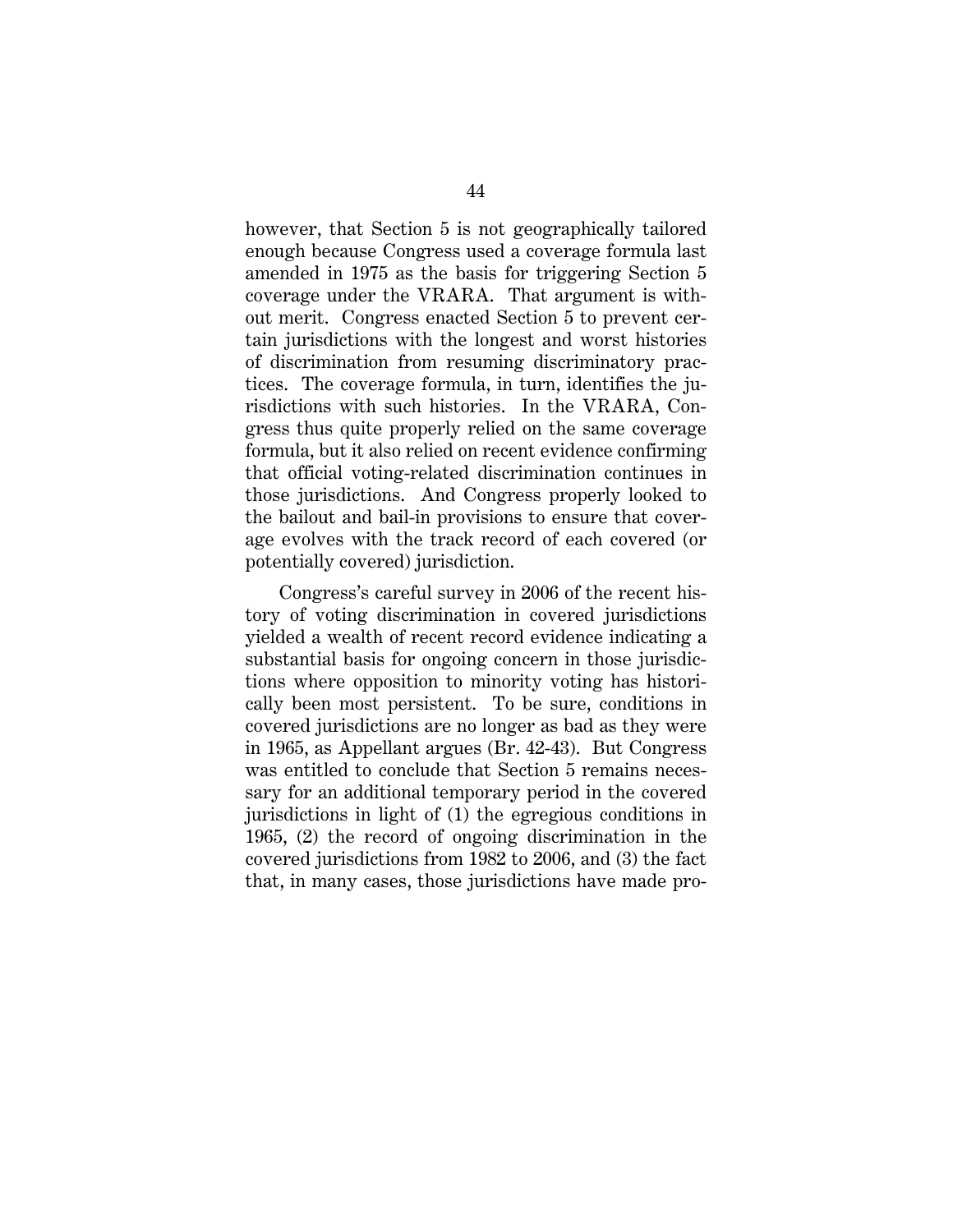however, that Section 5 is not geographically tailored enough because Congress used a coverage formula last amended in 1975 as the basis for triggering Section 5 coverage under the VRARA. That argument is without merit. Congress enacted Section 5 to prevent certain jurisdictions with the longest and worst histories of discrimination from resuming discriminatory practices. The coverage formula, in turn, identifies the jurisdictions with such histories. In the VRARA, Congress thus quite properly relied on the same coverage formula, but it also relied on recent evidence confirming that official voting-related discrimination continues in those jurisdictions. And Congress properly looked to the bailout and bail-in provisions to ensure that coverage evolves with the track record of each covered (or potentially covered) jurisdiction.

Congress's careful survey in 2006 of the recent history of voting discrimination in covered jurisdictions yielded a wealth of recent record evidence indicating a substantial basis for ongoing concern in those jurisdictions where opposition to minority voting has historically been most persistent. To be sure, conditions in covered jurisdictions are no longer as bad as they were in 1965, as Appellant argues (Br. 42-43). But Congress was entitled to conclude that Section 5 remains necessary for an additional temporary period in the covered jurisdictions in light of (1) the egregious conditions in 1965, (2) the record of ongoing discrimination in the covered jurisdictions from 1982 to 2006, and (3) the fact that, in many cases, those jurisdictions have made pro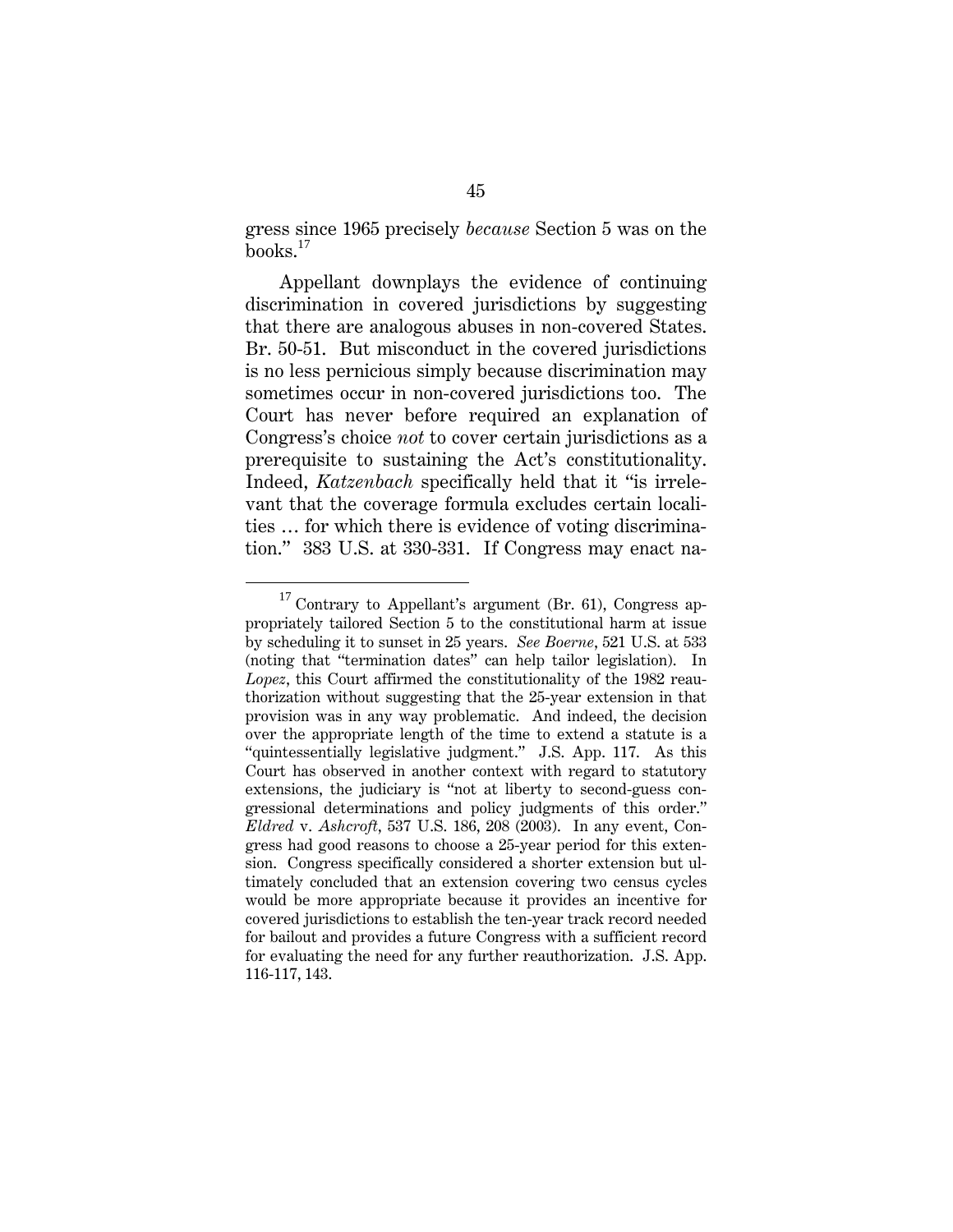gress since 1965 precisely *because* Section 5 was on the books.<sup>17</sup>

Appellant downplays the evidence of continuing discrimination in covered jurisdictions by suggesting that there are analogous abuses in non-covered States. Br. 50-51. But misconduct in the covered jurisdictions is no less pernicious simply because discrimination may sometimes occur in non-covered jurisdictions too. The Court has never before required an explanation of Congress's choice *not* to cover certain jurisdictions as a prerequisite to sustaining the Act's constitutionality. Indeed, *Katzenbach* specifically held that it "is irrelevant that the coverage formula excludes certain localities … for which there is evidence of voting discrimination." 383 U.S. at 330-331. If Congress may enact na-

<sup>&</sup>lt;sup>17</sup> Contrary to Appellant's argument (Br. 61), Congress appropriately tailored Section 5 to the constitutional harm at issue by scheduling it to sunset in 25 years. *See Boerne*, 521 U.S. at 533 (noting that "termination dates" can help tailor legislation). In *Lopez*, this Court affirmed the constitutionality of the 1982 reauthorization without suggesting that the 25-year extension in that provision was in any way problematic. And indeed, the decision over the appropriate length of the time to extend a statute is a "quintessentially legislative judgment." J.S. App. 117. As this Court has observed in another context with regard to statutory extensions, the judiciary is "not at liberty to second-guess congressional determinations and policy judgments of this order." *Eldred* v. *Ashcroft*, 537 U.S. 186, 208 (2003). In any event, Congress had good reasons to choose a 25-year period for this extension. Congress specifically considered a shorter extension but ultimately concluded that an extension covering two census cycles would be more appropriate because it provides an incentive for covered jurisdictions to establish the ten-year track record needed for bailout and provides a future Congress with a sufficient record for evaluating the need for any further reauthorization. J.S. App. 116-117, 143.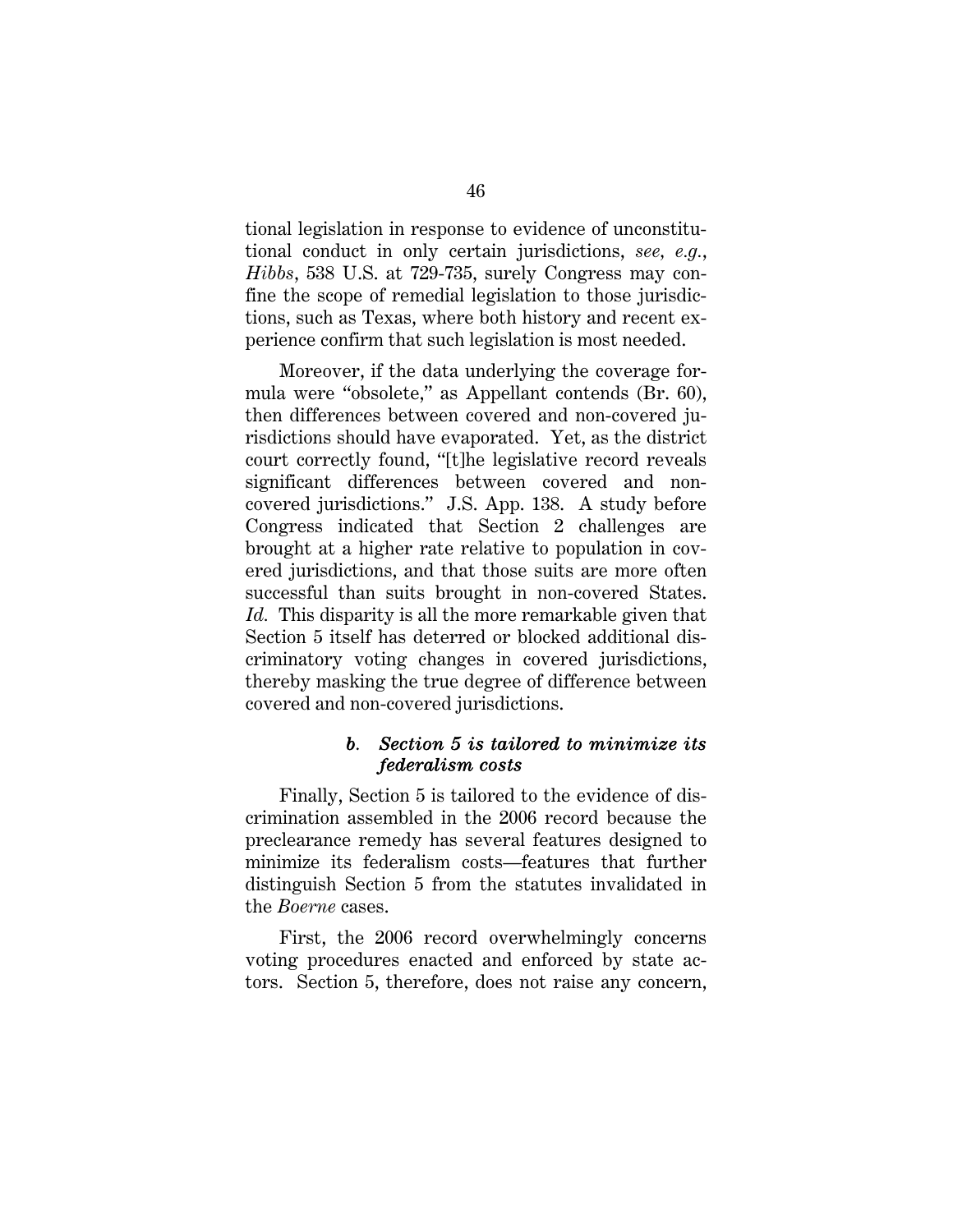tional legislation in response to evidence of unconstitutional conduct in only certain jurisdictions, *see, e.g.*, *Hibbs*, 538 U.S. at 729-735, surely Congress may confine the scope of remedial legislation to those jurisdictions, such as Texas, where both history and recent experience confirm that such legislation is most needed.

Moreover, if the data underlying the coverage formula were "obsolete," as Appellant contends (Br. 60), then differences between covered and non-covered jurisdictions should have evaporated. Yet, as the district court correctly found, "[t]he legislative record reveals significant differences between covered and noncovered jurisdictions." J.S. App. 138. A study before Congress indicated that Section 2 challenges are brought at a higher rate relative to population in covered jurisdictions, and that those suits are more often successful than suits brought in non-covered States. *Id.* This disparity is all the more remarkable given that Section 5 itself has deterred or blocked additional discriminatory voting changes in covered jurisdictions, thereby masking the true degree of difference between covered and non-covered jurisdictions.

### *b. Section 5 is tailored to minimize its federalism costs*

Finally, Section 5 is tailored to the evidence of discrimination assembled in the 2006 record because the preclearance remedy has several features designed to minimize its federalism costs—features that further distinguish Section 5 from the statutes invalidated in the *Boerne* cases.

First, the 2006 record overwhelmingly concerns voting procedures enacted and enforced by state actors. Section 5, therefore, does not raise any concern,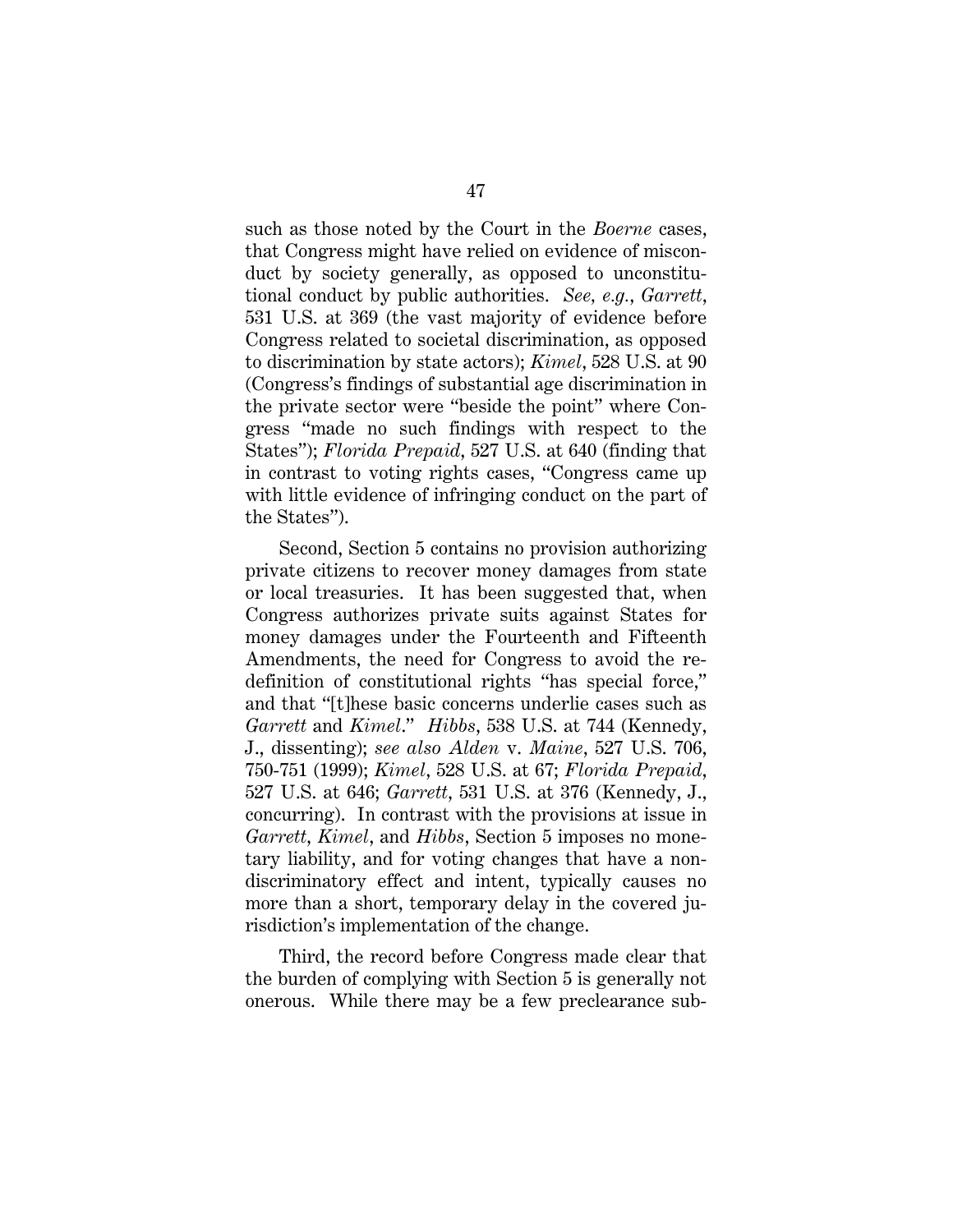such as those noted by the Court in the *Boerne* cases, that Congress might have relied on evidence of misconduct by society generally, as opposed to unconstitutional conduct by public authorities. *See, e.g.*, *Garrett*, 531 U.S. at 369 (the vast majority of evidence before Congress related to societal discrimination, as opposed to discrimination by state actors); *Kimel*, 528 U.S. at 90 (Congress's findings of substantial age discrimination in the private sector were "beside the point" where Congress "made no such findings with respect to the States"); *Florida Prepaid*, 527 U.S. at 640 (finding that in contrast to voting rights cases, "Congress came up with little evidence of infringing conduct on the part of the States").

Second, Section 5 contains no provision authorizing private citizens to recover money damages from state or local treasuries. It has been suggested that, when Congress authorizes private suits against States for money damages under the Fourteenth and Fifteenth Amendments, the need for Congress to avoid the redefinition of constitutional rights "has special force," and that "[t]hese basic concerns underlie cases such as *Garrett* and *Kimel*." *Hibbs*, 538 U.S. at 744 (Kennedy, J., dissenting); *see also Alden* v. *Maine*, 527 U.S. 706, 750-751 (1999); *Kimel*, 528 U.S. at 67; *Florida Prepaid*, 527 U.S. at 646; *Garrett*, 531 U.S. at 376 (Kennedy, J., concurring). In contrast with the provisions at issue in *Garrett*, *Kimel*, and *Hibbs*, Section 5 imposes no monetary liability, and for voting changes that have a nondiscriminatory effect and intent, typically causes no more than a short, temporary delay in the covered jurisdiction's implementation of the change.

Third, the record before Congress made clear that the burden of complying with Section 5 is generally not onerous. While there may be a few preclearance sub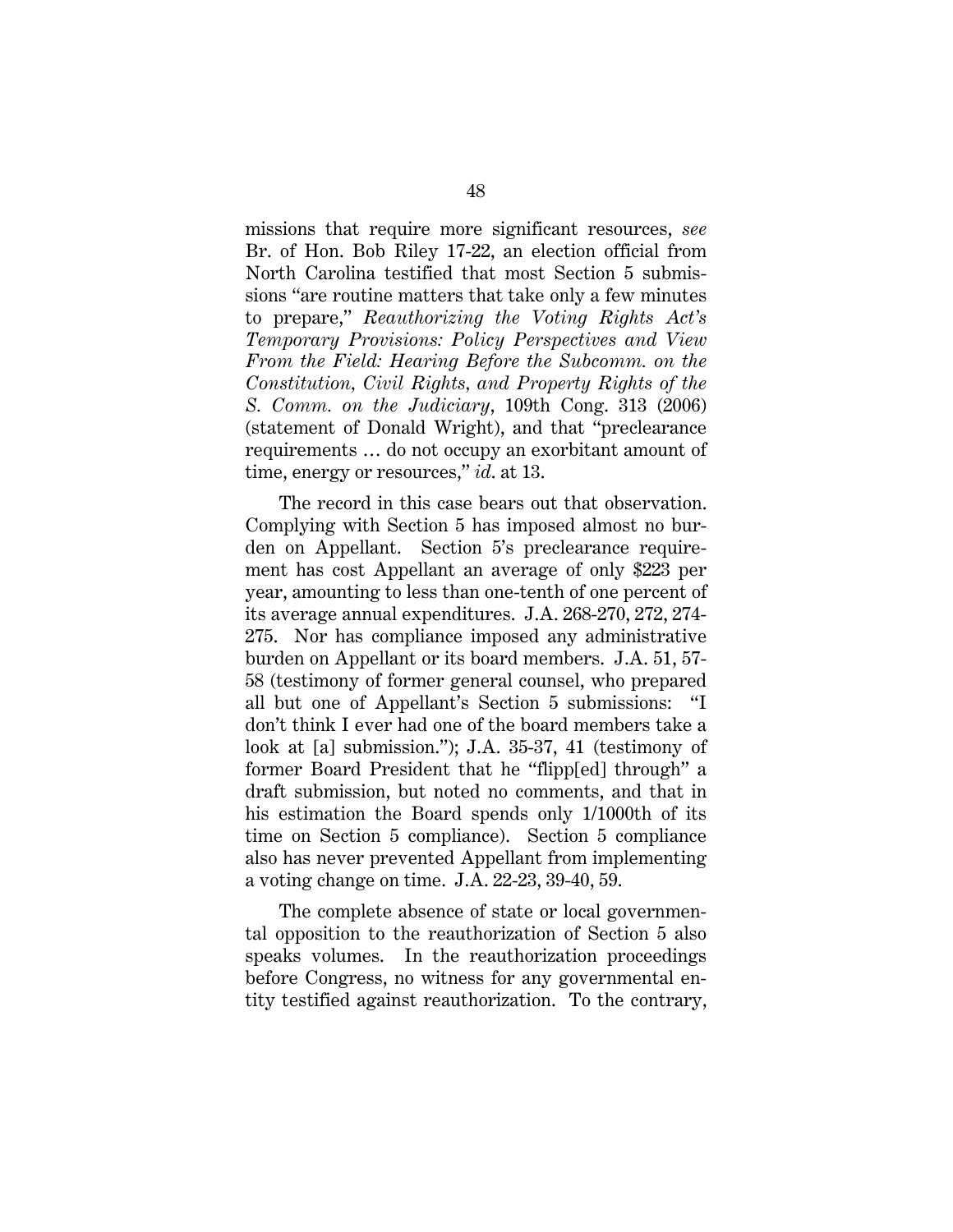missions that require more significant resources, *see*  Br. of Hon. Bob Riley 17-22, an election official from North Carolina testified that most Section 5 submissions "are routine matters that take only a few minutes to prepare," *Reauthorizing the Voting Rights Act's Temporary Provisions: Policy Perspectives and View From the Field: Hearing Before the Subcomm. on the Constitution, Civil Rights, and Property Rights of the S. Comm. on the Judiciary*, 109th Cong. 313 (2006) (statement of Donald Wright), and that "preclearance requirements … do not occupy an exorbitant amount of time, energy or resources," *id*. at 13.

The record in this case bears out that observation. Complying with Section 5 has imposed almost no burden on Appellant. Section 5's preclearance requirement has cost Appellant an average of only \$223 per year, amounting to less than one-tenth of one percent of its average annual expenditures. J.A. 268-270, 272, 274- 275. Nor has compliance imposed any administrative burden on Appellant or its board members. J.A. 51, 57- 58 (testimony of former general counsel, who prepared all but one of Appellant's Section 5 submissions: "I don't think I ever had one of the board members take a look at [a] submission."); J.A. 35-37, 41 (testimony of former Board President that he "flipp[ed] through" a draft submission, but noted no comments, and that in his estimation the Board spends only 1/1000th of its time on Section 5 compliance). Section 5 compliance also has never prevented Appellant from implementing a voting change on time. J.A. 22-23, 39-40, 59.

The complete absence of state or local governmental opposition to the reauthorization of Section 5 also speaks volumes. In the reauthorization proceedings before Congress, no witness for any governmental entity testified against reauthorization. To the contrary,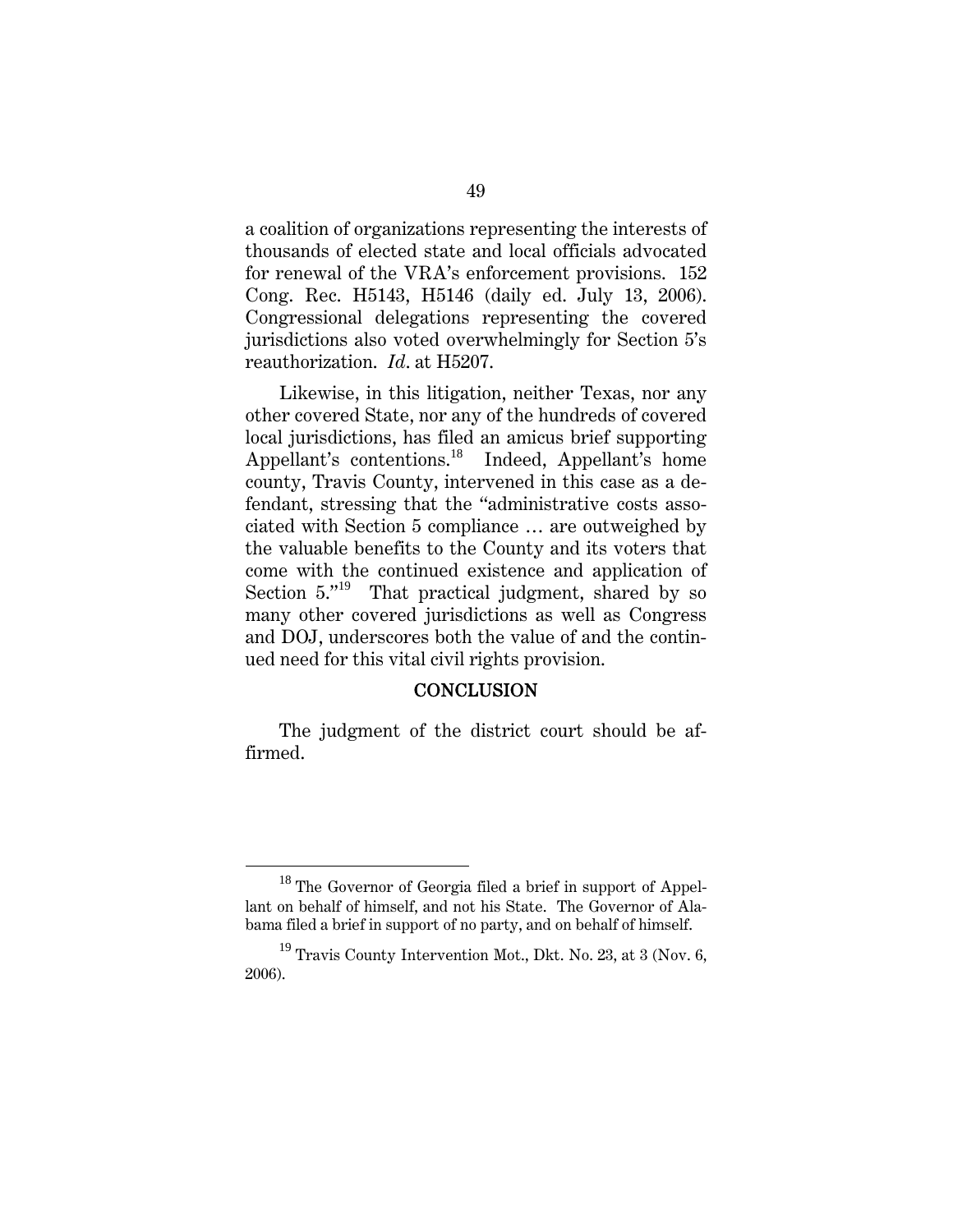a coalition of organizations representing the interests of thousands of elected state and local officials advocated for renewal of the VRA's enforcement provisions. 152 Cong. Rec. H5143, H5146 (daily ed. July 13, 2006). Congressional delegations representing the covered jurisdictions also voted overwhelmingly for Section 5's reauthorization. *Id*. at H5207.

Likewise, in this litigation, neither Texas, nor any other covered State, nor any of the hundreds of covered local jurisdictions, has filed an amicus brief supporting Appellant's contentions.<sup>18</sup> Indeed, Appellant's home county, Travis County, intervened in this case as a defendant, stressing that the "administrative costs associated with Section 5 compliance … are outweighed by the valuable benefits to the County and its voters that come with the continued existence and application of Section 5."<sup>19</sup> That practical judgment, shared by so many other covered jurisdictions as well as Congress and DOJ, underscores both the value of and the continued need for this vital civil rights provision.

### **CONCLUSION**

The judgment of the district court should be affirmed.

<sup>&</sup>lt;sup>18</sup> The Governor of Georgia filed a brief in support of Appellant on behalf of himself, and not his State. The Governor of Alabama filed a brief in support of no party, and on behalf of himself.

 $19$  Travis County Intervention Mot., Dkt. No. 23, at 3 (Nov. 6, 2006).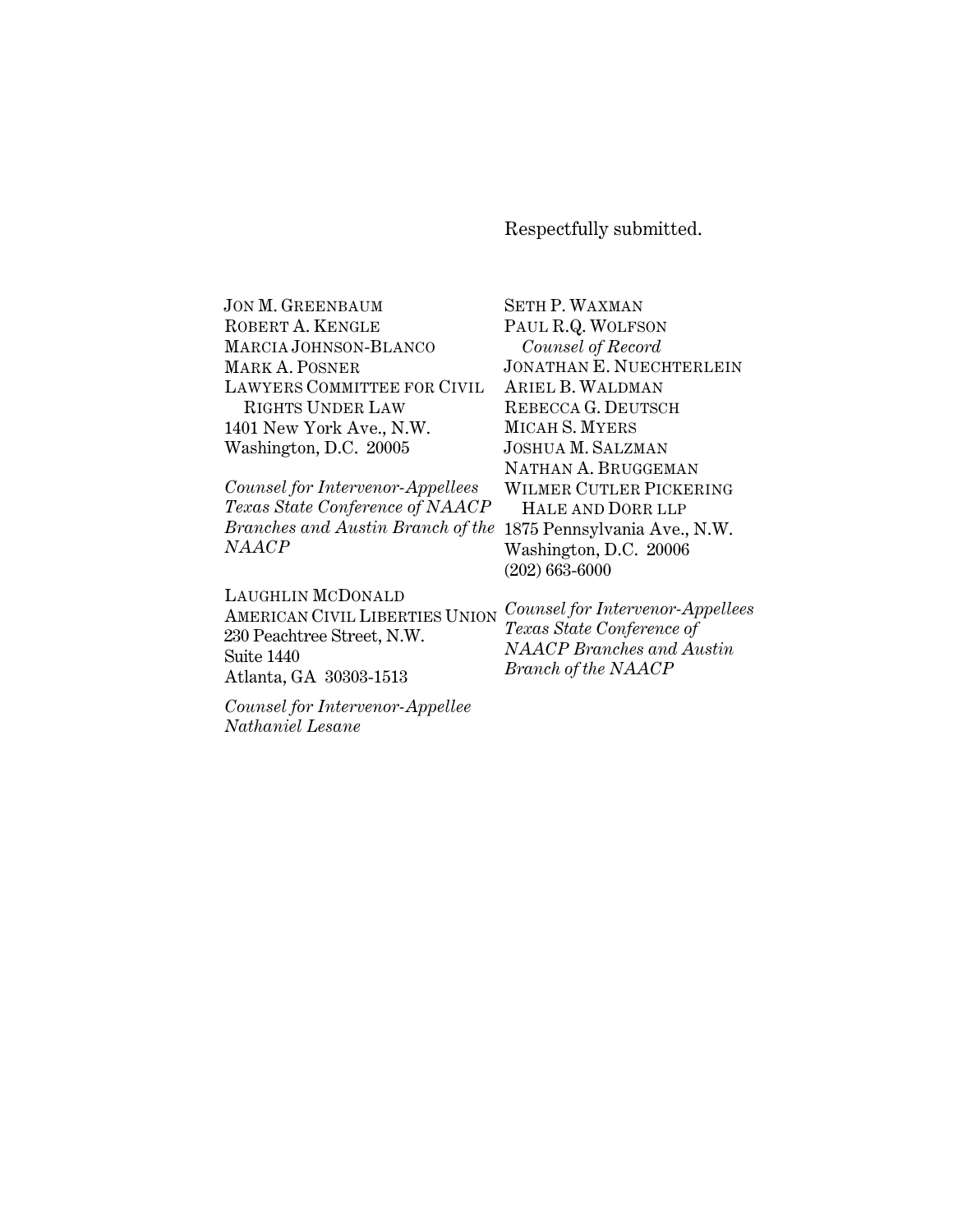Respectfully submitted.

SETH P. WAXMAN

JON M. GREENBAUM ROBERT A. KENGLE MARCIA JOHNSON-BLANCO MARK A. POSNER LAWYERS COMMITTEE FOR CIVIL RIGHTS UNDER LAW 1401 New York Ave., N.W. Washington, D.C. 20005

*Counsel for Intervenor-Appellees Texas State Conference of NAACP Branches and Austin Branch of the*  1875 Pennsylvania Ave., N.W. *NAACP*

LAUGHLIN MCDONALD AMERICAN CIVIL LIBERTIES UNION 230 Peachtree Street, N.W. Suite 1440 Atlanta, GA 30303-1513

PAUL R.Q. WOLFSON *Counsel of Record* JONATHAN E. NUECHTERLEIN ARIEL B. WALDMAN REBECCA G. DEUTSCH MICAH S. MYERS JOSHUA M. SALZMAN NATHAN A. BRUGGEMAN WILMER CUTLER PICKERING HALE AND DORR LLP Washington, D.C. 20006 (202) 663-6000

*Counsel for Intervenor-Appellees Texas State Conference of NAACP Branches and Austin Branch of the NAACP*

*Counsel for Intervenor-Appellee Nathaniel Lesane*